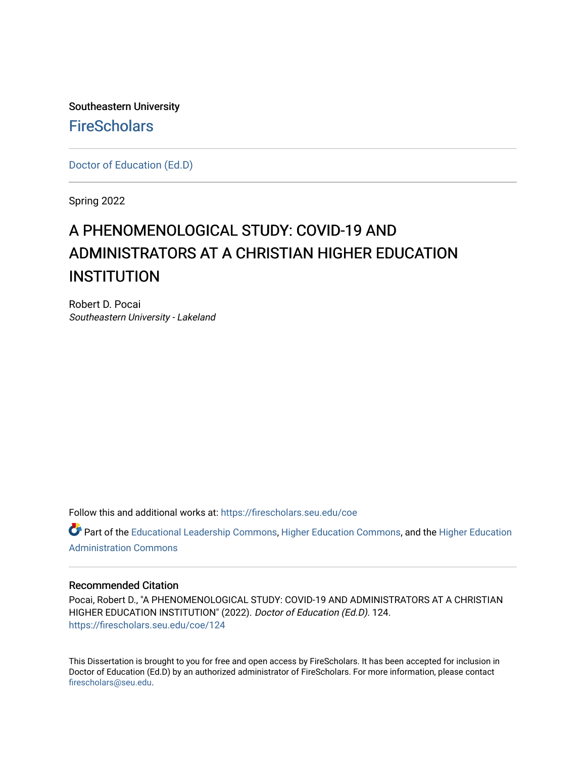Southeastern University **FireScholars** 

[Doctor of Education \(Ed.D\)](https://firescholars.seu.edu/coe) 

Spring 2022

# A PHENOMENOLOGICAL STUDY: COVID-19 AND ADMINISTRATORS AT A CHRISTIAN HIGHER EDUCATION **INSTITUTION**

Robert D. Pocai Southeastern University - Lakeland

Follow this and additional works at: [https://firescholars.seu.edu/coe](https://firescholars.seu.edu/coe?utm_source=firescholars.seu.edu%2Fcoe%2F124&utm_medium=PDF&utm_campaign=PDFCoverPages)

Part of the [Educational Leadership Commons,](https://network.bepress.com/hgg/discipline/1230?utm_source=firescholars.seu.edu%2Fcoe%2F124&utm_medium=PDF&utm_campaign=PDFCoverPages) [Higher Education Commons,](https://network.bepress.com/hgg/discipline/1245?utm_source=firescholars.seu.edu%2Fcoe%2F124&utm_medium=PDF&utm_campaign=PDFCoverPages) and the [Higher Education](https://network.bepress.com/hgg/discipline/791?utm_source=firescholars.seu.edu%2Fcoe%2F124&utm_medium=PDF&utm_campaign=PDFCoverPages) [Administration Commons](https://network.bepress.com/hgg/discipline/791?utm_source=firescholars.seu.edu%2Fcoe%2F124&utm_medium=PDF&utm_campaign=PDFCoverPages) 

#### Recommended Citation

Pocai, Robert D., "A PHENOMENOLOGICAL STUDY: COVID-19 AND ADMINISTRATORS AT A CHRISTIAN HIGHER EDUCATION INSTITUTION" (2022). Doctor of Education (Ed.D). 124. [https://firescholars.seu.edu/coe/124](https://firescholars.seu.edu/coe/124?utm_source=firescholars.seu.edu%2Fcoe%2F124&utm_medium=PDF&utm_campaign=PDFCoverPages) 

This Dissertation is brought to you for free and open access by FireScholars. It has been accepted for inclusion in Doctor of Education (Ed.D) by an authorized administrator of FireScholars. For more information, please contact [firescholars@seu.edu.](mailto:firescholars@seu.edu)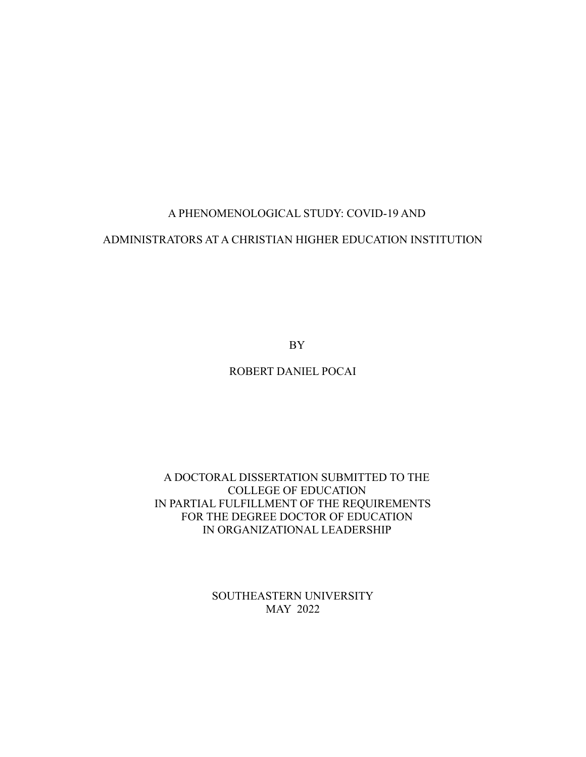# A PHENOMENOLOGICAL STUDY: COVID-19 AND

# ADMINISTRATORS AT A CHRISTIAN HIGHER EDUCATION INSTITUTION

BY

# ROBERT DANIEL POCAI

# A DOCTORAL DISSERTATION SUBMITTED TO THE COLLEGE OF EDUCATION IN PARTIAL FULFILLMENT OF THE REQUIREMENTS FOR THE DEGREE DOCTOR OF EDUCATION IN ORGANIZATIONAL LEADERSHIP

SOUTHEASTERN UNIVERSITY MAY 2022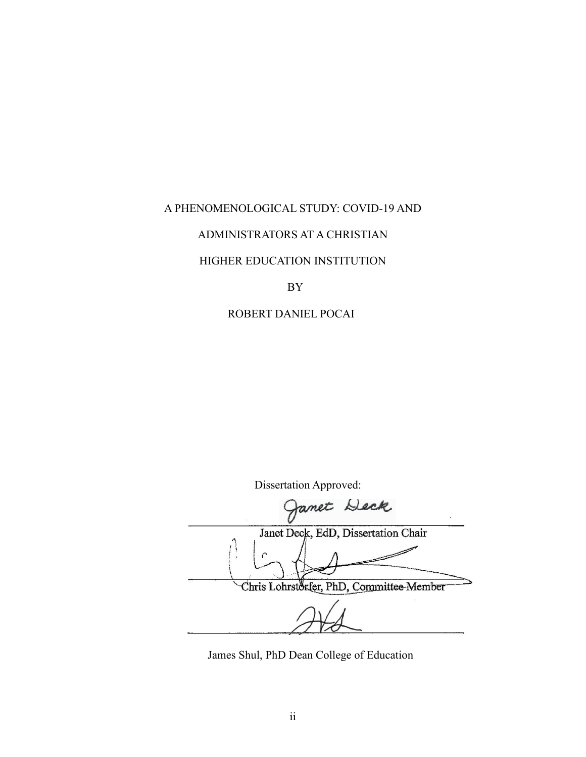# A PHENOMENOLOGICAL STUDY: COVID-19 AND

# ADMINISTRATORS AT A CHRISTIAN

#### HIGHER EDUCATION INSTITUTION

BY

### ROBERT DANIEL POCAI

Dissertation Approved: ret Deck Janet Deck, EdD, Dissertation Chair Chris Lohrstorfer, PhD, Committee-Member

James Shul, PhD Dean College of Education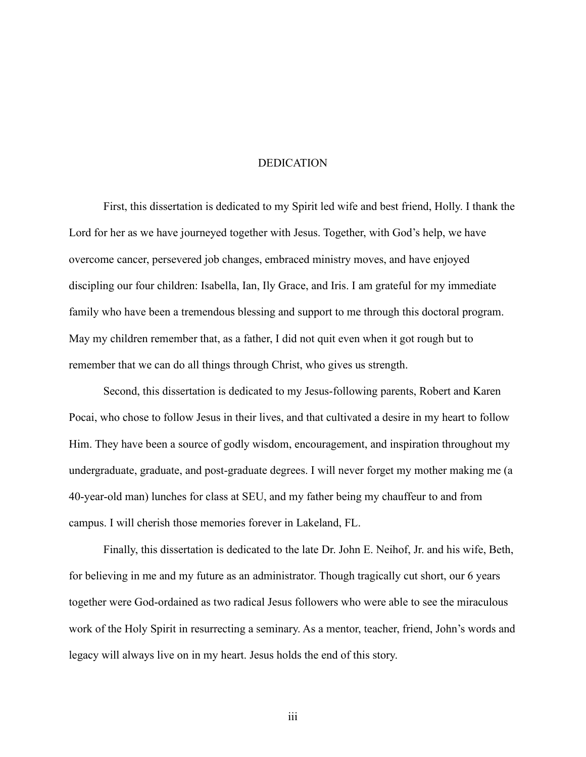## DEDICATION

First, this dissertation is dedicated to my Spirit led wife and best friend, Holly. I thank the Lord for her as we have journeyed together with Jesus. Together, with God's help, we have overcome cancer, persevered job changes, embraced ministry moves, and have enjoyed discipling our four children: Isabella, Ian, Ily Grace, and Iris. I am grateful for my immediate family who have been a tremendous blessing and support to me through this doctoral program. May my children remember that, as a father, I did not quit even when it got rough but to remember that we can do all things through Christ, who gives us strength.

Second, this dissertation is dedicated to my Jesus-following parents, Robert and Karen Pocai, who chose to follow Jesus in their lives, and that cultivated a desire in my heart to follow Him. They have been a source of godly wisdom, encouragement, and inspiration throughout my undergraduate, graduate, and post-graduate degrees. I will never forget my mother making me (a 40-year-old man) lunches for class at SEU, and my father being my chauffeur to and from campus. I will cherish those memories forever in Lakeland, FL.

Finally, this dissertation is dedicated to the late Dr. John E. Neihof, Jr. and his wife, Beth, for believing in me and my future as an administrator. Though tragically cut short, our 6 years together were God-ordained as two radical Jesus followers who were able to see the miraculous work of the Holy Spirit in resurrecting a seminary. As a mentor, teacher, friend, John's words and legacy will always live on in my heart. Jesus holds the end of this story.

iii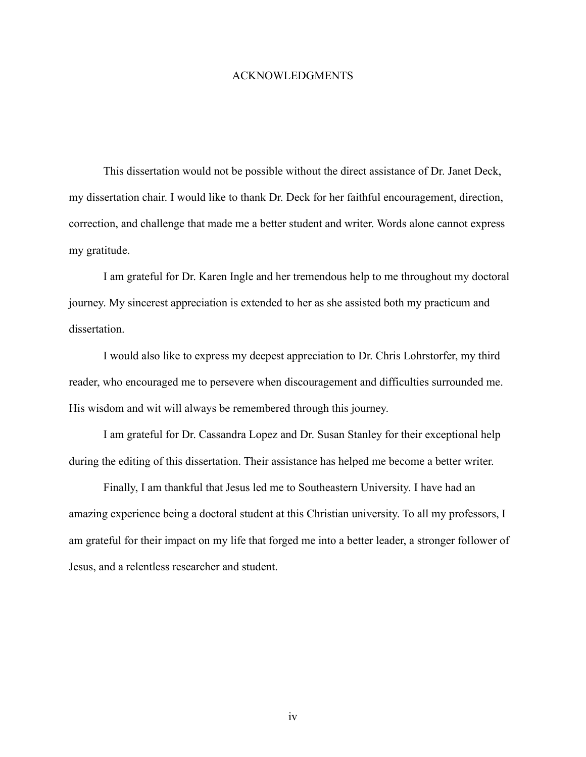#### ACKNOWLEDGMENTS

This dissertation would not be possible without the direct assistance of Dr. Janet Deck, my dissertation chair. I would like to thank Dr. Deck for her faithful encouragement, direction, correction, and challenge that made me a better student and writer. Words alone cannot express my gratitude.

I am grateful for Dr. Karen Ingle and her tremendous help to me throughout my doctoral journey. My sincerest appreciation is extended to her as she assisted both my practicum and dissertation.

I would also like to express my deepest appreciation to Dr. Chris Lohrstorfer, my third reader, who encouraged me to persevere when discouragement and difficulties surrounded me. His wisdom and wit will always be remembered through this journey.

I am grateful for Dr. Cassandra Lopez and Dr. Susan Stanley for their exceptional help during the editing of this dissertation. Their assistance has helped me become a better writer.

Finally, I am thankful that Jesus led me to Southeastern University. I have had an amazing experience being a doctoral student at this Christian university. To all my professors, I am grateful for their impact on my life that forged me into a better leader, a stronger follower of Jesus, and a relentless researcher and student.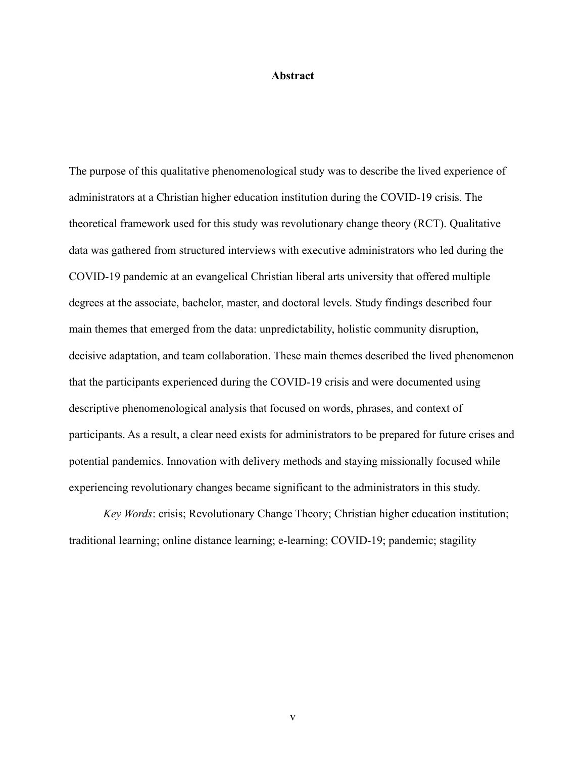#### **Abstract**

The purpose of this qualitative phenomenological study was to describe the lived experience of administrators at a Christian higher education institution during the COVID-19 crisis. The theoretical framework used for this study was revolutionary change theory (RCT). Qualitative data was gathered from structured interviews with executive administrators who led during the COVID-19 pandemic at an evangelical Christian liberal arts university that offered multiple degrees at the associate, bachelor, master, and doctoral levels. Study findings described four main themes that emerged from the data: unpredictability, holistic community disruption, decisive adaptation, and team collaboration. These main themes described the lived phenomenon that the participants experienced during the COVID-19 crisis and were documented using descriptive phenomenological analysis that focused on words, phrases, and context of participants. As a result, a clear need exists for administrators to be prepared for future crises and potential pandemics. Innovation with delivery methods and staying missionally focused while experiencing revolutionary changes became significant to the administrators in this study.

*Key Words*: crisis; Revolutionary Change Theory; Christian higher education institution; traditional learning; online distance learning; e-learning; COVID-19; pandemic; stagility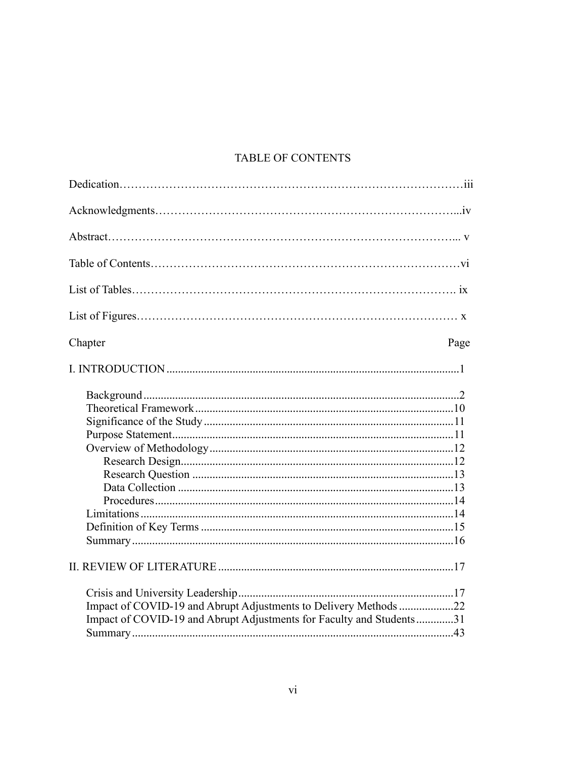# TABLE OF CONTENTS

| Chapter<br>Page                                                                                                                          |
|------------------------------------------------------------------------------------------------------------------------------------------|
|                                                                                                                                          |
|                                                                                                                                          |
|                                                                                                                                          |
| Impact of COVID-19 and Abrupt Adjustments to Delivery Methods 22<br>Impact of COVID-19 and Abrupt Adjustments for Faculty and Students31 |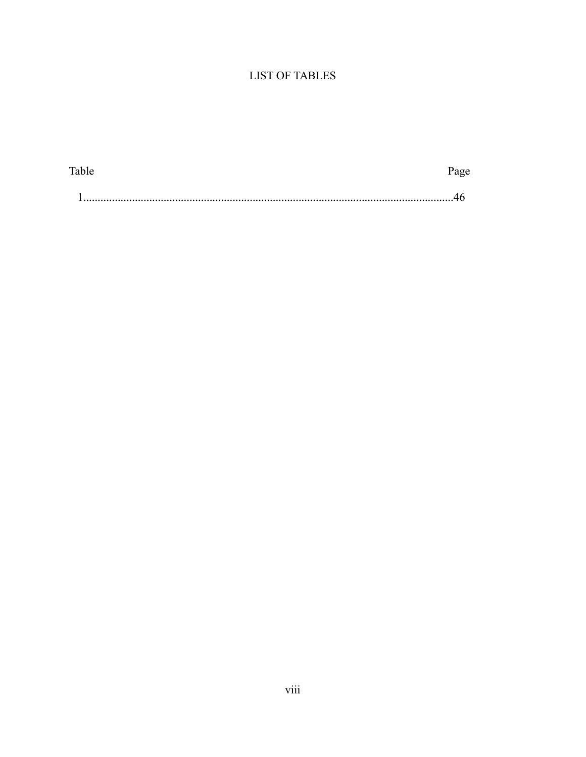# **LIST OF TABLES**

| m 1<br>able. |  |
|--------------|--|
|              |  |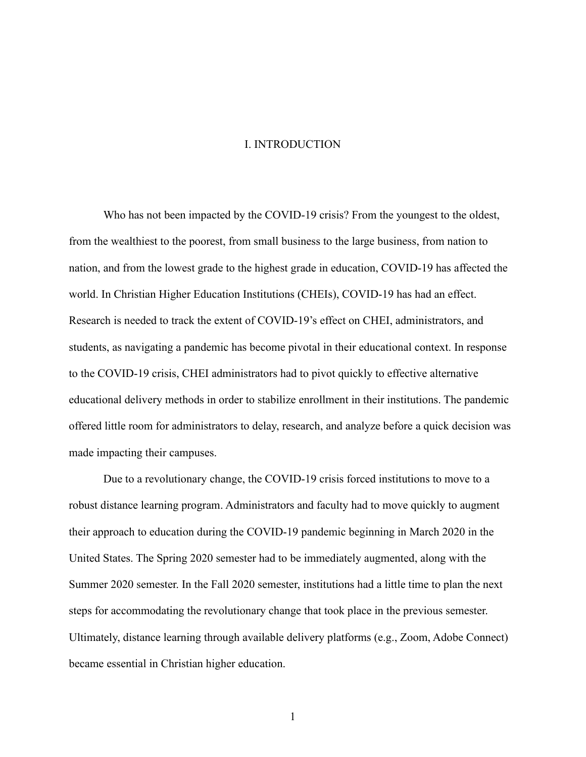#### I. INTRODUCTION

Who has not been impacted by the COVID-19 crisis? From the youngest to the oldest, from the wealthiest to the poorest, from small business to the large business, from nation to nation, and from the lowest grade to the highest grade in education, COVID-19 has affected the world. In Christian Higher Education Institutions (CHEIs), COVID-19 has had an effect. Research is needed to track the extent of COVID-19's effect on CHEI, administrators, and students, as navigating a pandemic has become pivotal in their educational context. In response to the COVID-19 crisis, CHEI administrators had to pivot quickly to effective alternative educational delivery methods in order to stabilize enrollment in their institutions. The pandemic offered little room for administrators to delay, research, and analyze before a quick decision was made impacting their campuses.

Due to a revolutionary change, the COVID-19 crisis forced institutions to move to a robust distance learning program. Administrators and faculty had to move quickly to augment their approach to education during the COVID-19 pandemic beginning in March 2020 in the United States. The Spring 2020 semester had to be immediately augmented, along with the Summer 2020 semester. In the Fall 2020 semester, institutions had a little time to plan the next steps for accommodating the revolutionary change that took place in the previous semester. Ultimately, distance learning through available delivery platforms (e.g., Zoom, Adobe Connect) became essential in Christian higher education.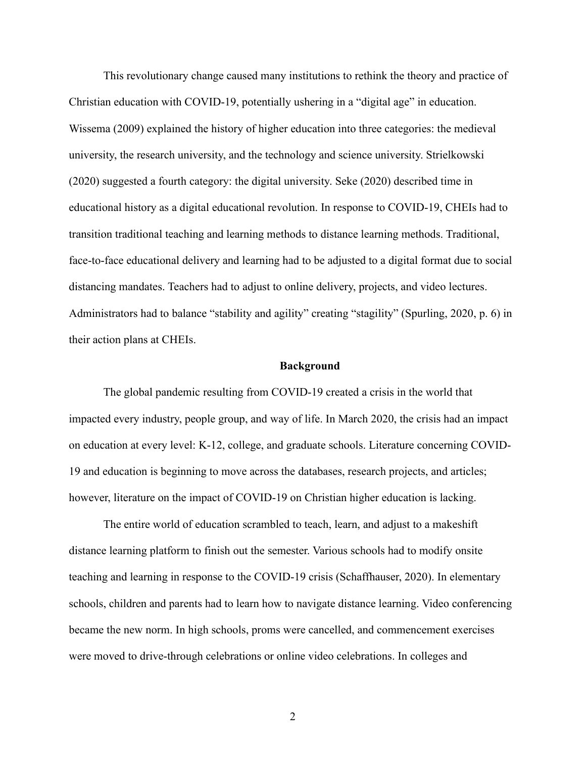This revolutionary change caused many institutions to rethink the theory and practice of Christian education with COVID-19, potentially ushering in a "digital age" in education. Wissema (2009) explained the history of higher education into three categories: the medieval university, the research university, and the technology and science university. Strielkowski (2020) suggested a fourth category: the digital university. Seke (2020) described time in educational history as a digital educational revolution. In response to COVID-19, CHEIs had to transition traditional teaching and learning methods to distance learning methods. Traditional, face-to-face educational delivery and learning had to be adjusted to a digital format due to social distancing mandates. Teachers had to adjust to online delivery, projects, and video lectures. Administrators had to balance "stability and agility" creating "stagility" (Spurling, 2020, p. 6) in their action plans at CHEIs.

#### **Background**

The global pandemic resulting from COVID-19 created a crisis in the world that impacted every industry, people group, and way of life. In March 2020, the crisis had an impact on education at every level: K-12, college, and graduate schools. Literature concerning COVID-19 and education is beginning to move across the databases, research projects, and articles; however, literature on the impact of COVID-19 on Christian higher education is lacking.

The entire world of education scrambled to teach, learn, and adjust to a makeshift distance learning platform to finish out the semester. Various schools had to modify onsite teaching and learning in response to the COVID-19 crisis (Schaffhauser, 2020). In elementary schools, children and parents had to learn how to navigate distance learning. Video conferencing became the new norm. In high schools, proms were cancelled, and commencement exercises were moved to drive-through celebrations or online video celebrations. In colleges and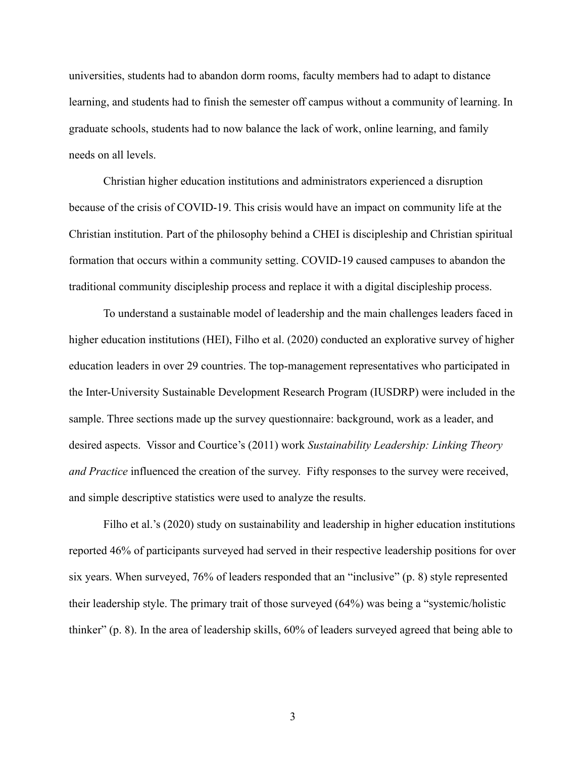universities, students had to abandon dorm rooms, faculty members had to adapt to distance learning, and students had to finish the semester off campus without a community of learning. In graduate schools, students had to now balance the lack of work, online learning, and family needs on all levels.

Christian higher education institutions and administrators experienced a disruption because of the crisis of COVID-19. This crisis would have an impact on community life at the Christian institution. Part of the philosophy behind a CHEI is discipleship and Christian spiritual formation that occurs within a community setting. COVID-19 caused campuses to abandon the traditional community discipleship process and replace it with a digital discipleship process.

To understand a sustainable model of leadership and the main challenges leaders faced in higher education institutions (HEI), Filho et al. (2020) conducted an explorative survey of higher education leaders in over 29 countries. The top-management representatives who participated in the Inter-University Sustainable Development Research Program (IUSDRP) were included in the sample. Three sections made up the survey questionnaire: background, work as a leader, and desired aspects. Vissor and Courtice's (2011) work *Sustainability Leadership: Linking Theory and Practice* influenced the creation of the survey. Fifty responses to the survey were received, and simple descriptive statistics were used to analyze the results.

Filho et al.'s (2020) study on sustainability and leadership in higher education institutions reported 46% of participants surveyed had served in their respective leadership positions for over six years. When surveyed, 76% of leaders responded that an "inclusive" (p. 8) style represented their leadership style. The primary trait of those surveyed (64%) was being a "systemic/holistic thinker" (p. 8). In the area of leadership skills, 60% of leaders surveyed agreed that being able to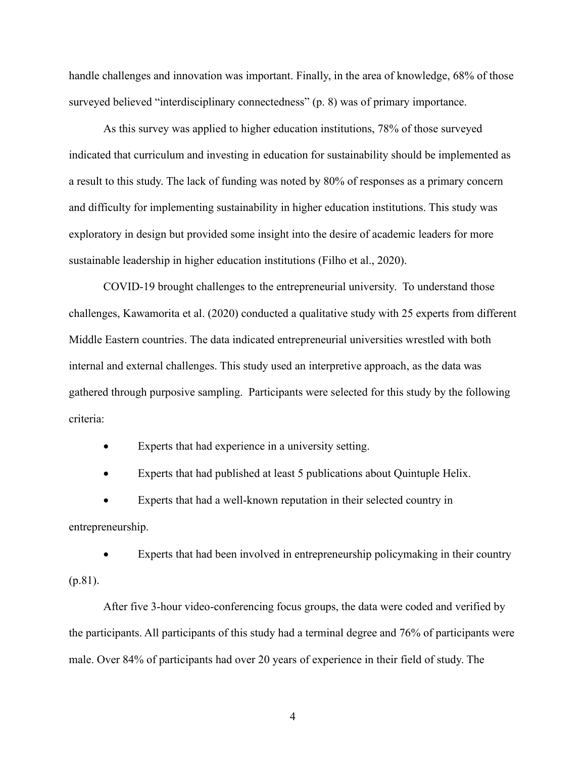handle challenges and innovation was important. Finally, in the area of knowledge, 68% of those surveyed believed "interdisciplinary connectedness" (p. 8) was of primary importance.

As this survey was applied to higher education institutions, 78% of those surveyed indicated that curriculum and investing in education for sustainability should be implemented as a result to this study. The lack of funding was noted by 80% of responses as a primary concern and difficulty for implementing sustainability in higher education institutions. This study was exploratory in design but provided some insight into the desire of academic leaders for more sustainable leadership in higher education institutions (Filho et al., 2020).

COVID-19 brought challenges to the entrepreneurial university. To understand those challenges, Kawamorita et al. (2020) conducted a qualitative study with 25 experts from different Middle Eastern countries. The data indicated entrepreneurial universities wrestled with both internal and external challenges. This study used an interpretive approach, as the data was gathered through purposive sampling. Participants were selected for this study by the following criteria:

• Experts that had experience in a university setting.

• Experts that had published at least 5 publications about Quintuple Helix.

• Experts that had a well-known reputation in their selected country in entrepreneurship.

Experts that had been involved in entrepreneurship policymaking in their country (p.81).

After five 3-hour video-conferencing focus groups, the data were coded and verified by the participants. All participants of this study had a terminal degree and 76% of participants were male. Over 84% of participants had over 20 years of experience in their field of study. The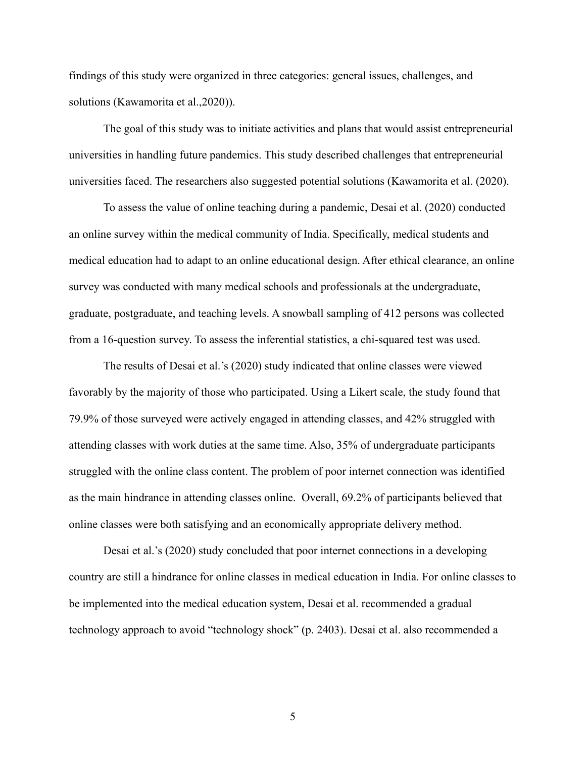findings of this study were organized in three categories: general issues, challenges, and solutions (Kawamorita et al.,2020)).

The goal of this study was to initiate activities and plans that would assist entrepreneurial universities in handling future pandemics. This study described challenges that entrepreneurial universities faced. The researchers also suggested potential solutions (Kawamorita et al. (2020).

To assess the value of online teaching during a pandemic, Desai et al. (2020) conducted an online survey within the medical community of India. Specifically, medical students and medical education had to adapt to an online educational design. After ethical clearance, an online survey was conducted with many medical schools and professionals at the undergraduate, graduate, postgraduate, and teaching levels. A snowball sampling of 412 persons was collected from a 16-question survey. To assess the inferential statistics, a chi-squared test was used.

The results of Desai et al.'s (2020) study indicated that online classes were viewed favorably by the majority of those who participated. Using a Likert scale, the study found that 79.9% of those surveyed were actively engaged in attending classes, and 42% struggled with attending classes with work duties at the same time. Also, 35% of undergraduate participants struggled with the online class content. The problem of poor internet connection was identified as the main hindrance in attending classes online. Overall, 69.2% of participants believed that online classes were both satisfying and an economically appropriate delivery method.

Desai et al.'s (2020) study concluded that poor internet connections in a developing country are still a hindrance for online classes in medical education in India. For online classes to be implemented into the medical education system, Desai et al. recommended a gradual technology approach to avoid "technology shock" (p. 2403). Desai et al. also recommended a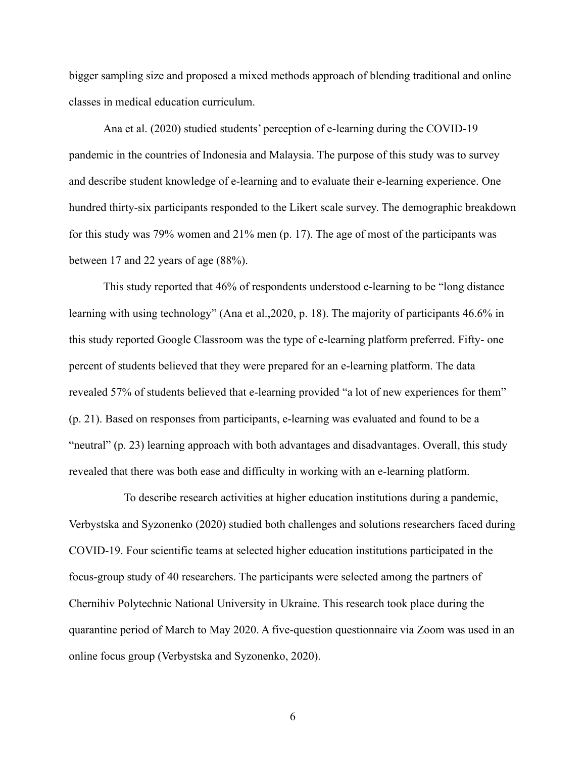bigger sampling size and proposed a mixed methods approach of blending traditional and online classes in medical education curriculum.

Ana et al. (2020) studied students' perception of e-learning during the COVID-19 pandemic in the countries of Indonesia and Malaysia. The purpose of this study was to survey and describe student knowledge of e-learning and to evaluate their e-learning experience. One hundred thirty-six participants responded to the Likert scale survey. The demographic breakdown for this study was 79% women and 21% men (p. 17). The age of most of the participants was between 17 and 22 years of age (88%).

This study reported that 46% of respondents understood e-learning to be "long distance learning with using technology" (Ana et al.,2020, p. 18). The majority of participants 46.6% in this study reported Google Classroom was the type of e-learning platform preferred. Fifty- one percent of students believed that they were prepared for an e-learning platform. The data revealed 57% of students believed that e-learning provided "a lot of new experiences for them" (p. 21). Based on responses from participants, e-learning was evaluated and found to be a "neutral" (p. 23) learning approach with both advantages and disadvantages. Overall, this study revealed that there was both ease and difficulty in working with an e-learning platform.

To describe research activities at higher education institutions during a pandemic, Verbystska and Syzonenko (2020) studied both challenges and solutions researchers faced during COVID-19. Four scientific teams at selected higher education institutions participated in the focus-group study of 40 researchers. The participants were selected among the partners of Chernihiv Polytechnic National University in Ukraine. This research took place during the quarantine period of March to May 2020. A five-question questionnaire via Zoom was used in an online focus group (Verbystska and Syzonenko, 2020).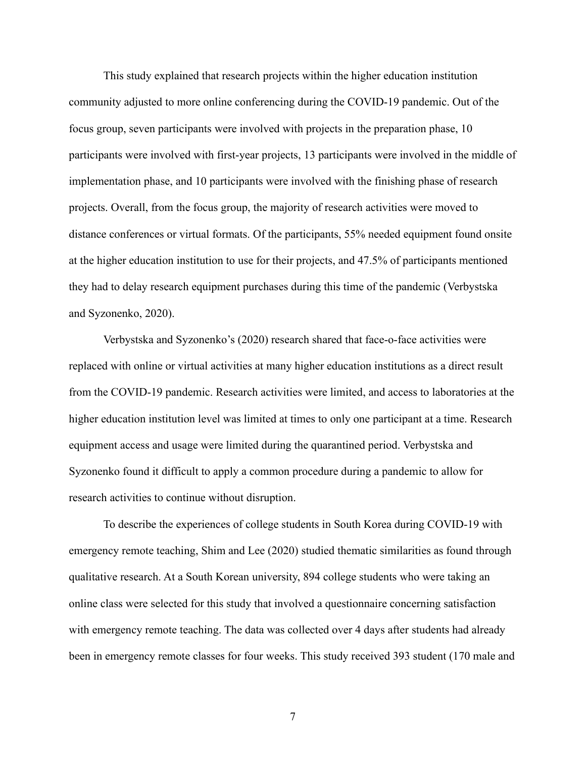This study explained that research projects within the higher education institution community adjusted to more online conferencing during the COVID-19 pandemic. Out of the focus group, seven participants were involved with projects in the preparation phase, 10 participants were involved with first-year projects, 13 participants were involved in the middle of implementation phase, and 10 participants were involved with the finishing phase of research projects. Overall, from the focus group, the majority of research activities were moved to distance conferences or virtual formats. Of the participants, 55% needed equipment found onsite at the higher education institution to use for their projects, and 47.5% of participants mentioned they had to delay research equipment purchases during this time of the pandemic (Verbystska and Syzonenko, 2020).

Verbystska and Syzonenko's (2020) research shared that face-o-face activities were replaced with online or virtual activities at many higher education institutions as a direct result from the COVID-19 pandemic. Research activities were limited, and access to laboratories at the higher education institution level was limited at times to only one participant at a time. Research equipment access and usage were limited during the quarantined period. Verbystska and Syzonenko found it difficult to apply a common procedure during a pandemic to allow for research activities to continue without disruption.

To describe the experiences of college students in South Korea during COVID-19 with emergency remote teaching, Shim and Lee (2020) studied thematic similarities as found through qualitative research. At a South Korean university, 894 college students who were taking an online class were selected for this study that involved a questionnaire concerning satisfaction with emergency remote teaching. The data was collected over 4 days after students had already been in emergency remote classes for four weeks. This study received 393 student (170 male and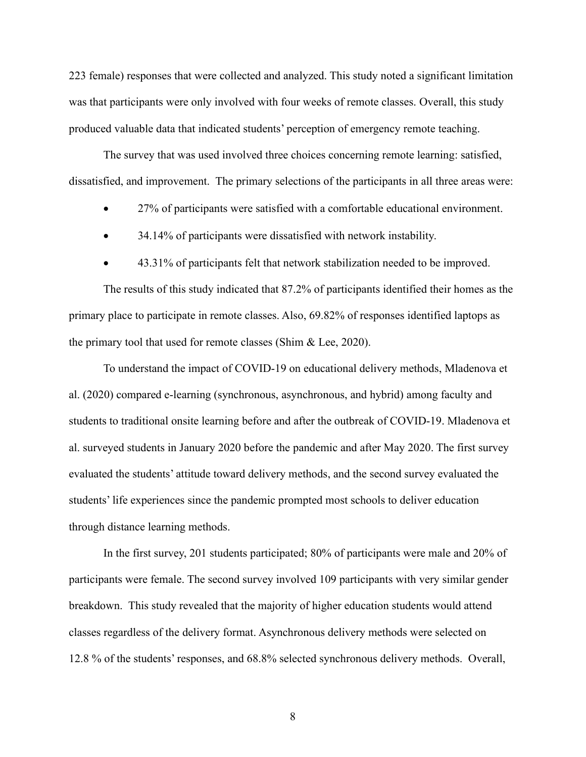223 female) responses that were collected and analyzed. This study noted a significant limitation was that participants were only involved with four weeks of remote classes. Overall, this study produced valuable data that indicated students' perception of emergency remote teaching.

The survey that was used involved three choices concerning remote learning: satisfied, dissatisfied, and improvement. The primary selections of the participants in all three areas were:

- 27% of participants were satisfied with a comfortable educational environment.
- 34.14% of participants were dissatisfied with network instability.
- 43.31% of participants felt that network stabilization needed to be improved.

The results of this study indicated that 87.2% of participants identified their homes as the primary place to participate in remote classes. Also, 69.82% of responses identified laptops as the primary tool that used for remote classes (Shim & Lee, 2020).

To understand the impact of COVID-19 on educational delivery methods, Mladenova et al. (2020) compared e-learning (synchronous, asynchronous, and hybrid) among faculty and students to traditional onsite learning before and after the outbreak of COVID-19. Mladenova et al. surveyed students in January 2020 before the pandemic and after May 2020. The first survey evaluated the students' attitude toward delivery methods, and the second survey evaluated the students' life experiences since the pandemic prompted most schools to deliver education through distance learning methods.

In the first survey, 201 students participated; 80% of participants were male and 20% of participants were female. The second survey involved 109 participants with very similar gender breakdown. This study revealed that the majority of higher education students would attend classes regardless of the delivery format. Asynchronous delivery methods were selected on 12.8 % of the students' responses, and 68.8% selected synchronous delivery methods. Overall,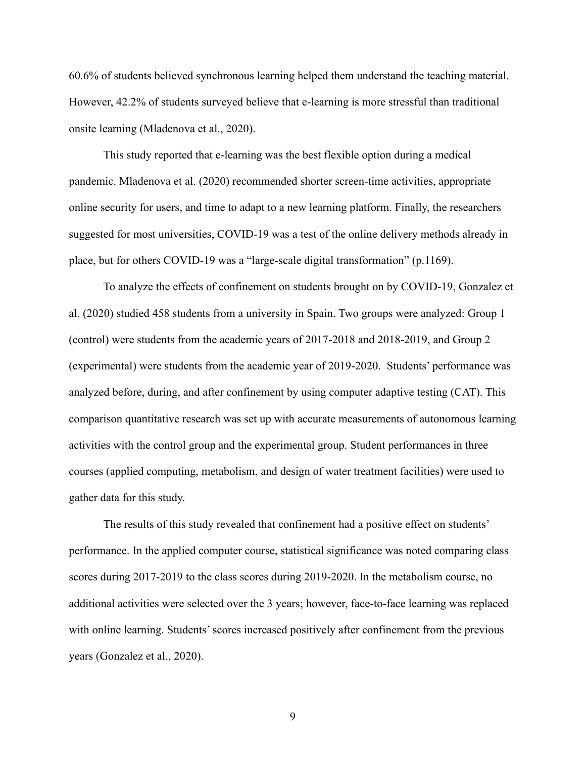60.6% of students believed synchronous learning helped them understand the teaching material. However, 42.2% of students surveyed believe that e-learning is more stressful than traditional onsite learning (Mladenova et al., 2020).

This study reported that e-learning was the best flexible option during a medical pandemic. Mladenova et al. (2020) recommended shorter screen-time activities, appropriate online security for users, and time to adapt to a new learning platform. Finally, the researchers suggested for most universities, COVID-19 was a test of the online delivery methods already in place, but for others COVID-19 was a "large-scale digital transformation" (p.1169).

To analyze the effects of confinement on students brought on by COVID-19, Gonzalez et al. (2020) studied 458 students from a university in Spain. Two groups were analyzed: Group 1 (control) were students from the academic years of 2017-2018 and 2018-2019, and Group 2 (experimental) were students from the academic year of 2019-2020. Students' performance was analyzed before, during, and after confinement by using computer adaptive testing (CAT). This comparison quantitative research was set up with accurate measurements of autonomous learning activities with the control group and the experimental group. Student performances in three courses (applied computing, metabolism, and design of water treatment facilities) were used to gather data for this study.

The results of this study revealed that confinement had a positive effect on students' performance. In the applied computer course, statistical significance was noted comparing class scores during 2017-2019 to the class scores during 2019-2020. In the metabolism course, no additional activities were selected over the 3 years; however, face-to-face learning was replaced with online learning. Students' scores increased positively after confinement from the previous years (Gonzalez et al., 2020).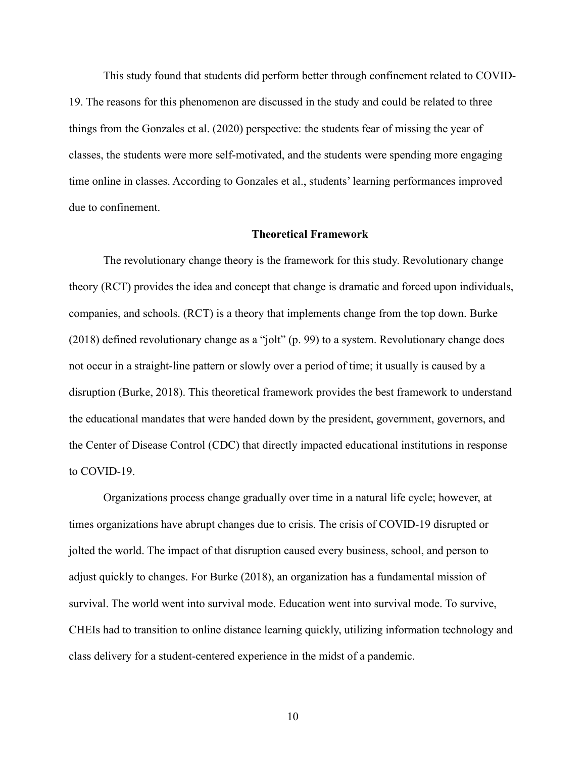This study found that students did perform better through confinement related to COVID-19. The reasons for this phenomenon are discussed in the study and could be related to three things from the Gonzales et al. (2020) perspective: the students fear of missing the year of classes, the students were more self-motivated, and the students were spending more engaging time online in classes. According to Gonzales et al., students' learning performances improved due to confinement.

#### **Theoretical Framework**

The revolutionary change theory is the framework for this study. Revolutionary change theory (RCT) provides the idea and concept that change is dramatic and forced upon individuals, companies, and schools. (RCT) is a theory that implements change from the top down. Burke (2018) defined revolutionary change as a "jolt" (p. 99) to a system. Revolutionary change does not occur in a straight-line pattern or slowly over a period of time; it usually is caused by a disruption (Burke, 2018). This theoretical framework provides the best framework to understand the educational mandates that were handed down by the president, government, governors, and the Center of Disease Control (CDC) that directly impacted educational institutions in response to COVID-19.

Organizations process change gradually over time in a natural life cycle; however, at times organizations have abrupt changes due to crisis. The crisis of COVID-19 disrupted or jolted the world. The impact of that disruption caused every business, school, and person to adjust quickly to changes. For Burke (2018), an organization has a fundamental mission of survival. The world went into survival mode. Education went into survival mode. To survive, CHEIs had to transition to online distance learning quickly, utilizing information technology and class delivery for a student-centered experience in the midst of a pandemic.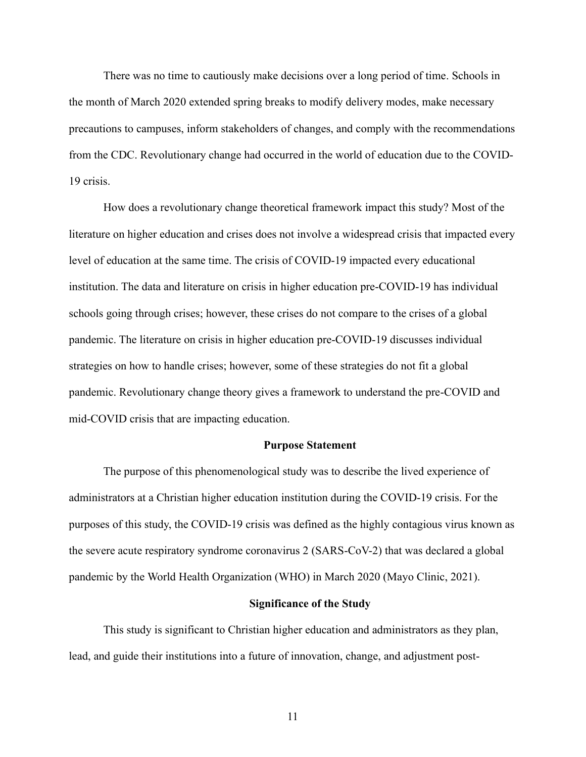There was no time to cautiously make decisions over a long period of time. Schools in the month of March 2020 extended spring breaks to modify delivery modes, make necessary precautions to campuses, inform stakeholders of changes, and comply with the recommendations from the CDC. Revolutionary change had occurred in the world of education due to the COVID-19 crisis.

How does a revolutionary change theoretical framework impact this study? Most of the literature on higher education and crises does not involve a widespread crisis that impacted every level of education at the same time. The crisis of COVID-19 impacted every educational institution. The data and literature on crisis in higher education pre-COVID-19 has individual schools going through crises; however, these crises do not compare to the crises of a global pandemic. The literature on crisis in higher education pre-COVID-19 discusses individual strategies on how to handle crises; however, some of these strategies do not fit a global pandemic. Revolutionary change theory gives a framework to understand the pre-COVID and mid-COVID crisis that are impacting education.

#### **Purpose Statement**

The purpose of this phenomenological study was to describe the lived experience of administrators at a Christian higher education institution during the COVID-19 crisis. For the purposes of this study, the COVID-19 crisis was defined as the highly contagious virus known as the severe acute respiratory syndrome coronavirus 2 (SARS-CoV-2) that was declared a global pandemic by the World Health Organization (WHO) in March 2020 (Mayo Clinic, 2021).

#### **Significance of the Study**

This study is significant to Christian higher education and administrators as they plan, lead, and guide their institutions into a future of innovation, change, and adjustment post-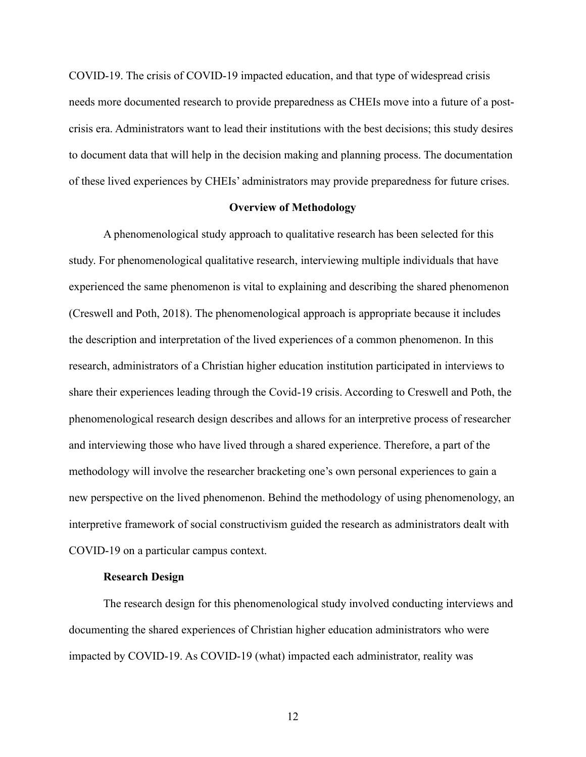COVID-19. The crisis of COVID-19 impacted education, and that type of widespread crisis needs more documented research to provide preparedness as CHEIs move into a future of a postcrisis era. Administrators want to lead their institutions with the best decisions; this study desires to document data that will help in the decision making and planning process. The documentation of these lived experiences by CHEIs' administrators may provide preparedness for future crises.

#### **Overview of Methodology**

A phenomenological study approach to qualitative research has been selected for this study. For phenomenological qualitative research, interviewing multiple individuals that have experienced the same phenomenon is vital to explaining and describing the shared phenomenon (Creswell and Poth, 2018). The phenomenological approach is appropriate because it includes the description and interpretation of the lived experiences of a common phenomenon. In this research, administrators of a Christian higher education institution participated in interviews to share their experiences leading through the Covid-19 crisis. According to Creswell and Poth, the phenomenological research design describes and allows for an interpretive process of researcher and interviewing those who have lived through a shared experience. Therefore, a part of the methodology will involve the researcher bracketing one's own personal experiences to gain a new perspective on the lived phenomenon. Behind the methodology of using phenomenology, an interpretive framework of social constructivism guided the research as administrators dealt with COVID-19 on a particular campus context.

#### **Research Design**

The research design for this phenomenological study involved conducting interviews and documenting the shared experiences of Christian higher education administrators who were impacted by COVID-19. As COVID-19 (what) impacted each administrator, reality was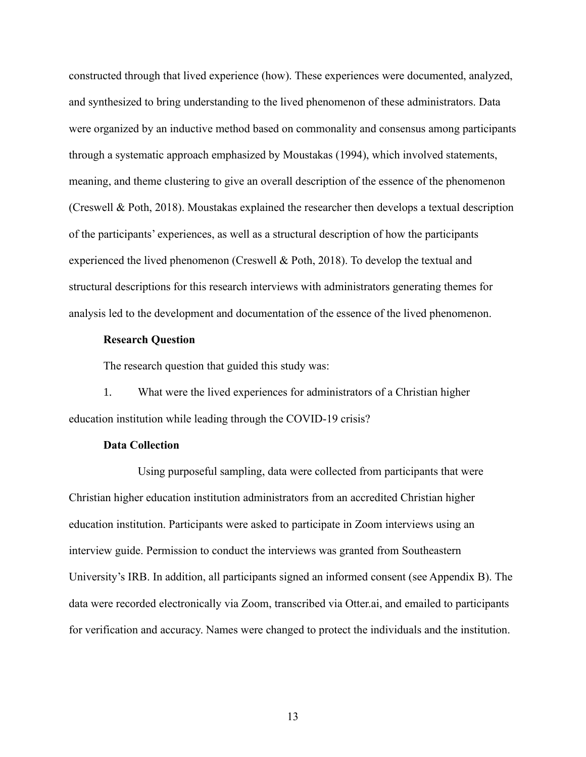constructed through that lived experience (how). These experiences were documented, analyzed, and synthesized to bring understanding to the lived phenomenon of these administrators. Data were organized by an inductive method based on commonality and consensus among participants through a systematic approach emphasized by Moustakas (1994), which involved statements, meaning, and theme clustering to give an overall description of the essence of the phenomenon (Creswell & Poth, 2018). Moustakas explained the researcher then develops a textual description of the participants' experiences, as well as a structural description of how the participants experienced the lived phenomenon (Creswell & Poth, 2018). To develop the textual and structural descriptions for this research interviews with administrators generating themes for analysis led to the development and documentation of the essence of the lived phenomenon.

#### **Research Question**

The research question that guided this study was:

1. What were the lived experiences for administrators of a Christian higher education institution while leading through the COVID-19 crisis?

#### **Data Collection**

Using purposeful sampling, data were collected from participants that were Christian higher education institution administrators from an accredited Christian higher education institution. Participants were asked to participate in Zoom interviews using an interview guide. Permission to conduct the interviews was granted from Southeastern University's IRB. In addition, all participants signed an informed consent (see Appendix B). The data were recorded electronically via Zoom, transcribed via Otter.ai, and emailed to participants for verification and accuracy. Names were changed to protect the individuals and the institution.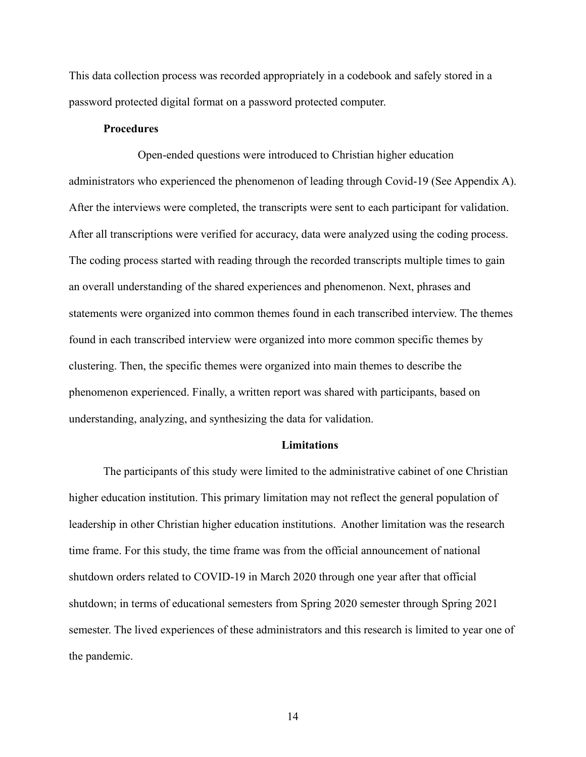This data collection process was recorded appropriately in a codebook and safely stored in a password protected digital format on a password protected computer.

#### **Procedures**

Open-ended questions were introduced to Christian higher education administrators who experienced the phenomenon of leading through Covid-19 (See Appendix A). After the interviews were completed, the transcripts were sent to each participant for validation. After all transcriptions were verified for accuracy, data were analyzed using the coding process. The coding process started with reading through the recorded transcripts multiple times to gain an overall understanding of the shared experiences and phenomenon. Next, phrases and statements were organized into common themes found in each transcribed interview. The themes found in each transcribed interview were organized into more common specific themes by clustering. Then, the specific themes were organized into main themes to describe the phenomenon experienced. Finally, a written report was shared with participants, based on understanding, analyzing, and synthesizing the data for validation.

#### **Limitations**

The participants of this study were limited to the administrative cabinet of one Christian higher education institution. This primary limitation may not reflect the general population of leadership in other Christian higher education institutions. Another limitation was the research time frame. For this study, the time frame was from the official announcement of national shutdown orders related to COVID-19 in March 2020 through one year after that official shutdown; in terms of educational semesters from Spring 2020 semester through Spring 2021 semester. The lived experiences of these administrators and this research is limited to year one of the pandemic.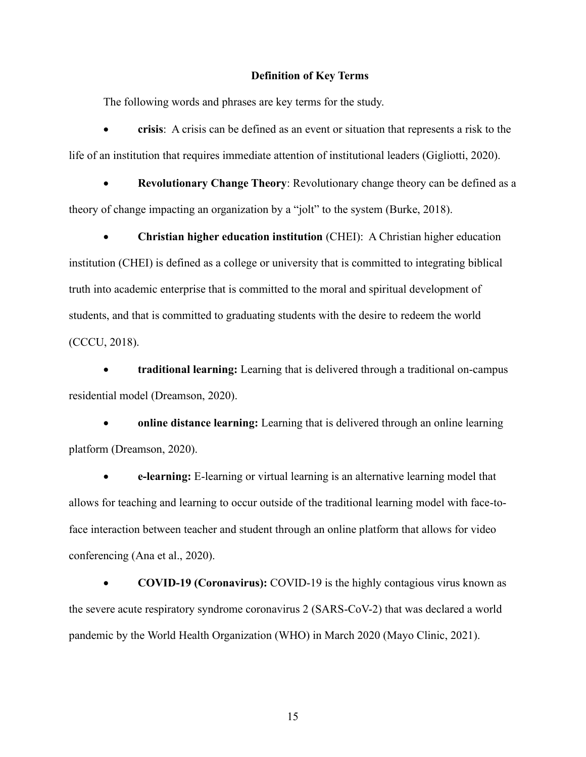#### **Definition of Key Terms**

The following words and phrases are key terms for the study.

• **crisis**: A crisis can be defined as an event or situation that represents a risk to the life of an institution that requires immediate attention of institutional leaders (Gigliotti, 2020).

• **Revolutionary Change Theory**: Revolutionary change theory can be defined as a theory of change impacting an organization by a "jolt" to the system (Burke, 2018).

• **Christian higher education institution** (CHEI): A Christian higher education institution (CHEI) is defined as a college or university that is committed to integrating biblical truth into academic enterprise that is committed to the moral and spiritual development of students, and that is committed to graduating students with the desire to redeem the world (CCCU, 2018).

• **traditional learning:** Learning that is delivered through a traditional on-campus residential model (Dreamson, 2020).

• **online distance learning:** Learning that is delivered through an online learning platform (Dreamson, 2020).

• **e-learning:** E-learning or virtual learning is an alternative learning model that allows for teaching and learning to occur outside of the traditional learning model with face-toface interaction between teacher and student through an online platform that allows for video conferencing (Ana et al., 2020).

• **COVID-19 (Coronavirus):** COVID-19 is the highly contagious virus known as the severe acute respiratory syndrome coronavirus 2 (SARS-CoV-2) that was declared a world pandemic by the World Health Organization (WHO) in March 2020 (Mayo Clinic, 2021).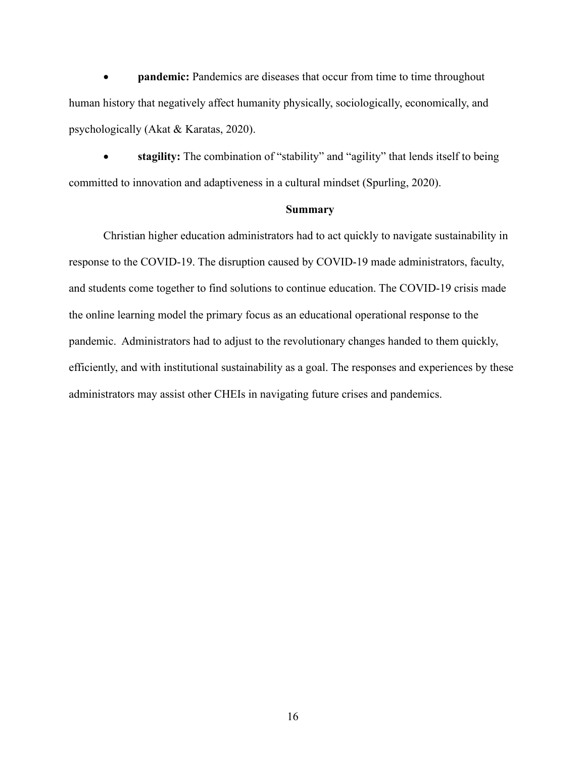• **pandemic:** Pandemics are diseases that occur from time to time throughout human history that negatively affect humanity physically, sociologically, economically, and psychologically (Akat & Karatas, 2020).

• **stagility:** The combination of "stability" and "agility" that lends itself to being committed to innovation and adaptiveness in a cultural mindset (Spurling, 2020).

#### **Summary**

Christian higher education administrators had to act quickly to navigate sustainability in response to the COVID-19. The disruption caused by COVID-19 made administrators, faculty, and students come together to find solutions to continue education. The COVID-19 crisis made the online learning model the primary focus as an educational operational response to the pandemic. Administrators had to adjust to the revolutionary changes handed to them quickly, efficiently, and with institutional sustainability as a goal. The responses and experiences by these administrators may assist other CHEIs in navigating future crises and pandemics.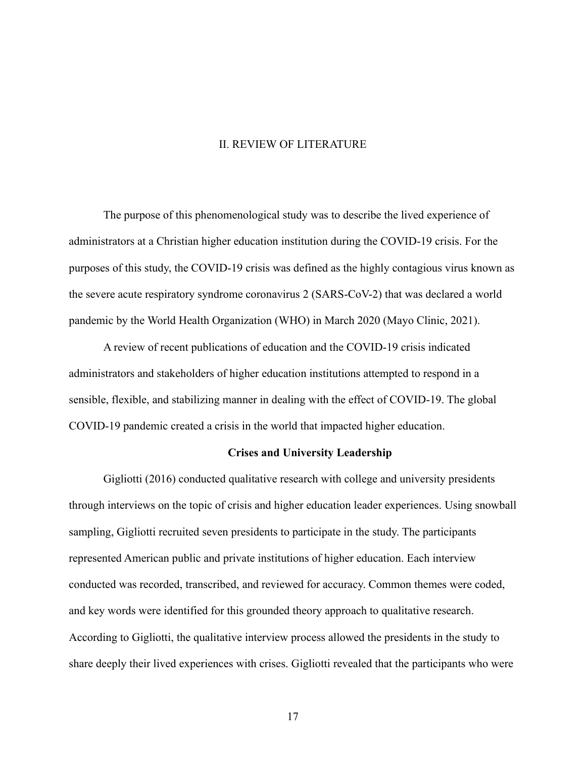#### II. REVIEW OF LITERATURE

The purpose of this phenomenological study was to describe the lived experience of administrators at a Christian higher education institution during the COVID-19 crisis. For the purposes of this study, the COVID-19 crisis was defined as the highly contagious virus known as the severe acute respiratory syndrome coronavirus 2 (SARS-CoV-2) that was declared a world pandemic by the World Health Organization (WHO) in March 2020 (Mayo Clinic, 2021).

A review of recent publications of education and the COVID-19 crisis indicated administrators and stakeholders of higher education institutions attempted to respond in a sensible, flexible, and stabilizing manner in dealing with the effect of COVID-19. The global COVID-19 pandemic created a crisis in the world that impacted higher education.

#### **Crises and University Leadership**

Gigliotti (2016) conducted qualitative research with college and university presidents through interviews on the topic of crisis and higher education leader experiences. Using snowball sampling, Gigliotti recruited seven presidents to participate in the study. The participants represented American public and private institutions of higher education. Each interview conducted was recorded, transcribed, and reviewed for accuracy. Common themes were coded, and key words were identified for this grounded theory approach to qualitative research. According to Gigliotti, the qualitative interview process allowed the presidents in the study to share deeply their lived experiences with crises. Gigliotti revealed that the participants who were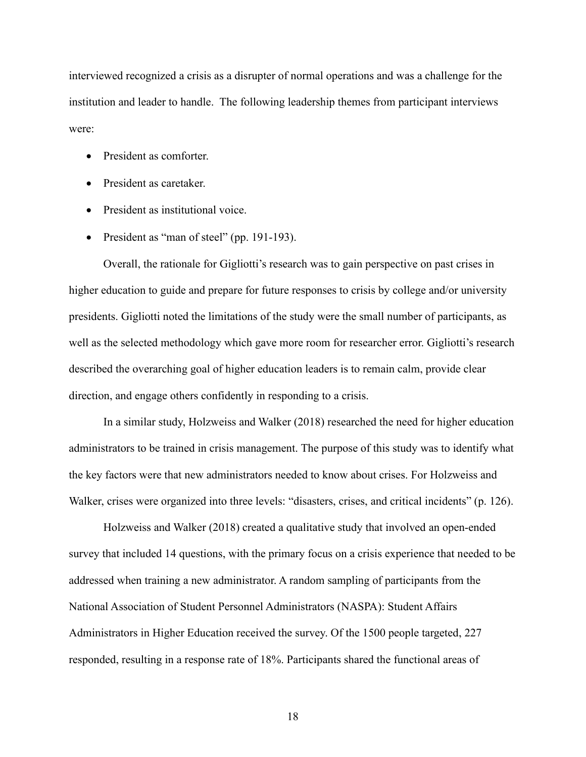interviewed recognized a crisis as a disrupter of normal operations and was a challenge for the institution and leader to handle. The following leadership themes from participant interviews were:

- President as comforter.
- President as caretaker.
- President as institutional voice.
- President as "man of steel" (pp. 191-193).

Overall, the rationale for Gigliotti's research was to gain perspective on past crises in higher education to guide and prepare for future responses to crisis by college and/or university presidents. Gigliotti noted the limitations of the study were the small number of participants, as well as the selected methodology which gave more room for researcher error. Gigliotti's research described the overarching goal of higher education leaders is to remain calm, provide clear direction, and engage others confidently in responding to a crisis.

In a similar study, Holzweiss and Walker (2018) researched the need for higher education administrators to be trained in crisis management. The purpose of this study was to identify what the key factors were that new administrators needed to know about crises. For Holzweiss and Walker, crises were organized into three levels: "disasters, crises, and critical incidents" (p. 126).

Holzweiss and Walker (2018) created a qualitative study that involved an open-ended survey that included 14 questions, with the primary focus on a crisis experience that needed to be addressed when training a new administrator. A random sampling of participants from the National Association of Student Personnel Administrators (NASPA): Student Affairs Administrators in Higher Education received the survey. Of the 1500 people targeted, 227 responded, resulting in a response rate of 18%. Participants shared the functional areas of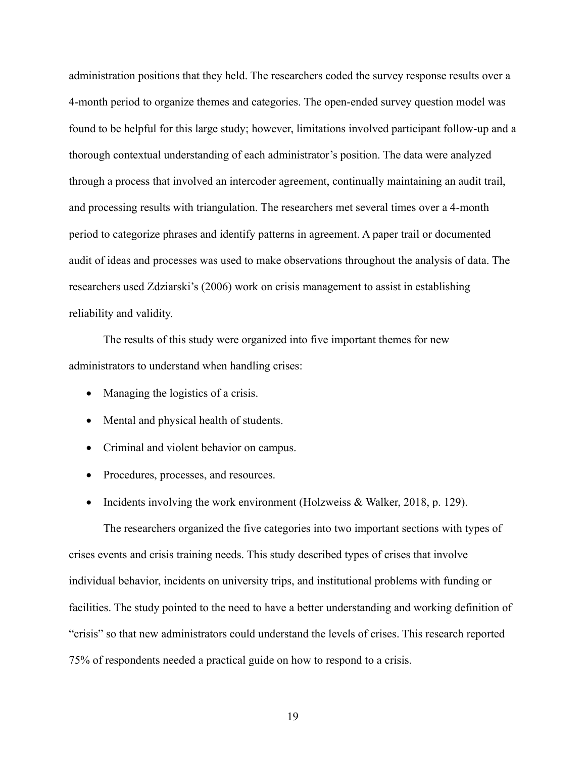administration positions that they held. The researchers coded the survey response results over a 4-month period to organize themes and categories. The open-ended survey question model was found to be helpful for this large study; however, limitations involved participant follow-up and a thorough contextual understanding of each administrator's position. The data were analyzed through a process that involved an intercoder agreement, continually maintaining an audit trail, and processing results with triangulation. The researchers met several times over a 4-month period to categorize phrases and identify patterns in agreement. A paper trail or documented audit of ideas and processes was used to make observations throughout the analysis of data. The researchers used Zdziarski's (2006) work on crisis management to assist in establishing reliability and validity.

The results of this study were organized into five important themes for new administrators to understand when handling crises:

- Managing the logistics of a crisis.
- Mental and physical health of students.
- Criminal and violent behavior on campus.
- Procedures, processes, and resources.
- Incidents involving the work environment (Holzweiss & Walker, 2018, p. 129).

The researchers organized the five categories into two important sections with types of crises events and crisis training needs. This study described types of crises that involve individual behavior, incidents on university trips, and institutional problems with funding or facilities. The study pointed to the need to have a better understanding and working definition of "crisis" so that new administrators could understand the levels of crises. This research reported 75% of respondents needed a practical guide on how to respond to a crisis.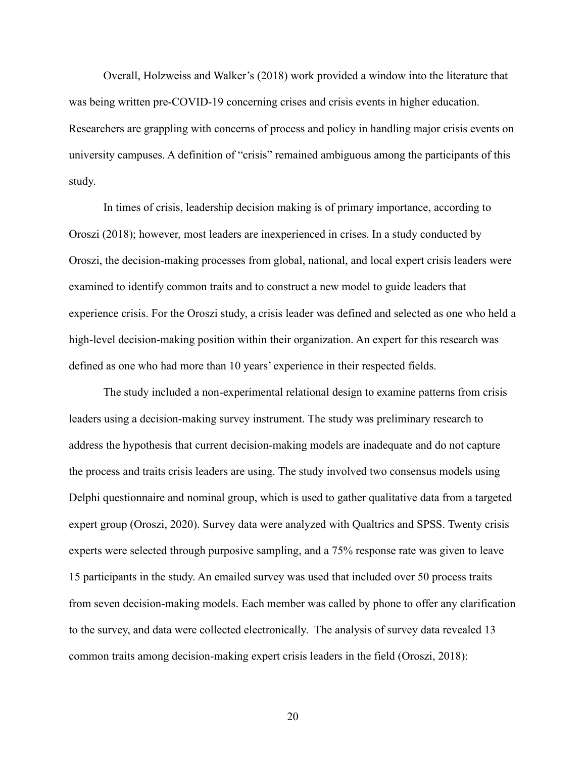Overall, Holzweiss and Walker's (2018) work provided a window into the literature that was being written pre-COVID-19 concerning crises and crisis events in higher education. Researchers are grappling with concerns of process and policy in handling major crisis events on university campuses. A definition of "crisis" remained ambiguous among the participants of this study.

In times of crisis, leadership decision making is of primary importance, according to Oroszi (2018); however, most leaders are inexperienced in crises. In a study conducted by Oroszi, the decision-making processes from global, national, and local expert crisis leaders were examined to identify common traits and to construct a new model to guide leaders that experience crisis. For the Oroszi study, a crisis leader was defined and selected as one who held a high-level decision-making position within their organization. An expert for this research was defined as one who had more than 10 years' experience in their respected fields.

The study included a non-experimental relational design to examine patterns from crisis leaders using a decision-making survey instrument. The study was preliminary research to address the hypothesis that current decision-making models are inadequate and do not capture the process and traits crisis leaders are using. The study involved two consensus models using Delphi questionnaire and nominal group, which is used to gather qualitative data from a targeted expert group (Oroszi, 2020). Survey data were analyzed with Qualtrics and SPSS. Twenty crisis experts were selected through purposive sampling, and a 75% response rate was given to leave 15 participants in the study. An emailed survey was used that included over 50 process traits from seven decision-making models. Each member was called by phone to offer any clarification to the survey, and data were collected electronically. The analysis of survey data revealed 13 common traits among decision-making expert crisis leaders in the field (Oroszi, 2018):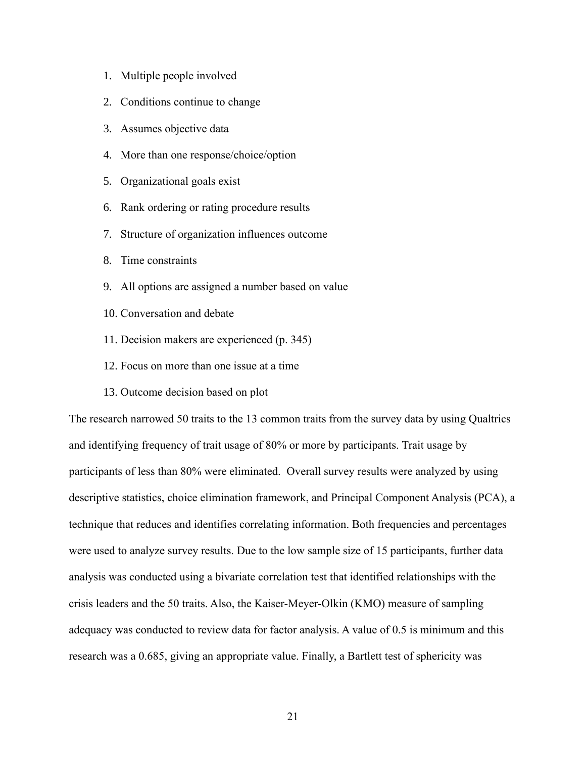- 1. Multiple people involved
- 2. Conditions continue to change
- 3. Assumes objective data
- 4. More than one response/choice/option
- 5. Organizational goals exist
- 6. Rank ordering or rating procedure results
- 7. Structure of organization influences outcome
- 8. Time constraints
- 9. All options are assigned a number based on value
- 10. Conversation and debate
- 11. Decision makers are experienced (p. 345)
- 12. Focus on more than one issue at a time
- 13. Outcome decision based on plot

The research narrowed 50 traits to the 13 common traits from the survey data by using Qualtrics and identifying frequency of trait usage of 80% or more by participants. Trait usage by participants of less than 80% were eliminated. Overall survey results were analyzed by using descriptive statistics, choice elimination framework, and Principal Component Analysis (PCA), a technique that reduces and identifies correlating information. Both frequencies and percentages were used to analyze survey results. Due to the low sample size of 15 participants, further data analysis was conducted using a bivariate correlation test that identified relationships with the crisis leaders and the 50 traits. Also, the Kaiser-Meyer-Olkin (KMO) measure of sampling adequacy was conducted to review data for factor analysis. A value of 0.5 is minimum and this research was a 0.685, giving an appropriate value. Finally, a Bartlett test of sphericity was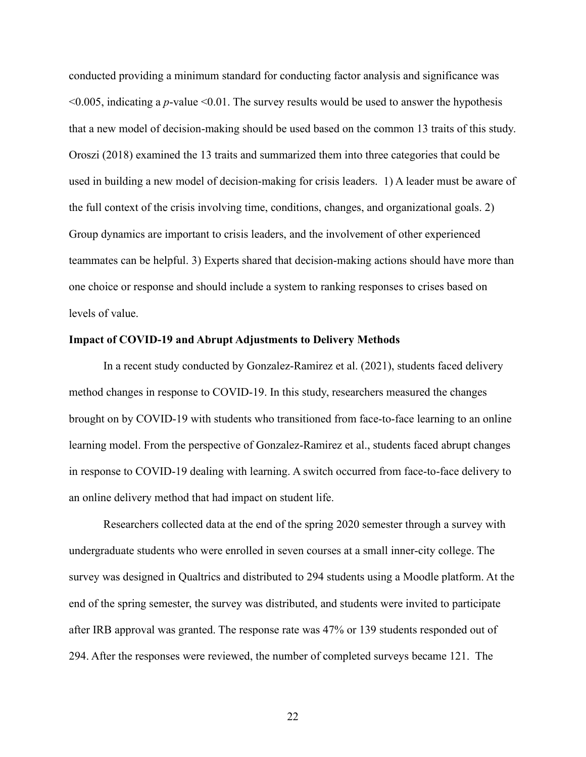conducted providing a minimum standard for conducting factor analysis and significance was <0.005, indicating a *p*-value <0.01. The survey results would be used to answer the hypothesis that a new model of decision-making should be used based on the common 13 traits of this study. Oroszi (2018) examined the 13 traits and summarized them into three categories that could be used in building a new model of decision-making for crisis leaders. 1) A leader must be aware of the full context of the crisis involving time, conditions, changes, and organizational goals. 2) Group dynamics are important to crisis leaders, and the involvement of other experienced teammates can be helpful. 3) Experts shared that decision-making actions should have more than one choice or response and should include a system to ranking responses to crises based on levels of value.

#### **Impact of COVID-19 and Abrupt Adjustments to Delivery Methods**

In a recent study conducted by Gonzalez-Ramirez et al. (2021), students faced delivery method changes in response to COVID-19. In this study, researchers measured the changes brought on by COVID-19 with students who transitioned from face-to-face learning to an online learning model. From the perspective of Gonzalez-Ramirez et al., students faced abrupt changes in response to COVID-19 dealing with learning. A switch occurred from face-to-face delivery to an online delivery method that had impact on student life.

Researchers collected data at the end of the spring 2020 semester through a survey with undergraduate students who were enrolled in seven courses at a small inner-city college. The survey was designed in Qualtrics and distributed to 294 students using a Moodle platform. At the end of the spring semester, the survey was distributed, and students were invited to participate after IRB approval was granted. The response rate was 47% or 139 students responded out of 294. After the responses were reviewed, the number of completed surveys became 121. The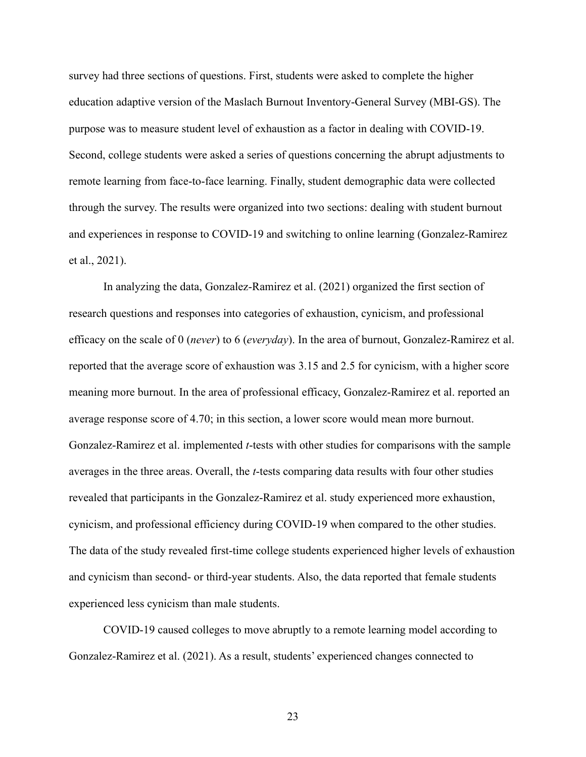survey had three sections of questions. First, students were asked to complete the higher education adaptive version of the Maslach Burnout Inventory-General Survey (MBI-GS). The purpose was to measure student level of exhaustion as a factor in dealing with COVID-19. Second, college students were asked a series of questions concerning the abrupt adjustments to remote learning from face-to-face learning. Finally, student demographic data were collected through the survey. The results were organized into two sections: dealing with student burnout and experiences in response to COVID-19 and switching to online learning (Gonzalez-Ramirez et al., 2021).

In analyzing the data, Gonzalez-Ramirez et al. (2021) organized the first section of research questions and responses into categories of exhaustion, cynicism, and professional efficacy on the scale of 0 (*never*) to 6 (*everyday*). In the area of burnout, Gonzalez-Ramirez et al. reported that the average score of exhaustion was 3.15 and 2.5 for cynicism, with a higher score meaning more burnout. In the area of professional efficacy, Gonzalez-Ramirez et al. reported an average response score of 4.70; in this section, a lower score would mean more burnout. Gonzalez-Ramirez et al. implemented *t*-tests with other studies for comparisons with the sample averages in the three areas. Overall, the *t*-tests comparing data results with four other studies revealed that participants in the Gonzalez-Ramirez et al. study experienced more exhaustion, cynicism, and professional efficiency during COVID-19 when compared to the other studies. The data of the study revealed first-time college students experienced higher levels of exhaustion and cynicism than second- or third-year students. Also, the data reported that female students experienced less cynicism than male students.

COVID-19 caused colleges to move abruptly to a remote learning model according to Gonzalez-Ramirez et al. (2021). As a result, students' experienced changes connected to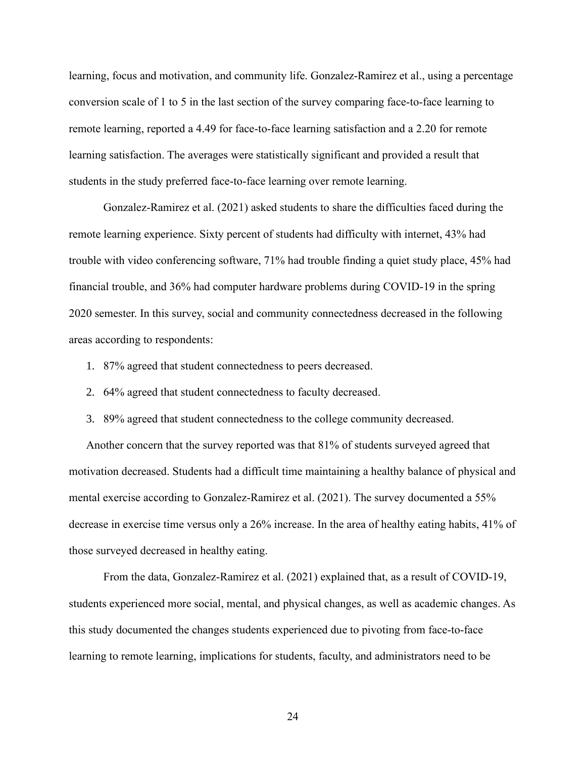learning, focus and motivation, and community life. Gonzalez-Ramirez et al., using a percentage conversion scale of 1 to 5 in the last section of the survey comparing face-to-face learning to remote learning, reported a 4.49 for face-to-face learning satisfaction and a 2.20 for remote learning satisfaction. The averages were statistically significant and provided a result that students in the study preferred face-to-face learning over remote learning.

Gonzalez-Ramirez et al. (2021) asked students to share the difficulties faced during the remote learning experience. Sixty percent of students had difficulty with internet, 43% had trouble with video conferencing software, 71% had trouble finding a quiet study place, 45% had financial trouble, and 36% had computer hardware problems during COVID-19 in the spring 2020 semester. In this survey, social and community connectedness decreased in the following areas according to respondents:

- 1. 87% agreed that student connectedness to peers decreased.
- 2. 64% agreed that student connectedness to faculty decreased.
- 3. 89% agreed that student connectedness to the college community decreased.

Another concern that the survey reported was that 81% of students surveyed agreed that motivation decreased. Students had a difficult time maintaining a healthy balance of physical and mental exercise according to Gonzalez-Ramirez et al. (2021). The survey documented a 55% decrease in exercise time versus only a 26% increase. In the area of healthy eating habits, 41% of those surveyed decreased in healthy eating.

From the data, Gonzalez-Ramirez et al. (2021) explained that, as a result of COVID-19, students experienced more social, mental, and physical changes, as well as academic changes. As this study documented the changes students experienced due to pivoting from face-to-face learning to remote learning, implications for students, faculty, and administrators need to be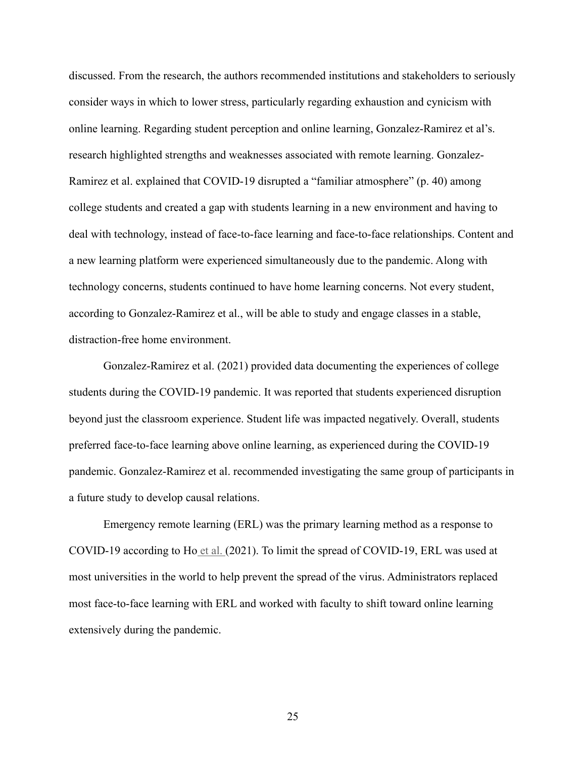discussed. From the research, the authors recommended institutions and stakeholders to seriously consider ways in which to lower stress, particularly regarding exhaustion and cynicism with online learning. Regarding student perception and online learning, Gonzalez-Ramirez et al's. research highlighted strengths and weaknesses associated with remote learning. Gonzalez-Ramirez et al. explained that COVID-19 disrupted a "familiar atmosphere" (p. 40) among college students and created a gap with students learning in a new environment and having to deal with technology, instead of face-to-face learning and face-to-face relationships. Content and a new learning platform were experienced simultaneously due to the pandemic. Along with technology concerns, students continued to have home learning concerns. Not every student, according to Gonzalez-Ramirez et al., will be able to study and engage classes in a stable, distraction-free home environment.

Gonzalez-Ramirez et al. (2021) provided data documenting the experiences of college students during the COVID-19 pandemic. It was reported that students experienced disruption beyond just the classroom experience. Student life was impacted negatively. Overall, students preferred face-to-face learning above online learning, as experienced during the COVID-19 pandemic. Gonzalez-Ramirez et al. recommended investigating the same group of participants in a future study to develop causal relations.

Emergency remote learning (ERL) was the primary learning method as a response to COVID-19 according to Ho et al. (2021). To limit the spread of COVID-19, ERL was used at most universities in the world to help prevent the spread of the virus. Administrators replaced most face-to-face learning with ERL and worked with faculty to shift toward online learning extensively during the pandemic.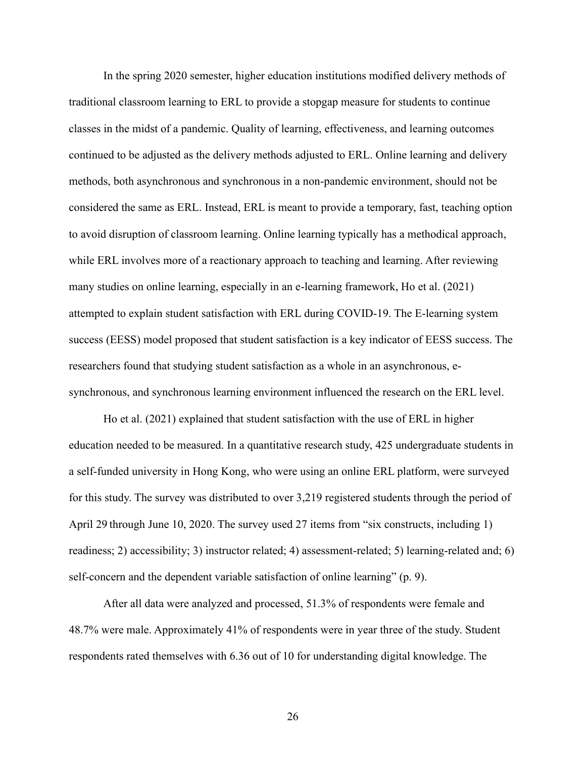In the spring 2020 semester, higher education institutions modified delivery methods of traditional classroom learning to ERL to provide a stopgap measure for students to continue classes in the midst of a pandemic. Quality of learning, effectiveness, and learning outcomes continued to be adjusted as the delivery methods adjusted to ERL. Online learning and delivery methods, both asynchronous and synchronous in a non-pandemic environment, should not be considered the same as ERL. Instead, ERL is meant to provide a temporary, fast, teaching option to avoid disruption of classroom learning. Online learning typically has a methodical approach, while ERL involves more of a reactionary approach to teaching and learning. After reviewing many studies on online learning, especially in an e-learning framework, Ho et al. (2021) attempted to explain student satisfaction with ERL during COVID-19. The E-learning system success (EESS) model proposed that student satisfaction is a key indicator of EESS success. The researchers found that studying student satisfaction as a whole in an asynchronous, esynchronous, and synchronous learning environment influenced the research on the ERL level.

Ho et al. (2021) explained that student satisfaction with the use of ERL in higher education needed to be measured. In a quantitative research study, 425 undergraduate students in a self-funded university in Hong Kong, who were using an online ERL platform, were surveyed for this study. The survey was distributed to over 3,219 registered students through the period of April 29 through June 10, 2020. The survey used 27 items from "six constructs, including 1) readiness; 2) accessibility; 3) instructor related; 4) assessment-related; 5) learning-related and; 6) self-concern and the dependent variable satisfaction of online learning" (p. 9).

After all data were analyzed and processed, 51.3% of respondents were female and 48.7% were male. Approximately 41% of respondents were in year three of the study. Student respondents rated themselves with 6.36 out of 10 for understanding digital knowledge. The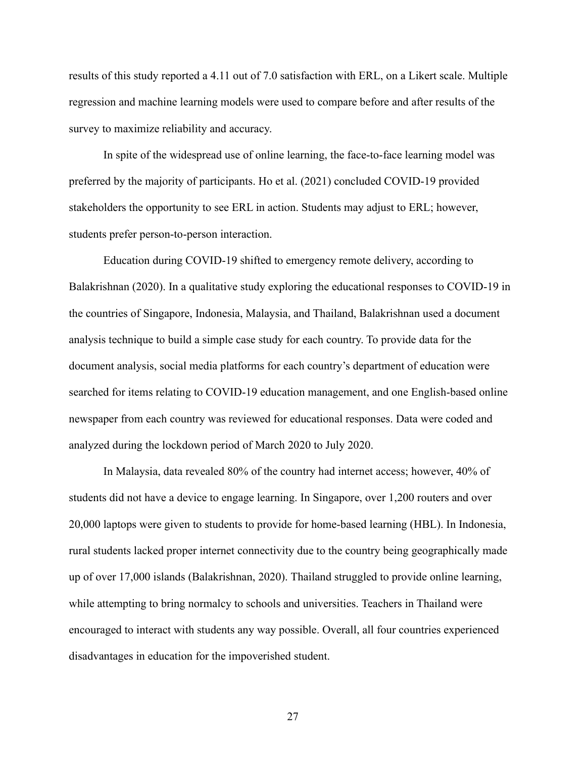results of this study reported a 4.11 out of 7.0 satisfaction with ERL, on a Likert scale. Multiple regression and machine learning models were used to compare before and after results of the survey to maximize reliability and accuracy.

In spite of the widespread use of online learning, the face-to-face learning model was preferred by the majority of participants. Ho et al. (2021) concluded COVID-19 provided stakeholders the opportunity to see ERL in action. Students may adjust to ERL; however, students prefer person-to-person interaction.

Education during COVID-19 shifted to emergency remote delivery, according to Balakrishnan (2020). In a qualitative study exploring the educational responses to COVID-19 in the countries of Singapore, Indonesia, Malaysia, and Thailand, Balakrishnan used a document analysis technique to build a simple case study for each country. To provide data for the document analysis, social media platforms for each country's department of education were searched for items relating to COVID-19 education management, and one English-based online newspaper from each country was reviewed for educational responses. Data were coded and analyzed during the lockdown period of March 2020 to July 2020.

In Malaysia, data revealed 80% of the country had internet access; however, 40% of students did not have a device to engage learning. In Singapore, over 1,200 routers and over 20,000 laptops were given to students to provide for home-based learning (HBL). In Indonesia, rural students lacked proper internet connectivity due to the country being geographically made up of over 17,000 islands (Balakrishnan, 2020). Thailand struggled to provide online learning, while attempting to bring normalcy to schools and universities. Teachers in Thailand were encouraged to interact with students any way possible. Overall, all four countries experienced disadvantages in education for the impoverished student.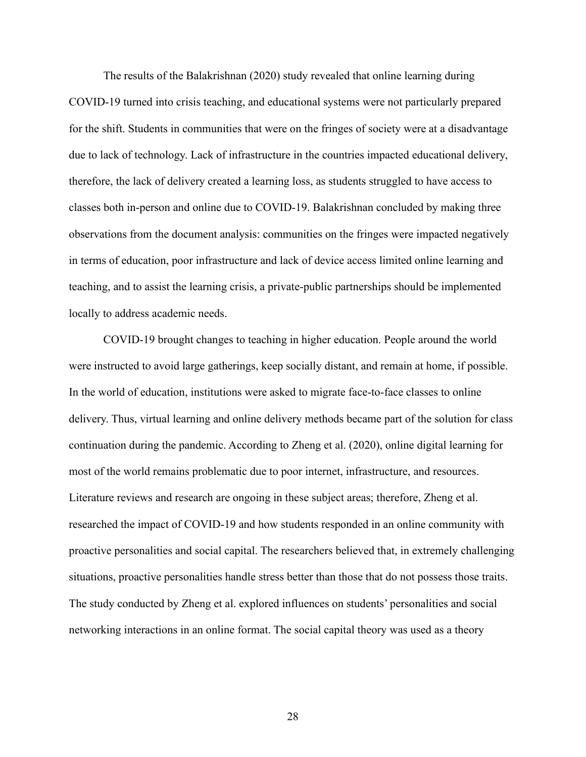The results of the Balakrishnan (2020) study revealed that online learning during COVID-19 turned into crisis teaching, and educational systems were not particularly prepared for the shift. Students in communities that were on the fringes of society were at a disadvantage due to lack of technology. Lack of infrastructure in the countries impacted educational delivery, therefore, the lack of delivery created a learning loss, as students struggled to have access to classes both in-person and online due to COVID-19. Balakrishnan concluded by making three observations from the document analysis: communities on the fringes were impacted negatively in terms of education, poor infrastructure and lack of device access limited online learning and teaching, and to assist the learning crisis, a private-public partnerships should be implemented locally to address academic needs.

COVID-19 brought changes to teaching in higher education. People around the world were instructed to avoid large gatherings, keep socially distant, and remain at home, if possible. In the world of education, institutions were asked to migrate face-to-face classes to online delivery. Thus, virtual learning and online delivery methods became part of the solution for class continuation during the pandemic. According to Zheng et al. (2020), online digital learning for most of the world remains problematic due to poor internet, infrastructure, and resources. Literature reviews and research are ongoing in these subject areas; therefore, Zheng et al. researched the impact of COVID-19 and how students responded in an online community with proactive personalities and social capital. The researchers believed that, in extremely challenging situations, proactive personalities handle stress better than those that do not possess those traits. The study conducted by Zheng et al. explored influences on students' personalities and social networking interactions in an online format. The social capital theory was used as a theory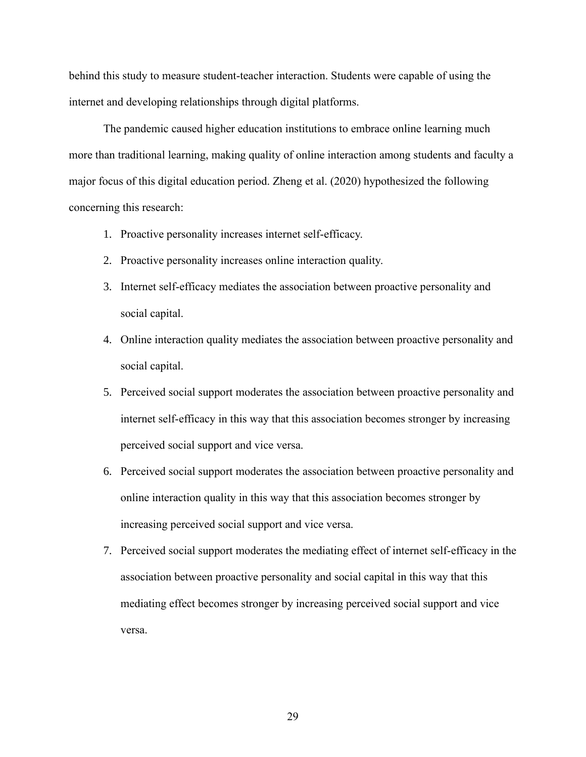behind this study to measure student-teacher interaction. Students were capable of using the internet and developing relationships through digital platforms.

The pandemic caused higher education institutions to embrace online learning much more than traditional learning, making quality of online interaction among students and faculty a major focus of this digital education period. Zheng et al. (2020) hypothesized the following concerning this research:

- 1. Proactive personality increases internet self-efficacy.
- 2. Proactive personality increases online interaction quality.
- 3. Internet self-efficacy mediates the association between proactive personality and social capital.
- 4. Online interaction quality mediates the association between proactive personality and social capital.
- 5. Perceived social support moderates the association between proactive personality and internet self-efficacy in this way that this association becomes stronger by increasing perceived social support and vice versa.
- 6. Perceived social support moderates the association between proactive personality and online interaction quality in this way that this association becomes stronger by increasing perceived social support and vice versa.
- 7. Perceived social support moderates the mediating effect of internet self-efficacy in the association between proactive personality and social capital in this way that this mediating effect becomes stronger by increasing perceived social support and vice versa.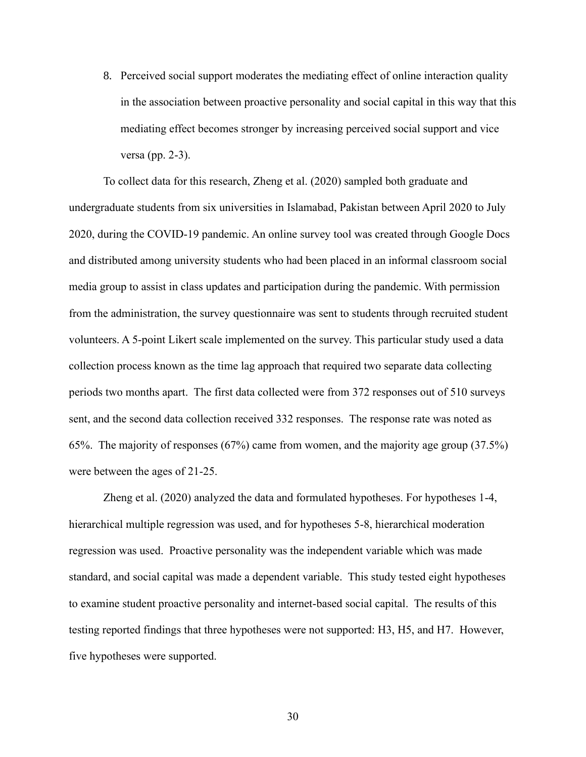8. Perceived social support moderates the mediating effect of online interaction quality in the association between proactive personality and social capital in this way that this mediating effect becomes stronger by increasing perceived social support and vice versa (pp. 2-3).

To collect data for this research, Zheng et al. (2020) sampled both graduate and undergraduate students from six universities in Islamabad, Pakistan between April 2020 to July 2020, during the COVID-19 pandemic. An online survey tool was created through Google Docs and distributed among university students who had been placed in an informal classroom social media group to assist in class updates and participation during the pandemic. With permission from the administration, the survey questionnaire was sent to students through recruited student volunteers. A 5-point Likert scale implemented on the survey. This particular study used a data collection process known as the time lag approach that required two separate data collecting periods two months apart. The first data collected were from 372 responses out of 510 surveys sent, and the second data collection received 332 responses. The response rate was noted as 65%. The majority of responses (67%) came from women, and the majority age group (37.5%) were between the ages of 21-25.

Zheng et al. (2020) analyzed the data and formulated hypotheses. For hypotheses 1-4, hierarchical multiple regression was used, and for hypotheses 5-8, hierarchical moderation regression was used. Proactive personality was the independent variable which was made standard, and social capital was made a dependent variable. This study tested eight hypotheses to examine student proactive personality and internet-based social capital. The results of this testing reported findings that three hypotheses were not supported: H3, H5, and H7. However, five hypotheses were supported.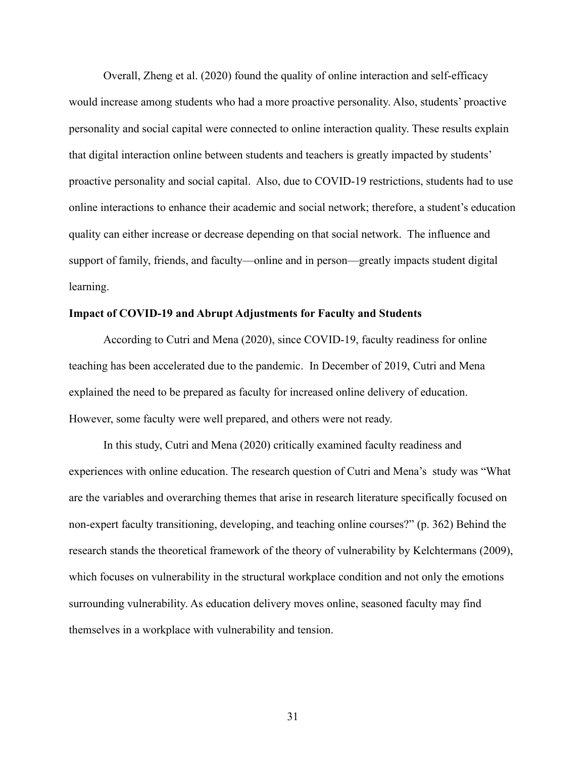Overall, Zheng et al. (2020) found the quality of online interaction and self-efficacy would increase among students who had a more proactive personality. Also, students' proactive personality and social capital were connected to online interaction quality. These results explain that digital interaction online between students and teachers is greatly impacted by students' proactive personality and social capital. Also, due to COVID-19 restrictions, students had to use online interactions to enhance their academic and social network; therefore, a student's education quality can either increase or decrease depending on that social network. The influence and support of family, friends, and faculty—online and in person—greatly impacts student digital learning.

## **Impact of COVID-19 and Abrupt Adjustments for Faculty and Students**

According to Cutri and Mena (2020), since COVID-19, faculty readiness for online teaching has been accelerated due to the pandemic. In December of 2019, Cutri and Mena explained the need to be prepared as faculty for increased online delivery of education. However, some faculty were well prepared, and others were not ready.

In this study, Cutri and Mena (2020) critically examined faculty readiness and experiences with online education. The research question of Cutri and Mena's study was "What are the variables and overarching themes that arise in research literature specifically focused on non-expert faculty transitioning, developing, and teaching online courses?" (p. 362) Behind the research stands the theoretical framework of the theory of vulnerability by Kelchtermans (2009), which focuses on vulnerability in the structural workplace condition and not only the emotions surrounding vulnerability. As education delivery moves online, seasoned faculty may find themselves in a workplace with vulnerability and tension.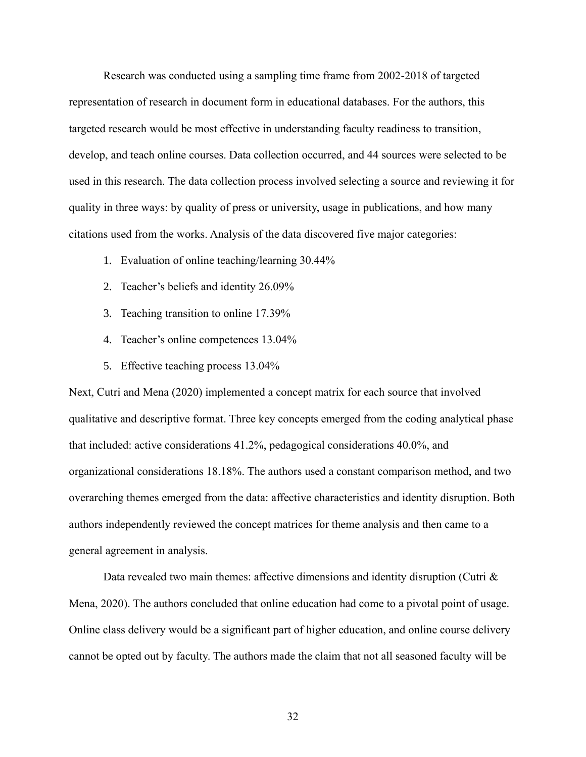Research was conducted using a sampling time frame from 2002-2018 of targeted representation of research in document form in educational databases. For the authors, this targeted research would be most effective in understanding faculty readiness to transition, develop, and teach online courses. Data collection occurred, and 44 sources were selected to be used in this research. The data collection process involved selecting a source and reviewing it for quality in three ways: by quality of press or university, usage in publications, and how many citations used from the works. Analysis of the data discovered five major categories:

- 1. Evaluation of online teaching/learning 30.44%
- 2. Teacher's beliefs and identity 26.09%
- 3. Teaching transition to online 17.39%
- 4. Teacher's online competences 13.04%
- 5. Effective teaching process 13.04%

Next, Cutri and Mena (2020) implemented a concept matrix for each source that involved qualitative and descriptive format. Three key concepts emerged from the coding analytical phase that included: active considerations 41.2%, pedagogical considerations 40.0%, and organizational considerations 18.18%. The authors used a constant comparison method, and two overarching themes emerged from the data: affective characteristics and identity disruption. Both authors independently reviewed the concept matrices for theme analysis and then came to a general agreement in analysis.

Data revealed two main themes: affective dimensions and identity disruption (Cutri  $\&$ Mena, 2020). The authors concluded that online education had come to a pivotal point of usage. Online class delivery would be a significant part of higher education, and online course delivery cannot be opted out by faculty. The authors made the claim that not all seasoned faculty will be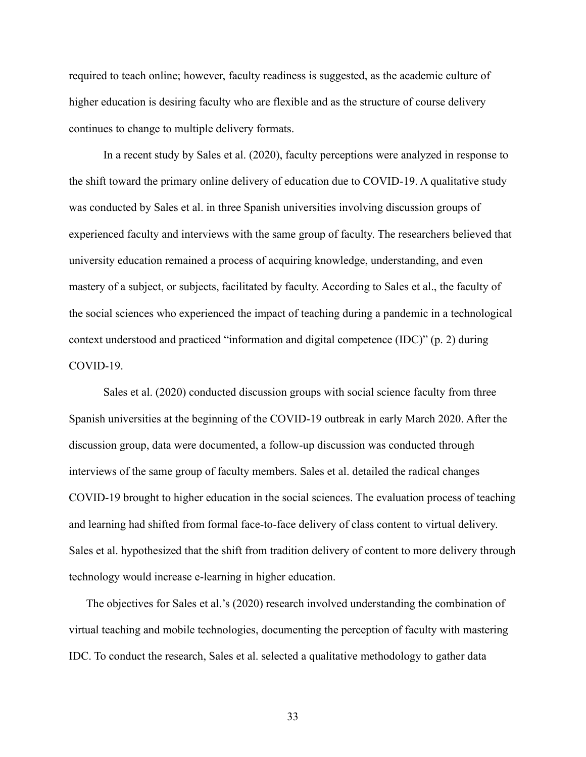required to teach online; however, faculty readiness is suggested, as the academic culture of higher education is desiring faculty who are flexible and as the structure of course delivery continues to change to multiple delivery formats.

In a recent study by Sales et al. (2020), faculty perceptions were analyzed in response to the shift toward the primary online delivery of education due to COVID-19. A qualitative study was conducted by Sales et al. in three Spanish universities involving discussion groups of experienced faculty and interviews with the same group of faculty. The researchers believed that university education remained a process of acquiring knowledge, understanding, and even mastery of a subject, or subjects, facilitated by faculty. According to Sales et al., the faculty of the social sciences who experienced the impact of teaching during a pandemic in a technological context understood and practiced "information and digital competence (IDC)" (p. 2) during COVID-19.

Sales et al. (2020) conducted discussion groups with social science faculty from three Spanish universities at the beginning of the COVID-19 outbreak in early March 2020. After the discussion group, data were documented, a follow-up discussion was conducted through interviews of the same group of faculty members. Sales et al. detailed the radical changes COVID-19 brought to higher education in the social sciences. The evaluation process of teaching and learning had shifted from formal face-to-face delivery of class content to virtual delivery. Sales et al. hypothesized that the shift from tradition delivery of content to more delivery through technology would increase e-learning in higher education.

The objectives for Sales et al.'s (2020) research involved understanding the combination of virtual teaching and mobile technologies, documenting the perception of faculty with mastering IDC. To conduct the research, Sales et al. selected a qualitative methodology to gather data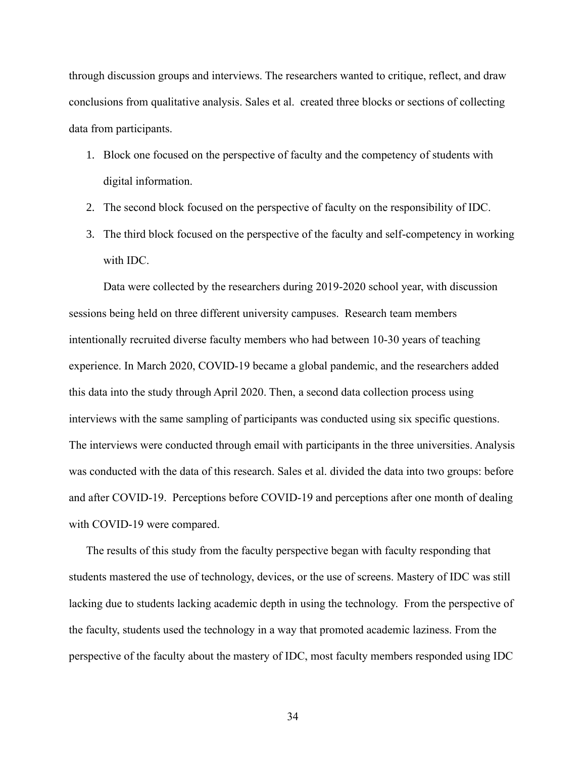through discussion groups and interviews. The researchers wanted to critique, reflect, and draw conclusions from qualitative analysis. Sales et al. created three blocks or sections of collecting data from participants.

- 1. Block one focused on the perspective of faculty and the competency of students with digital information.
- 2. The second block focused on the perspective of faculty on the responsibility of IDC.
- 3. The third block focused on the perspective of the faculty and self-competency in working with IDC.

Data were collected by the researchers during 2019-2020 school year, with discussion sessions being held on three different university campuses. Research team members intentionally recruited diverse faculty members who had between 10-30 years of teaching experience. In March 2020, COVID-19 became a global pandemic, and the researchers added this data into the study through April 2020. Then, a second data collection process using interviews with the same sampling of participants was conducted using six specific questions. The interviews were conducted through email with participants in the three universities. Analysis was conducted with the data of this research. Sales et al. divided the data into two groups: before and after COVID-19. Perceptions before COVID-19 and perceptions after one month of dealing with COVID-19 were compared.

The results of this study from the faculty perspective began with faculty responding that students mastered the use of technology, devices, or the use of screens. Mastery of IDC was still lacking due to students lacking academic depth in using the technology. From the perspective of the faculty, students used the technology in a way that promoted academic laziness. From the perspective of the faculty about the mastery of IDC, most faculty members responded using IDC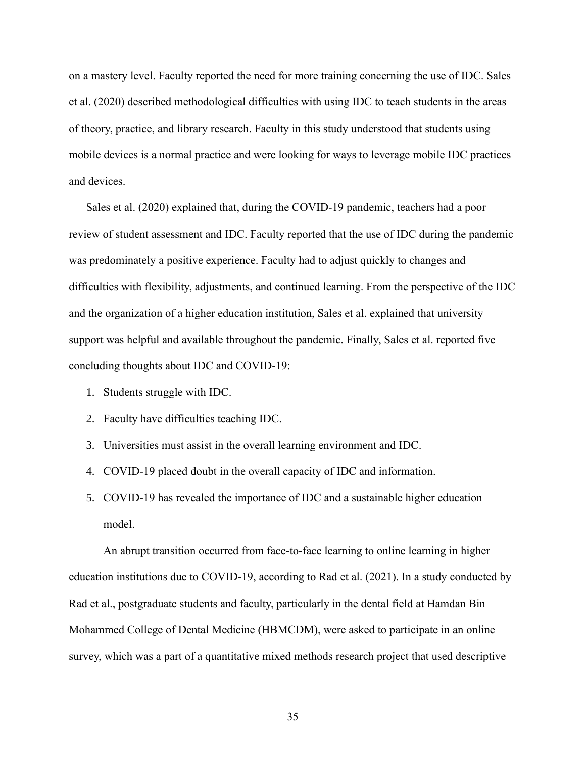on a mastery level. Faculty reported the need for more training concerning the use of IDC. Sales et al. (2020) described methodological difficulties with using IDC to teach students in the areas of theory, practice, and library research. Faculty in this study understood that students using mobile devices is a normal practice and were looking for ways to leverage mobile IDC practices and devices.

Sales et al. (2020) explained that, during the COVID-19 pandemic, teachers had a poor review of student assessment and IDC. Faculty reported that the use of IDC during the pandemic was predominately a positive experience. Faculty had to adjust quickly to changes and difficulties with flexibility, adjustments, and continued learning. From the perspective of the IDC and the organization of a higher education institution, Sales et al. explained that university support was helpful and available throughout the pandemic. Finally, Sales et al. reported five concluding thoughts about IDC and COVID-19:

- 1. Students struggle with IDC.
- 2. Faculty have difficulties teaching IDC.
- 3. Universities must assist in the overall learning environment and IDC.
- 4. COVID-19 placed doubt in the overall capacity of IDC and information.
- 5. COVID-19 has revealed the importance of IDC and a sustainable higher education model.

An abrupt transition occurred from face-to-face learning to online learning in higher education institutions due to COVID-19, according to Rad et al. (2021). In a study conducted by Rad et al., postgraduate students and faculty, particularly in the dental field at Hamdan Bin Mohammed College of Dental Medicine (HBMCDM), were asked to participate in an online survey, which was a part of a quantitative mixed methods research project that used descriptive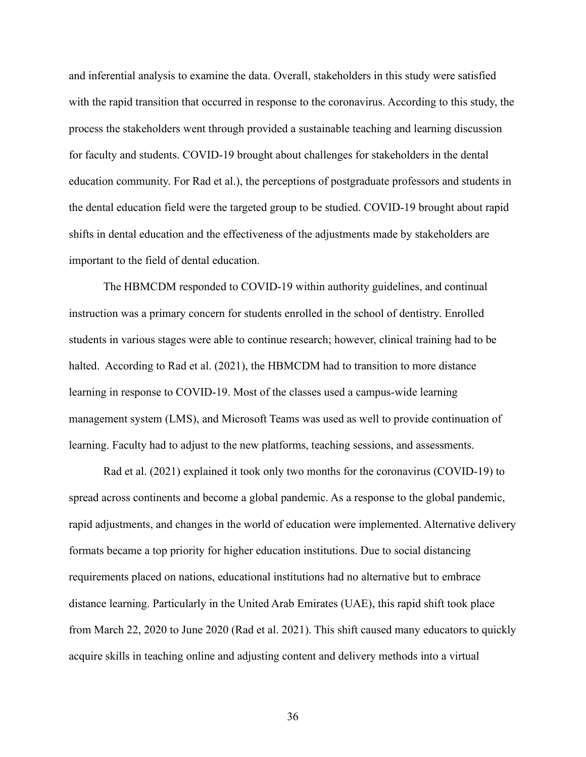and inferential analysis to examine the data. Overall, stakeholders in this study were satisfied with the rapid transition that occurred in response to the coronavirus. According to this study, the process the stakeholders went through provided a sustainable teaching and learning discussion for faculty and students. COVID-19 brought about challenges for stakeholders in the dental education community. For Rad et al.), the perceptions of postgraduate professors and students in the dental education field were the targeted group to be studied. COVID-19 brought about rapid shifts in dental education and the effectiveness of the adjustments made by stakeholders are important to the field of dental education.

The HBMCDM responded to COVID-19 within authority guidelines, and continual instruction was a primary concern for students enrolled in the school of dentistry. Enrolled students in various stages were able to continue research; however, clinical training had to be halted. According to Rad et al. (2021), the HBMCDM had to transition to more distance learning in response to COVID-19. Most of the classes used a campus-wide learning management system (LMS), and Microsoft Teams was used as well to provide continuation of learning. Faculty had to adjust to the new platforms, teaching sessions, and assessments.

Rad et al. (2021) explained it took only two months for the coronavirus (COVID-19) to spread across continents and become a global pandemic. As a response to the global pandemic, rapid adjustments, and changes in the world of education were implemented. Alternative delivery formats became a top priority for higher education institutions. Due to social distancing requirements placed on nations, educational institutions had no alternative but to embrace distance learning. Particularly in the United Arab Emirates (UAE), this rapid shift took place from March 22, 2020 to June 2020 (Rad et al. 2021). This shift caused many educators to quickly acquire skills in teaching online and adjusting content and delivery methods into a virtual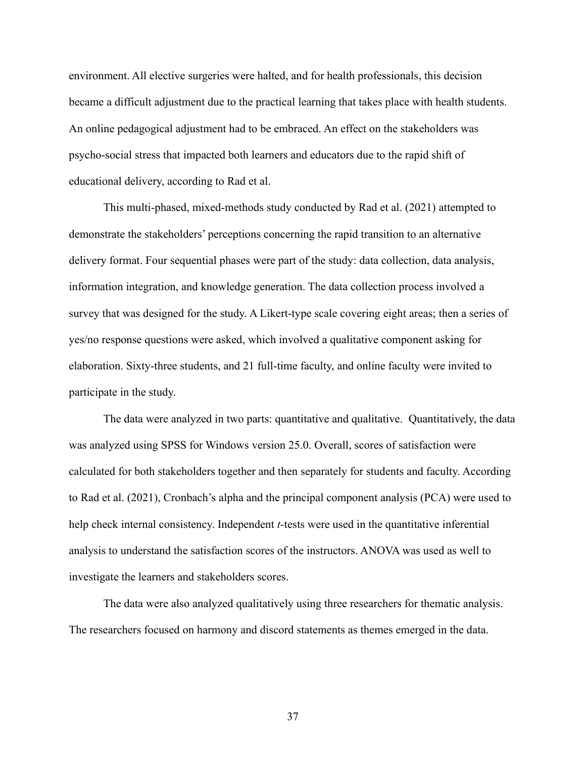environment. All elective surgeries were halted, and for health professionals, this decision became a difficult adjustment due to the practical learning that takes place with health students. An online pedagogical adjustment had to be embraced. An effect on the stakeholders was psycho-social stress that impacted both learners and educators due to the rapid shift of educational delivery, according to Rad et al.

This multi-phased, mixed-methods study conducted by Rad et al. (2021) attempted to demonstrate the stakeholders' perceptions concerning the rapid transition to an alternative delivery format. Four sequential phases were part of the study: data collection, data analysis, information integration, and knowledge generation. The data collection process involved a survey that was designed for the study. A Likert-type scale covering eight areas; then a series of yes/no response questions were asked, which involved a qualitative component asking for elaboration. Sixty-three students, and 21 full-time faculty, and online faculty were invited to participate in the study.

The data were analyzed in two parts: quantitative and qualitative. Quantitatively, the data was analyzed using SPSS for Windows version 25.0. Overall, scores of satisfaction were calculated for both stakeholders together and then separately for students and faculty. According to Rad et al. (2021), Cronbach's alpha and the principal component analysis (PCA) were used to help check internal consistency. Independent *t-*tests were used in the quantitative inferential analysis to understand the satisfaction scores of the instructors. ANOVA was used as well to investigate the learners and stakeholders scores.

The data were also analyzed qualitatively using three researchers for thematic analysis. The researchers focused on harmony and discord statements as themes emerged in the data.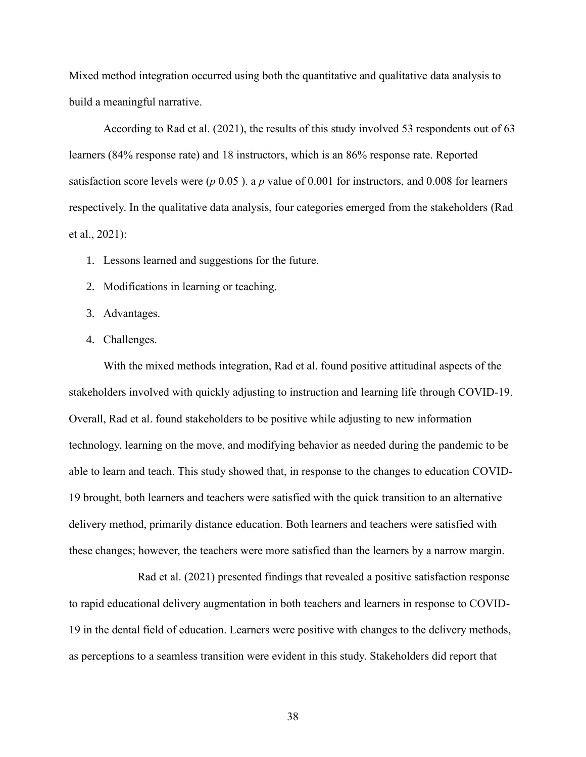Mixed method integration occurred using both the quantitative and qualitative data analysis to build a meaningful narrative.

According to Rad et al. (2021), the results of this study involved 53 respondents out of 63 learners (84% response rate) and 18 instructors, which is an 86% response rate. Reported satisfaction score levels were (*p* 0.05 ). a *p* value of 0.001 for instructors, and 0.008 for learners respectively. In the qualitative data analysis, four categories emerged from the stakeholders (Rad et al., 2021):

- 1. Lessons learned and suggestions for the future.
- 2. Modifications in learning or teaching.
- 3. Advantages.
- 4. Challenges.

With the mixed methods integration, Rad et al. found positive attitudinal aspects of the stakeholders involved with quickly adjusting to instruction and learning life through COVID-19. Overall, Rad et al. found stakeholders to be positive while adjusting to new information technology, learning on the move, and modifying behavior as needed during the pandemic to be able to learn and teach. This study showed that, in response to the changes to education COVID-19 brought, both learners and teachers were satisfied with the quick transition to an alternative delivery method, primarily distance education. Both learners and teachers were satisfied with these changes; however, the teachers were more satisfied than the learners by a narrow margin.

Rad et al. (2021) presented findings that revealed a positive satisfaction response to rapid educational delivery augmentation in both teachers and learners in response to COVID-19 in the dental field of education. Learners were positive with changes to the delivery methods, as perceptions to a seamless transition were evident in this study. Stakeholders did report that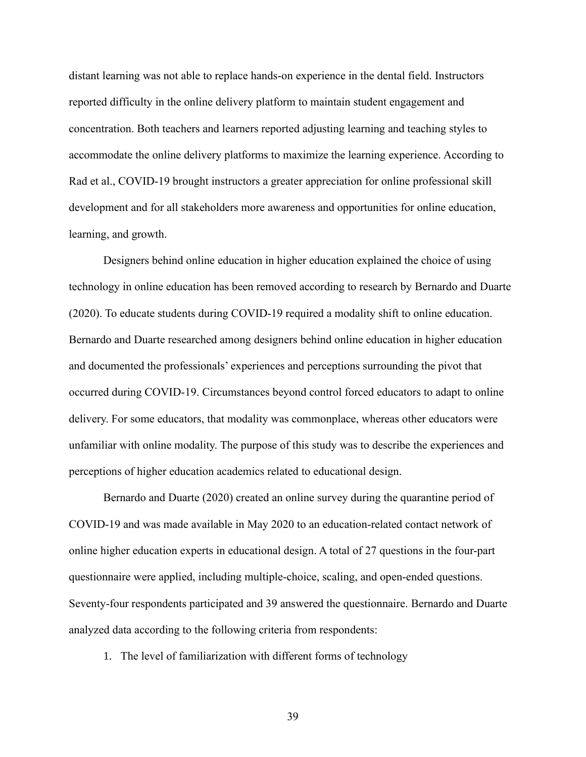distant learning was not able to replace hands-on experience in the dental field. Instructors reported difficulty in the online delivery platform to maintain student engagement and concentration. Both teachers and learners reported adjusting learning and teaching styles to accommodate the online delivery platforms to maximize the learning experience. According to Rad et al., COVID-19 brought instructors a greater appreciation for online professional skill development and for all stakeholders more awareness and opportunities for online education, learning, and growth.

Designers behind online education in higher education explained the choice of using technology in online education has been removed according to research by Bernardo and Duarte (2020). To educate students during COVID-19 required a modality shift to online education. Bernardo and Duarte researched among designers behind online education in higher education and documented the professionals' experiences and perceptions surrounding the pivot that occurred during COVID-19. Circumstances beyond control forced educators to adapt to online delivery. For some educators, that modality was commonplace, whereas other educators were unfamiliar with online modality. The purpose of this study was to describe the experiences and perceptions of higher education academics related to educational design.

Bernardo and Duarte (2020) created an online survey during the quarantine period of COVID-19 and was made available in May 2020 to an education-related contact network of online higher education experts in educational design. A total of 27 questions in the four-part questionnaire were applied, including multiple-choice, scaling, and open-ended questions. Seventy-four respondents participated and 39 answered the questionnaire. Bernardo and Duarte analyzed data according to the following criteria from respondents:

1. The level of familiarization with different forms of technology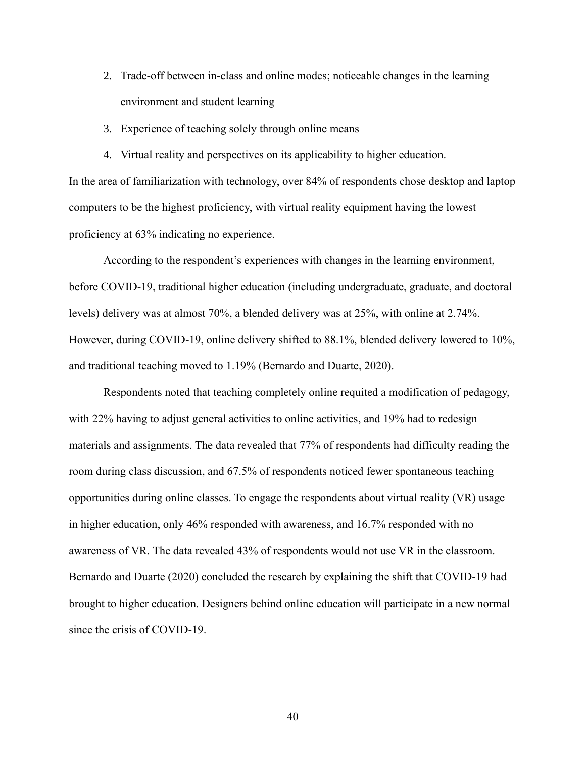- 2. Trade-off between in-class and online modes; noticeable changes in the learning environment and student learning
- 3. Experience of teaching solely through online means
- 4. Virtual reality and perspectives on its applicability to higher education.

In the area of familiarization with technology, over 84% of respondents chose desktop and laptop computers to be the highest proficiency, with virtual reality equipment having the lowest proficiency at 63% indicating no experience.

According to the respondent's experiences with changes in the learning environment, before COVID-19, traditional higher education (including undergraduate, graduate, and doctoral levels) delivery was at almost 70%, a blended delivery was at 25%, with online at 2.74%. However, during COVID-19, online delivery shifted to 88.1%, blended delivery lowered to 10%, and traditional teaching moved to 1.19% (Bernardo and Duarte, 2020).

Respondents noted that teaching completely online requited a modification of pedagogy, with 22% having to adjust general activities to online activities, and 19% had to redesign materials and assignments. The data revealed that 77% of respondents had difficulty reading the room during class discussion, and 67.5% of respondents noticed fewer spontaneous teaching opportunities during online classes. To engage the respondents about virtual reality (VR) usage in higher education, only 46% responded with awareness, and 16.7% responded with no awareness of VR. The data revealed 43% of respondents would not use VR in the classroom. Bernardo and Duarte (2020) concluded the research by explaining the shift that COVID-19 had brought to higher education. Designers behind online education will participate in a new normal since the crisis of COVID-19.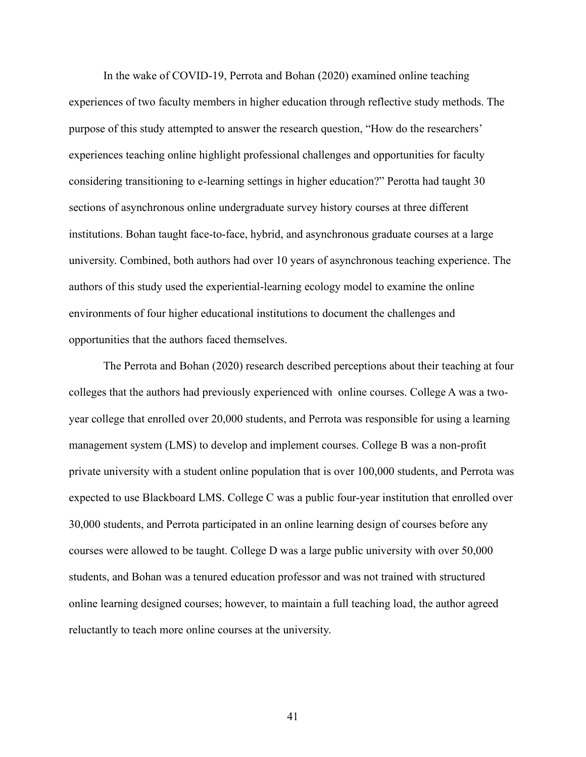In the wake of COVID-19, Perrota and Bohan (2020) examined online teaching experiences of two faculty members in higher education through reflective study methods. The purpose of this study attempted to answer the research question, "How do the researchers' experiences teaching online highlight professional challenges and opportunities for faculty considering transitioning to e-learning settings in higher education?" Perotta had taught 30 sections of asynchronous online undergraduate survey history courses at three different institutions. Bohan taught face-to-face, hybrid, and asynchronous graduate courses at a large university. Combined, both authors had over 10 years of asynchronous teaching experience. The authors of this study used the experiential-learning ecology model to examine the online environments of four higher educational institutions to document the challenges and opportunities that the authors faced themselves.

The Perrota and Bohan (2020) research described perceptions about their teaching at four colleges that the authors had previously experienced with online courses. College A was a twoyear college that enrolled over 20,000 students, and Perrota was responsible for using a learning management system (LMS) to develop and implement courses. College B was a non-profit private university with a student online population that is over 100,000 students, and Perrota was expected to use Blackboard LMS. College C was a public four-year institution that enrolled over 30,000 students, and Perrota participated in an online learning design of courses before any courses were allowed to be taught. College D was a large public university with over 50,000 students, and Bohan was a tenured education professor and was not trained with structured online learning designed courses; however, to maintain a full teaching load, the author agreed reluctantly to teach more online courses at the university.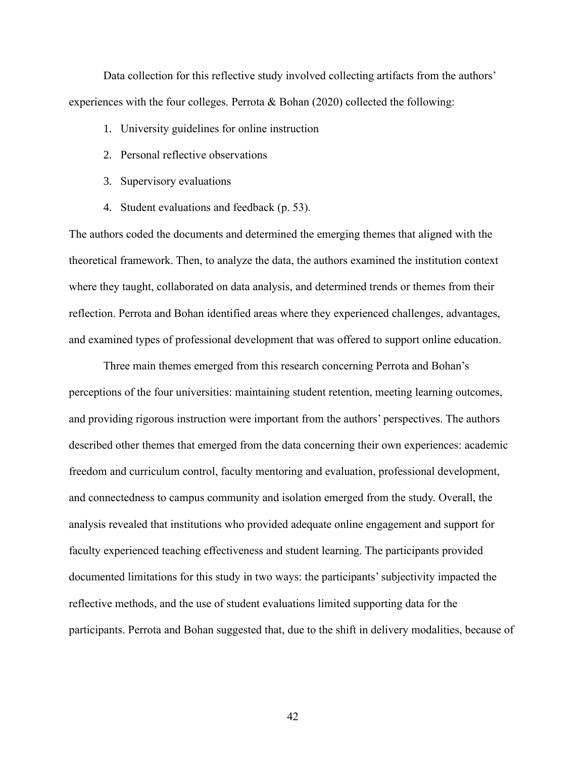Data collection for this reflective study involved collecting artifacts from the authors' experiences with the four colleges. Perrota & Bohan (2020) collected the following:

- 1. University guidelines for online instruction
- 2. Personal reflective observations
- 3. Supervisory evaluations
- 4. Student evaluations and feedback (p. 53).

The authors coded the documents and determined the emerging themes that aligned with the theoretical framework. Then, to analyze the data, the authors examined the institution context where they taught, collaborated on data analysis, and determined trends or themes from their reflection. Perrota and Bohan identified areas where they experienced challenges, advantages, and examined types of professional development that was offered to support online education.

Three main themes emerged from this research concerning Perrota and Bohan's perceptions of the four universities: maintaining student retention, meeting learning outcomes, and providing rigorous instruction were important from the authors' perspectives. The authors described other themes that emerged from the data concerning their own experiences: academic freedom and curriculum control, faculty mentoring and evaluation, professional development, and connectedness to campus community and isolation emerged from the study. Overall, the analysis revealed that institutions who provided adequate online engagement and support for faculty experienced teaching effectiveness and student learning. The participants provided documented limitations for this study in two ways: the participants'subjectivity impacted the reflective methods, and the use of student evaluations limited supporting data for the participants. Perrota and Bohan suggested that, due to the shift in delivery modalities, because of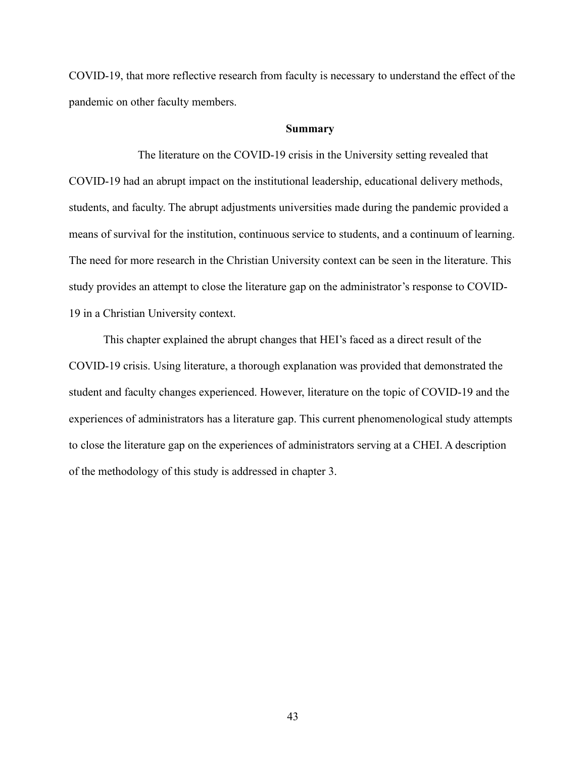COVID-19, that more reflective research from faculty is necessary to understand the effect of the pandemic on other faculty members.

### **Summary**

The literature on the COVID-19 crisis in the University setting revealed that COVID-19 had an abrupt impact on the institutional leadership, educational delivery methods, students, and faculty. The abrupt adjustments universities made during the pandemic provided a means of survival for the institution, continuous service to students, and a continuum of learning. The need for more research in the Christian University context can be seen in the literature. This study provides an attempt to close the literature gap on the administrator's response to COVID-19 in a Christian University context.

This chapter explained the abrupt changes that HEI's faced as a direct result of the COVID-19 crisis. Using literature, a thorough explanation was provided that demonstrated the student and faculty changes experienced. However, literature on the topic of COVID-19 and the experiences of administrators has a literature gap. This current phenomenological study attempts to close the literature gap on the experiences of administrators serving at a CHEI. A description of the methodology of this study is addressed in chapter 3.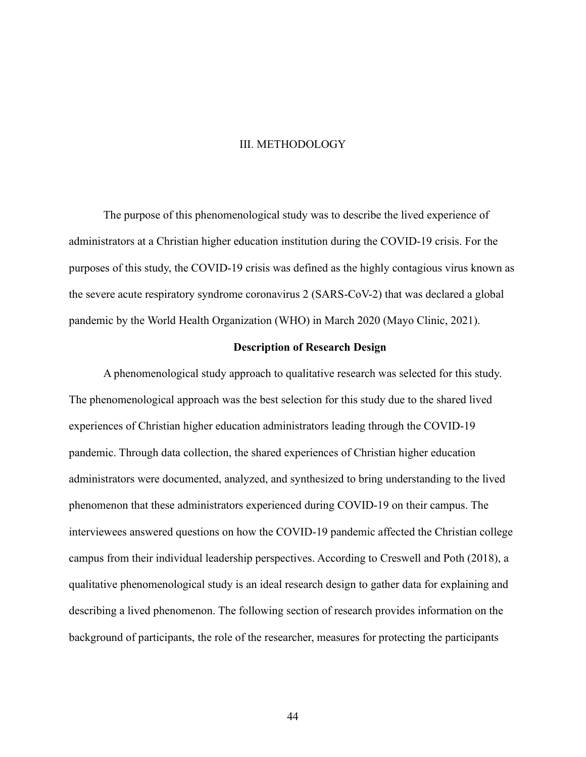## III. METHODOLOGY

The purpose of this phenomenological study was to describe the lived experience of administrators at a Christian higher education institution during the COVID-19 crisis. For the purposes of this study, the COVID-19 crisis was defined as the highly contagious virus known as the severe acute respiratory syndrome coronavirus 2 (SARS-CoV-2) that was declared a global pandemic by the World Health Organization (WHO) in March 2020 (Mayo Clinic, 2021).

# **Description of Research Design**

A phenomenological study approach to qualitative research was selected for this study. The phenomenological approach was the best selection for this study due to the shared lived experiences of Christian higher education administrators leading through the COVID-19 pandemic. Through data collection, the shared experiences of Christian higher education administrators were documented, analyzed, and synthesized to bring understanding to the lived phenomenon that these administrators experienced during COVID-19 on their campus. The interviewees answered questions on how the COVID-19 pandemic affected the Christian college campus from their individual leadership perspectives. According to Creswell and Poth (2018), a qualitative phenomenological study is an ideal research design to gather data for explaining and describing a lived phenomenon. The following section of research provides information on the background of participants, the role of the researcher, measures for protecting the participants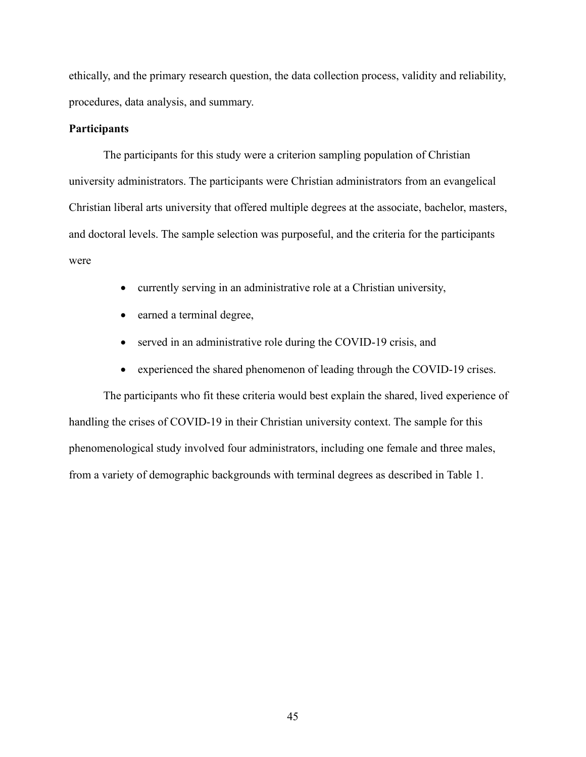ethically, and the primary research question, the data collection process, validity and reliability, procedures, data analysis, and summary.

## **Participants**

The participants for this study were a criterion sampling population of Christian university administrators. The participants were Christian administrators from an evangelical Christian liberal arts university that offered multiple degrees at the associate, bachelor, masters, and doctoral levels. The sample selection was purposeful, and the criteria for the participants were

- currently serving in an administrative role at a Christian university,
- earned a terminal degree,
- served in an administrative role during the COVID-19 crisis, and
- experienced the shared phenomenon of leading through the COVID-19 crises.

The participants who fit these criteria would best explain the shared, lived experience of handling the crises of COVID-19 in their Christian university context. The sample for this phenomenological study involved four administrators, including one female and three males, from a variety of demographic backgrounds with terminal degrees as described in Table 1.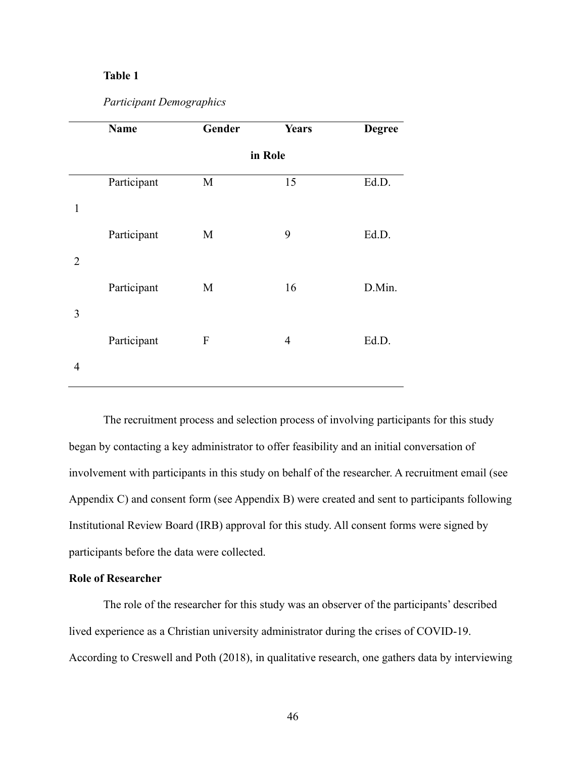# **Table 1**

# *Participant Demographics*

|                | Name        | Gender                    | <b>Years</b>   | <b>Degree</b> |  |
|----------------|-------------|---------------------------|----------------|---------------|--|
|                |             | in Role                   |                |               |  |
|                | Participant | $\mathbf M$               | 15             | Ed.D.         |  |
| $\mathbf{1}$   |             |                           |                |               |  |
|                | Participant | M                         | 9              | Ed.D.         |  |
| $\overline{2}$ |             |                           |                |               |  |
|                | Participant | M                         | 16             | D.Min.        |  |
| 3              |             |                           |                |               |  |
|                | Participant | $\boldsymbol{\mathrm{F}}$ | $\overline{4}$ | Ed.D.         |  |
| $\overline{4}$ |             |                           |                |               |  |

The recruitment process and selection process of involving participants for this study began by contacting a key administrator to offer feasibility and an initial conversation of involvement with participants in this study on behalf of the researcher. A recruitment email (see Appendix C) and consent form (see Appendix B) were created and sent to participants following Institutional Review Board (IRB) approval for this study. All consent forms were signed by participants before the data were collected.

# **Role of Researcher**

The role of the researcher for this study was an observer of the participants' described lived experience as a Christian university administrator during the crises of COVID-19. According to Creswell and Poth (2018), in qualitative research, one gathers data by interviewing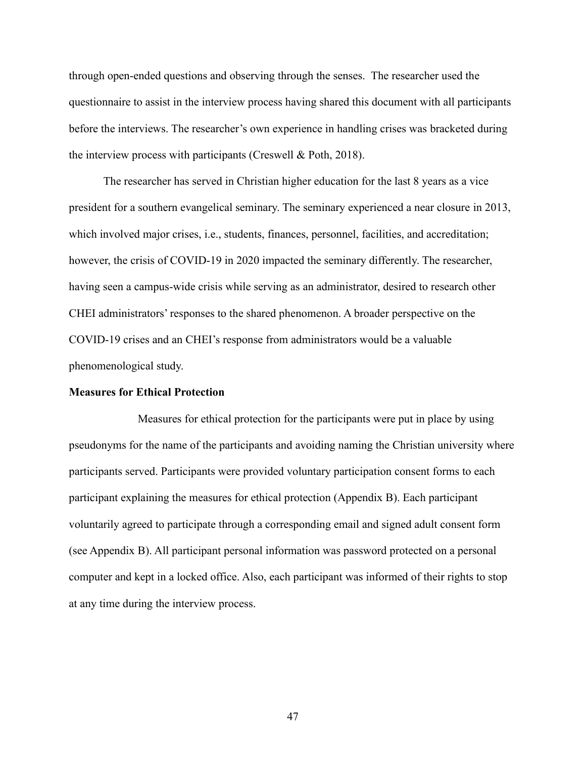through open-ended questions and observing through the senses. The researcher used the questionnaire to assist in the interview process having shared this document with all participants before the interviews. The researcher's own experience in handling crises was bracketed during the interview process with participants (Creswell & Poth, 2018).

The researcher has served in Christian higher education for the last 8 years as a vice president for a southern evangelical seminary. The seminary experienced a near closure in 2013, which involved major crises, i.e., students, finances, personnel, facilities, and accreditation; however, the crisis of COVID-19 in 2020 impacted the seminary differently. The researcher, having seen a campus-wide crisis while serving as an administrator, desired to research other CHEI administrators' responses to the shared phenomenon. A broader perspective on the COVID-19 crises and an CHEI's response from administrators would be a valuable phenomenological study.

### **Measures for Ethical Protection**

Measures for ethical protection for the participants were put in place by using pseudonyms for the name of the participants and avoiding naming the Christian university where participants served. Participants were provided voluntary participation consent forms to each participant explaining the measures for ethical protection (Appendix B). Each participant voluntarily agreed to participate through a corresponding email and signed adult consent form (see Appendix B). All participant personal information was password protected on a personal computer and kept in a locked office. Also, each participant was informed of their rights to stop at any time during the interview process.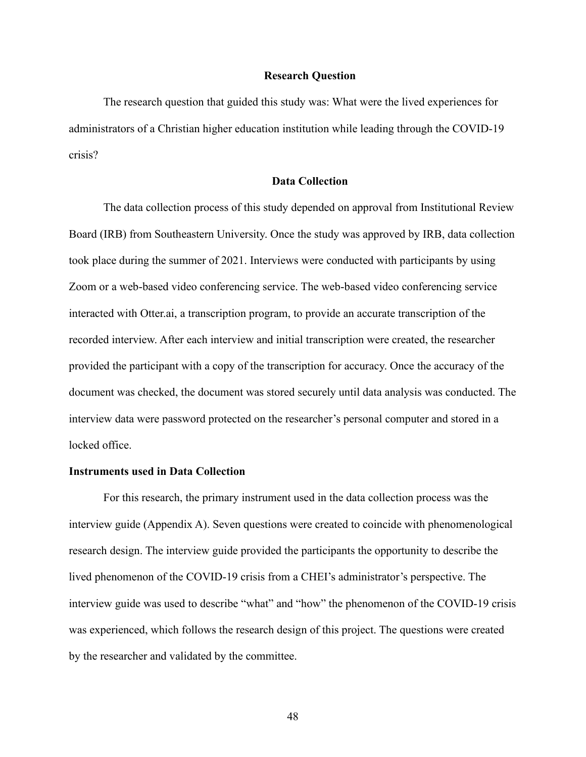#### **Research Question**

The research question that guided this study was: What were the lived experiences for administrators of a Christian higher education institution while leading through the COVID-19 crisis?

## **Data Collection**

The data collection process of this study depended on approval from Institutional Review Board (IRB) from Southeastern University. Once the study was approved by IRB, data collection took place during the summer of 2021. Interviews were conducted with participants by using Zoom or a web-based video conferencing service. The web-based video conferencing service interacted with Otter.ai, a transcription program, to provide an accurate transcription of the recorded interview. After each interview and initial transcription were created, the researcher provided the participant with a copy of the transcription for accuracy. Once the accuracy of the document was checked, the document was stored securely until data analysis was conducted. The interview data were password protected on the researcher's personal computer and stored in a locked office.

#### **Instruments used in Data Collection**

For this research, the primary instrument used in the data collection process was the interview guide (Appendix A). Seven questions were created to coincide with phenomenological research design. The interview guide provided the participants the opportunity to describe the lived phenomenon of the COVID-19 crisis from a CHEI's administrator's perspective. The interview guide was used to describe "what" and "how" the phenomenon of the COVID-19 crisis was experienced, which follows the research design of this project. The questions were created by the researcher and validated by the committee.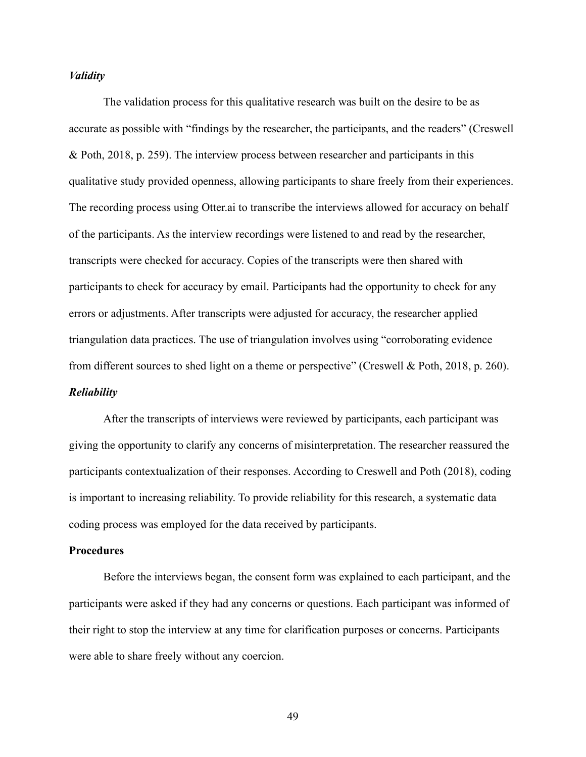## *Validity*

The validation process for this qualitative research was built on the desire to be as accurate as possible with "findings by the researcher, the participants, and the readers" (Creswell & Poth, 2018, p. 259). The interview process between researcher and participants in this qualitative study provided openness, allowing participants to share freely from their experiences. The recording process using Otter.ai to transcribe the interviews allowed for accuracy on behalf of the participants. As the interview recordings were listened to and read by the researcher, transcripts were checked for accuracy. Copies of the transcripts were then shared with participants to check for accuracy by email. Participants had the opportunity to check for any errors or adjustments. After transcripts were adjusted for accuracy, the researcher applied triangulation data practices. The use of triangulation involves using "corroborating evidence from different sources to shed light on a theme or perspective" (Creswell & Poth, 2018, p. 260). *Reliability*

After the transcripts of interviews were reviewed by participants, each participant was giving the opportunity to clarify any concerns of misinterpretation. The researcher reassured the participants contextualization of their responses. According to Creswell and Poth (2018), coding is important to increasing reliability. To provide reliability for this research, a systematic data coding process was employed for the data received by participants.

### **Procedures**

Before the interviews began, the consent form was explained to each participant, and the participants were asked if they had any concerns or questions. Each participant was informed of their right to stop the interview at any time for clarification purposes or concerns. Participants were able to share freely without any coercion.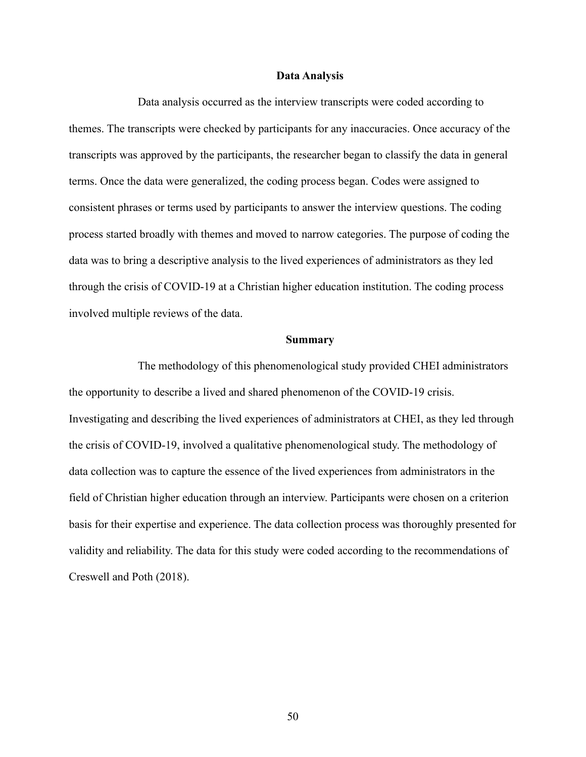## **Data Analysis**

Data analysis occurred as the interview transcripts were coded according to themes. The transcripts were checked by participants for any inaccuracies. Once accuracy of the transcripts was approved by the participants, the researcher began to classify the data in general terms. Once the data were generalized, the coding process began. Codes were assigned to consistent phrases or terms used by participants to answer the interview questions. The coding process started broadly with themes and moved to narrow categories. The purpose of coding the data was to bring a descriptive analysis to the lived experiences of administrators as they led through the crisis of COVID-19 at a Christian higher education institution. The coding process involved multiple reviews of the data.

#### **Summary**

The methodology of this phenomenological study provided CHEI administrators the opportunity to describe a lived and shared phenomenon of the COVID-19 crisis. Investigating and describing the lived experiences of administrators at CHEI, as they led through the crisis of COVID-19, involved a qualitative phenomenological study. The methodology of data collection was to capture the essence of the lived experiences from administrators in the field of Christian higher education through an interview. Participants were chosen on a criterion basis for their expertise and experience. The data collection process was thoroughly presented for validity and reliability. The data for this study were coded according to the recommendations of Creswell and Poth (2018).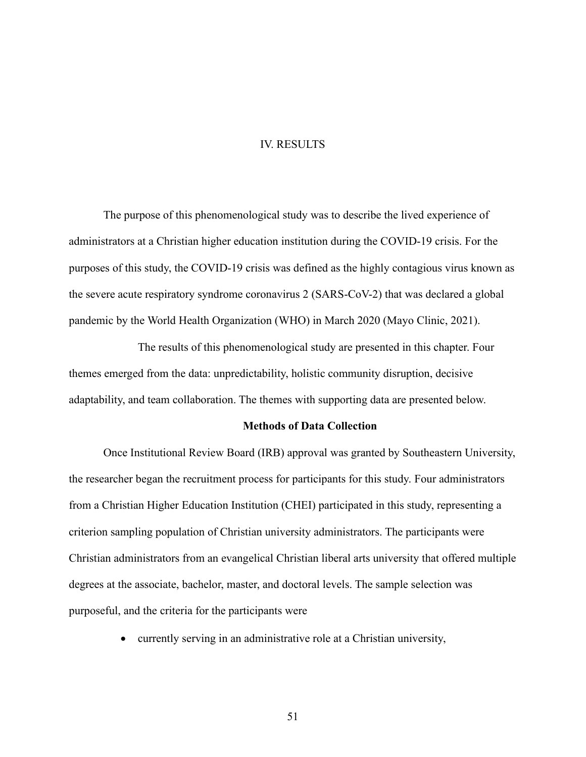## IV. RESULTS

The purpose of this phenomenological study was to describe the lived experience of administrators at a Christian higher education institution during the COVID-19 crisis. For the purposes of this study, the COVID-19 crisis was defined as the highly contagious virus known as the severe acute respiratory syndrome coronavirus 2 (SARS-CoV-2) that was declared a global pandemic by the World Health Organization (WHO) in March 2020 (Mayo Clinic, 2021).

The results of this phenomenological study are presented in this chapter. Four themes emerged from the data: unpredictability, holistic community disruption, decisive adaptability, and team collaboration. The themes with supporting data are presented below.

## **Methods of Data Collection**

Once Institutional Review Board (IRB) approval was granted by Southeastern University, the researcher began the recruitment process for participants for this study. Four administrators from a Christian Higher Education Institution (CHEI) participated in this study, representing a criterion sampling population of Christian university administrators. The participants were Christian administrators from an evangelical Christian liberal arts university that offered multiple degrees at the associate, bachelor, master, and doctoral levels. The sample selection was purposeful, and the criteria for the participants were

• currently serving in an administrative role at a Christian university,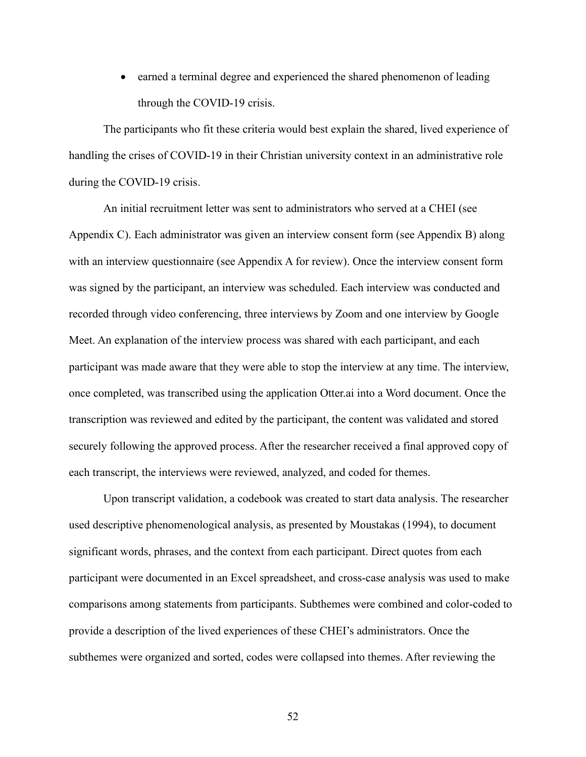• earned a terminal degree and experienced the shared phenomenon of leading through the COVID-19 crisis.

The participants who fit these criteria would best explain the shared, lived experience of handling the crises of COVID-19 in their Christian university context in an administrative role during the COVID-19 crisis.

An initial recruitment letter was sent to administrators who served at a CHEI (see Appendix C). Each administrator was given an interview consent form (see Appendix B) along with an interview questionnaire (see Appendix A for review). Once the interview consent form was signed by the participant, an interview was scheduled. Each interview was conducted and recorded through video conferencing, three interviews by Zoom and one interview by Google Meet. An explanation of the interview process was shared with each participant, and each participant was made aware that they were able to stop the interview at any time. The interview, once completed, was transcribed using the application Otter.ai into a Word document. Once the transcription was reviewed and edited by the participant, the content was validated and stored securely following the approved process. After the researcher received a final approved copy of each transcript, the interviews were reviewed, analyzed, and coded for themes.

Upon transcript validation, a codebook was created to start data analysis. The researcher used descriptive phenomenological analysis, as presented by Moustakas (1994), to document significant words, phrases, and the context from each participant. Direct quotes from each participant were documented in an Excel spreadsheet, and cross-case analysis was used to make comparisons among statements from participants. Subthemes were combined and color-coded to provide a description of the lived experiences of these CHEI's administrators. Once the subthemes were organized and sorted, codes were collapsed into themes. After reviewing the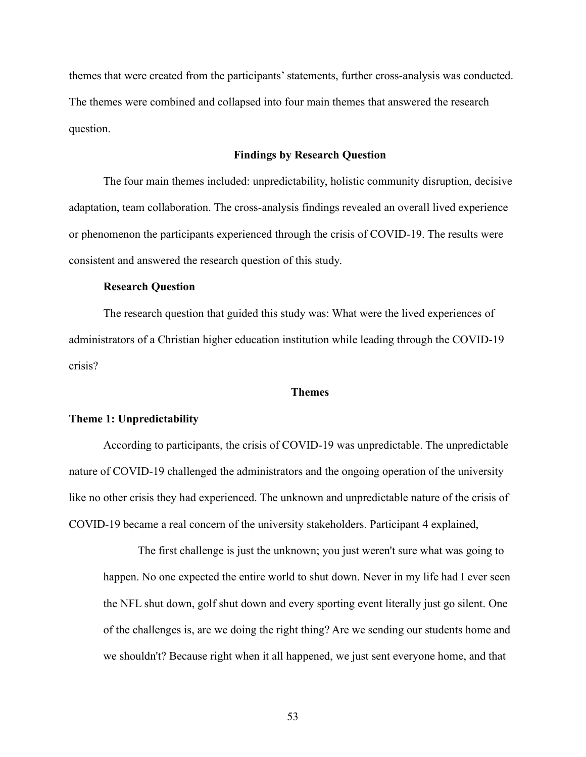themes that were created from the participants'statements, further cross-analysis was conducted. The themes were combined and collapsed into four main themes that answered the research question.

## **Findings by Research Question**

The four main themes included: unpredictability, holistic community disruption, decisive adaptation, team collaboration. The cross-analysis findings revealed an overall lived experience or phenomenon the participants experienced through the crisis of COVID-19. The results were consistent and answered the research question of this study.

## **Research Question**

The research question that guided this study was: What were the lived experiences of administrators of a Christian higher education institution while leading through the COVID-19 crisis?

### **Themes**

### **Theme 1: Unpredictability**

According to participants, the crisis of COVID-19 was unpredictable. The unpredictable nature of COVID-19 challenged the administrators and the ongoing operation of the university like no other crisis they had experienced. The unknown and unpredictable nature of the crisis of COVID-19 became a real concern of the university stakeholders. Participant 4 explained,

The first challenge is just the unknown; you just weren't sure what was going to happen. No one expected the entire world to shut down. Never in my life had I ever seen the NFL shut down, golf shut down and every sporting event literally just go silent. One of the challenges is, are we doing the right thing? Are we sending our students home and we shouldn't? Because right when it all happened, we just sent everyone home, and that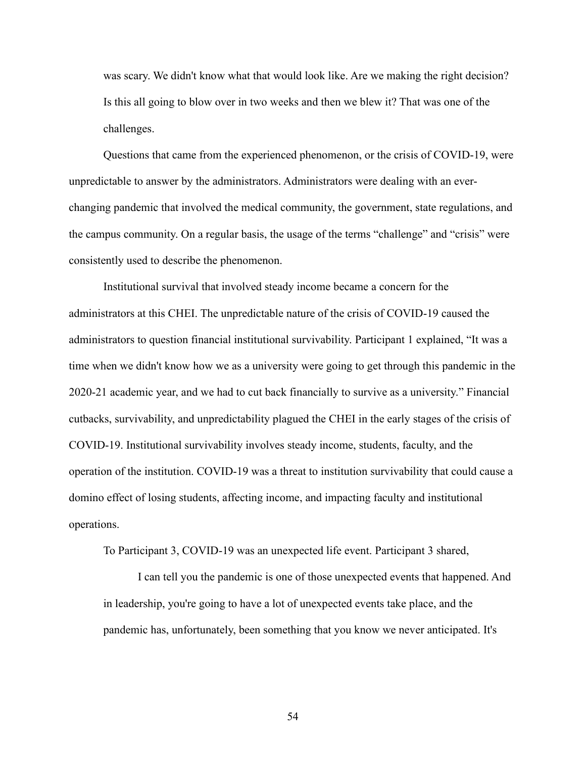was scary. We didn't know what that would look like. Are we making the right decision? Is this all going to blow over in two weeks and then we blew it? That was one of the challenges.

Questions that came from the experienced phenomenon, or the crisis of COVID-19, were unpredictable to answer by the administrators. Administrators were dealing with an everchanging pandemic that involved the medical community, the government, state regulations, and the campus community. On a regular basis, the usage of the terms "challenge" and "crisis" were consistently used to describe the phenomenon.

Institutional survival that involved steady income became a concern for the administrators at this CHEI. The unpredictable nature of the crisis of COVID-19 caused the administrators to question financial institutional survivability. Participant 1 explained, "It was a time when we didn't know how we as a university were going to get through this pandemic in the 2020-21 academic year, and we had to cut back financially to survive as a university." Financial cutbacks, survivability, and unpredictability plagued the CHEI in the early stages of the crisis of COVID-19. Institutional survivability involves steady income, students, faculty, and the operation of the institution. COVID-19 was a threat to institution survivability that could cause a domino effect of losing students, affecting income, and impacting faculty and institutional operations.

To Participant 3, COVID-19 was an unexpected life event. Participant 3 shared,

I can tell you the pandemic is one of those unexpected events that happened. And in leadership, you're going to have a lot of unexpected events take place, and the pandemic has, unfortunately, been something that you know we never anticipated. It's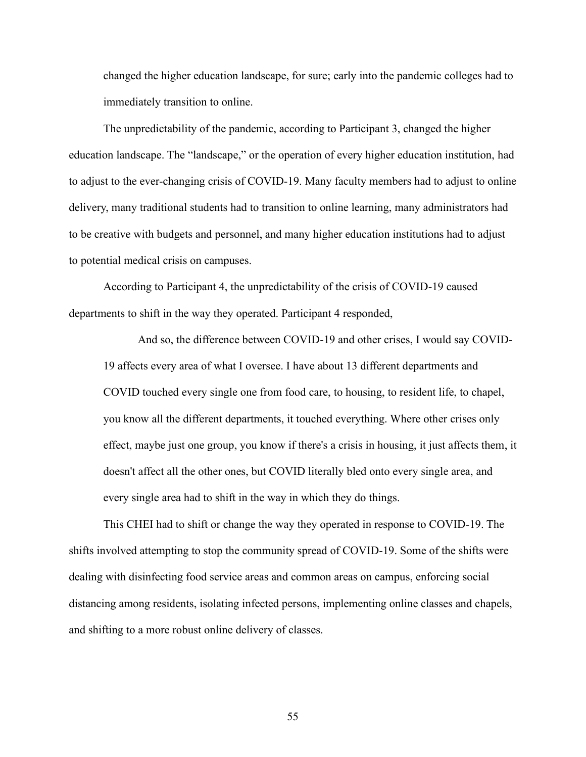changed the higher education landscape, for sure; early into the pandemic colleges had to immediately transition to online.

The unpredictability of the pandemic, according to Participant 3, changed the higher education landscape. The "landscape," or the operation of every higher education institution, had to adjust to the ever-changing crisis of COVID-19. Many faculty members had to adjust to online delivery, many traditional students had to transition to online learning, many administrators had to be creative with budgets and personnel, and many higher education institutions had to adjust to potential medical crisis on campuses.

According to Participant 4, the unpredictability of the crisis of COVID-19 caused departments to shift in the way they operated. Participant 4 responded,

And so, the difference between COVID-19 and other crises, I would say COVID-19 affects every area of what I oversee. I have about 13 different departments and COVID touched every single one from food care, to housing, to resident life, to chapel, you know all the different departments, it touched everything. Where other crises only effect, maybe just one group, you know if there's a crisis in housing, it just affects them, it doesn't affect all the other ones, but COVID literally bled onto every single area, and every single area had to shift in the way in which they do things.

This CHEI had to shift or change the way they operated in response to COVID-19. The shifts involved attempting to stop the community spread of COVID-19. Some of the shifts were dealing with disinfecting food service areas and common areas on campus, enforcing social distancing among residents, isolating infected persons, implementing online classes and chapels, and shifting to a more robust online delivery of classes.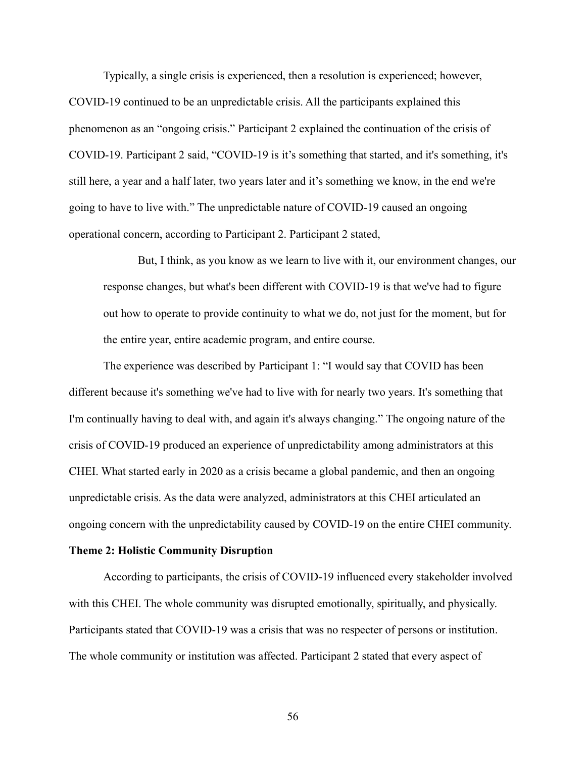Typically, a single crisis is experienced, then a resolution is experienced; however, COVID-19 continued to be an unpredictable crisis. All the participants explained this phenomenon as an "ongoing crisis." Participant 2 explained the continuation of the crisis of COVID-19. Participant 2 said, "COVID-19 is it's something that started, and it's something, it's still here, a year and a half later, two years later and it's something we know, in the end we're going to have to live with." The unpredictable nature of COVID-19 caused an ongoing operational concern, according to Participant 2. Participant 2 stated,

But, I think, as you know as we learn to live with it, our environment changes, our response changes, but what's been different with COVID-19 is that we've had to figure out how to operate to provide continuity to what we do, not just for the moment, but for the entire year, entire academic program, and entire course.

The experience was described by Participant 1: "I would say that COVID has been different because it's something we've had to live with for nearly two years. It's something that I'm continually having to deal with, and again it's always changing." The ongoing nature of the crisis of COVID-19 produced an experience of unpredictability among administrators at this CHEI. What started early in 2020 as a crisis became a global pandemic, and then an ongoing unpredictable crisis. As the data were analyzed, administrators at this CHEI articulated an ongoing concern with the unpredictability caused by COVID-19 on the entire CHEI community.

#### **Theme 2: Holistic Community Disruption**

According to participants, the crisis of COVID-19 influenced every stakeholder involved with this CHEI. The whole community was disrupted emotionally, spiritually, and physically. Participants stated that COVID-19 was a crisis that was no respecter of persons or institution. The whole community or institution was affected. Participant 2 stated that every aspect of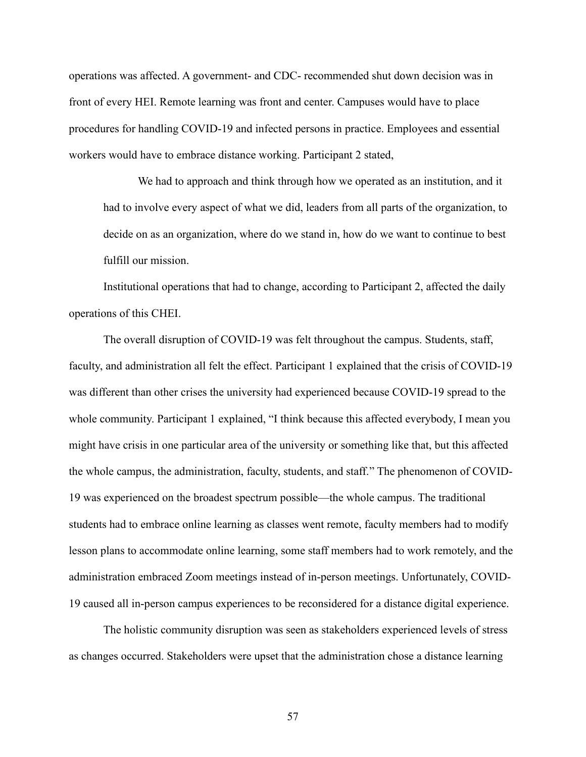operations was affected. A government- and CDC- recommended shut down decision was in front of every HEI. Remote learning was front and center. Campuses would have to place procedures for handling COVID-19 and infected persons in practice. Employees and essential workers would have to embrace distance working. Participant 2 stated,

We had to approach and think through how we operated as an institution, and it had to involve every aspect of what we did, leaders from all parts of the organization, to decide on as an organization, where do we stand in, how do we want to continue to best fulfill our mission.

Institutional operations that had to change, according to Participant 2, affected the daily operations of this CHEI.

The overall disruption of COVID-19 was felt throughout the campus. Students, staff, faculty, and administration all felt the effect. Participant 1 explained that the crisis of COVID-19 was different than other crises the university had experienced because COVID-19 spread to the whole community. Participant 1 explained, "I think because this affected everybody, I mean you might have crisis in one particular area of the university or something like that, but this affected the whole campus, the administration, faculty, students, and staff." The phenomenon of COVID-19 was experienced on the broadest spectrum possible—the whole campus. The traditional students had to embrace online learning as classes went remote, faculty members had to modify lesson plans to accommodate online learning, some staff members had to work remotely, and the administration embraced Zoom meetings instead of in-person meetings. Unfortunately, COVID-19 caused all in-person campus experiences to be reconsidered for a distance digital experience.

The holistic community disruption was seen as stakeholders experienced levels of stress as changes occurred. Stakeholders were upset that the administration chose a distance learning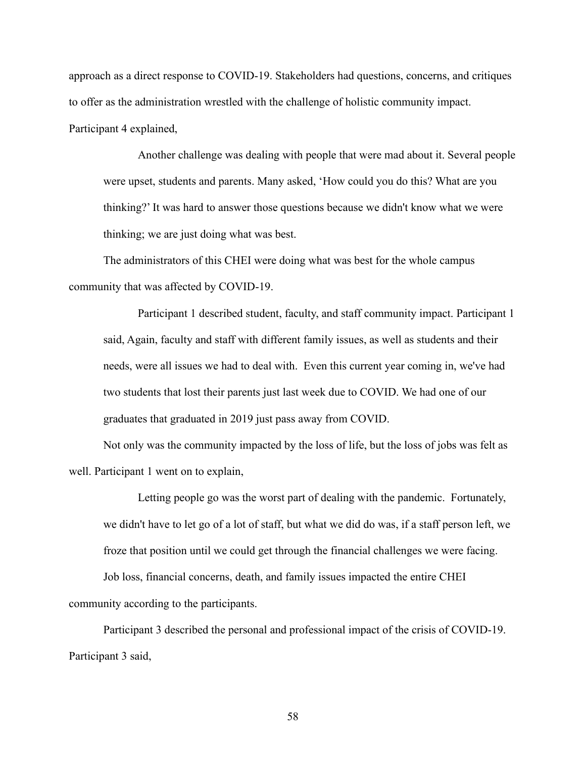approach as a direct response to COVID-19. Stakeholders had questions, concerns, and critiques to offer as the administration wrestled with the challenge of holistic community impact. Participant 4 explained,

Another challenge was dealing with people that were mad about it. Several people were upset, students and parents. Many asked, 'How could you do this? What are you thinking?' It was hard to answer those questions because we didn't know what we were thinking; we are just doing what was best.

The administrators of this CHEI were doing what was best for the whole campus community that was affected by COVID-19.

Participant 1 described student, faculty, and staff community impact. Participant 1 said, Again, faculty and staff with different family issues, as well as students and their needs, were all issues we had to deal with. Even this current year coming in, we've had two students that lost their parents just last week due to COVID. We had one of our graduates that graduated in 2019 just pass away from COVID.

Not only was the community impacted by the loss of life, but the loss of jobs was felt as well. Participant 1 went on to explain,

Letting people go was the worst part of dealing with the pandemic. Fortunately, we didn't have to let go of a lot of staff, but what we did do was, if a staff person left, we froze that position until we could get through the financial challenges we were facing.

Job loss, financial concerns, death, and family issues impacted the entire CHEI community according to the participants.

Participant 3 described the personal and professional impact of the crisis of COVID-19. Participant 3 said,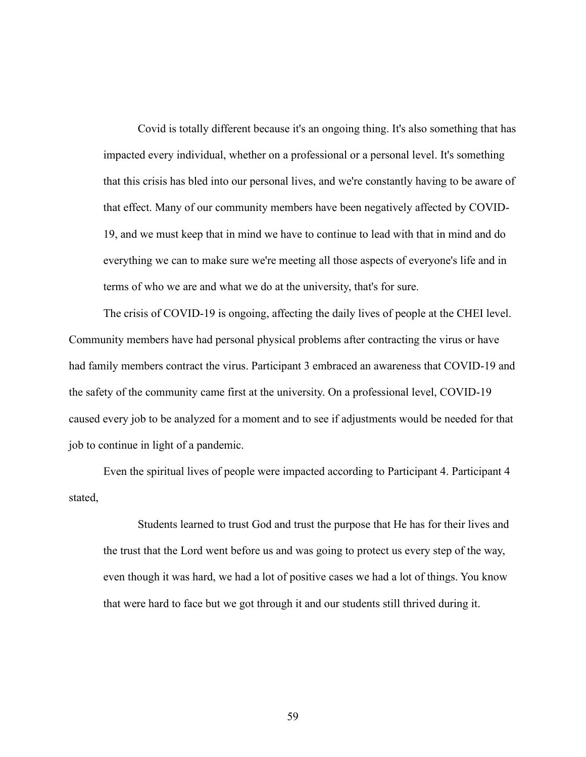Covid is totally different because it's an ongoing thing. It's also something that has impacted every individual, whether on a professional or a personal level. It's something that this crisis has bled into our personal lives, and we're constantly having to be aware of that effect. Many of our community members have been negatively affected by COVID-19, and we must keep that in mind we have to continue to lead with that in mind and do everything we can to make sure we're meeting all those aspects of everyone's life and in terms of who we are and what we do at the university, that's for sure.

The crisis of COVID-19 is ongoing, affecting the daily lives of people at the CHEI level. Community members have had personal physical problems after contracting the virus or have had family members contract the virus. Participant 3 embraced an awareness that COVID-19 and the safety of the community came first at the university. On a professional level, COVID-19 caused every job to be analyzed for a moment and to see if adjustments would be needed for that job to continue in light of a pandemic.

Even the spiritual lives of people were impacted according to Participant 4. Participant 4 stated,

Students learned to trust God and trust the purpose that He has for their lives and the trust that the Lord went before us and was going to protect us every step of the way, even though it was hard, we had a lot of positive cases we had a lot of things. You know that were hard to face but we got through it and our students still thrived during it.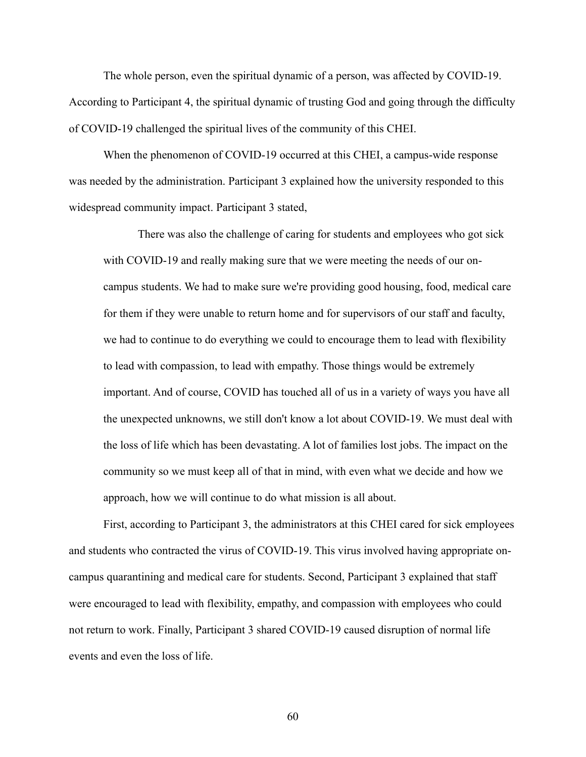The whole person, even the spiritual dynamic of a person, was affected by COVID-19. According to Participant 4, the spiritual dynamic of trusting God and going through the difficulty of COVID-19 challenged the spiritual lives of the community of this CHEI.

When the phenomenon of COVID-19 occurred at this CHEI, a campus-wide response was needed by the administration. Participant 3 explained how the university responded to this widespread community impact. Participant 3 stated,

There was also the challenge of caring for students and employees who got sick with COVID-19 and really making sure that we were meeting the needs of our oncampus students. We had to make sure we're providing good housing, food, medical care for them if they were unable to return home and for supervisors of our staff and faculty, we had to continue to do everything we could to encourage them to lead with flexibility to lead with compassion, to lead with empathy. Those things would be extremely important. And of course, COVID has touched all of us in a variety of ways you have all the unexpected unknowns, we still don't know a lot about COVID-19. We must deal with the loss of life which has been devastating. A lot of families lost jobs. The impact on the community so we must keep all of that in mind, with even what we decide and how we approach, how we will continue to do what mission is all about.

First, according to Participant 3, the administrators at this CHEI cared for sick employees and students who contracted the virus of COVID-19. This virus involved having appropriate oncampus quarantining and medical care for students. Second, Participant 3 explained that staff were encouraged to lead with flexibility, empathy, and compassion with employees who could not return to work. Finally, Participant 3 shared COVID-19 caused disruption of normal life events and even the loss of life.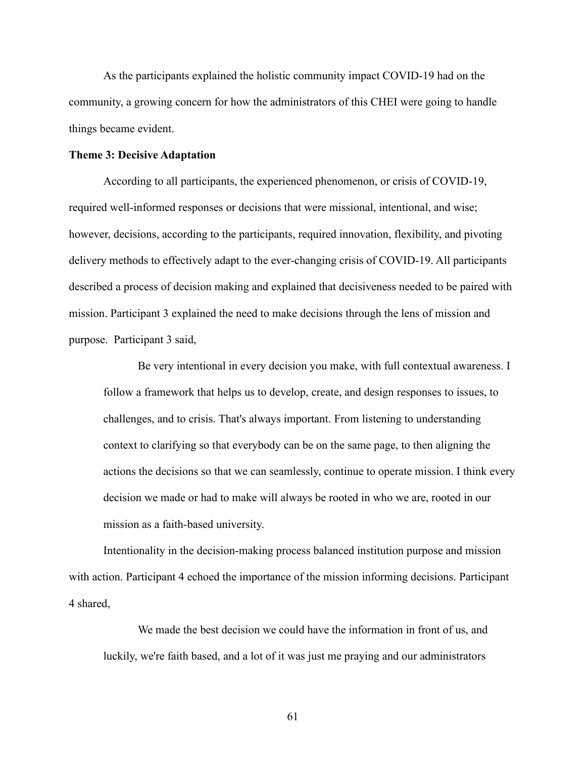As the participants explained the holistic community impact COVID-19 had on the community, a growing concern for how the administrators of this CHEI were going to handle things became evident.

### **Theme 3: Decisive Adaptation**

According to all participants, the experienced phenomenon, or crisis of COVID-19, required well-informed responses or decisions that were missional, intentional, and wise; however, decisions, according to the participants, required innovation, flexibility, and pivoting delivery methods to effectively adapt to the ever-changing crisis of COVID-19. All participants described a process of decision making and explained that decisiveness needed to be paired with mission. Participant 3 explained the need to make decisions through the lens of mission and purpose. Participant 3 said,

Be very intentional in every decision you make, with full contextual awareness. I follow a framework that helps us to develop, create, and design responses to issues, to challenges, and to crisis. That's always important. From listening to understanding context to clarifying so that everybody can be on the same page, to then aligning the actions the decisions so that we can seamlessly, continue to operate mission. I think every decision we made or had to make will always be rooted in who we are, rooted in our mission as a faith-based university.

Intentionality in the decision-making process balanced institution purpose and mission with action. Participant 4 echoed the importance of the mission informing decisions. Participant 4 shared,

We made the best decision we could have the information in front of us, and luckily, we're faith based, and a lot of it was just me praying and our administrators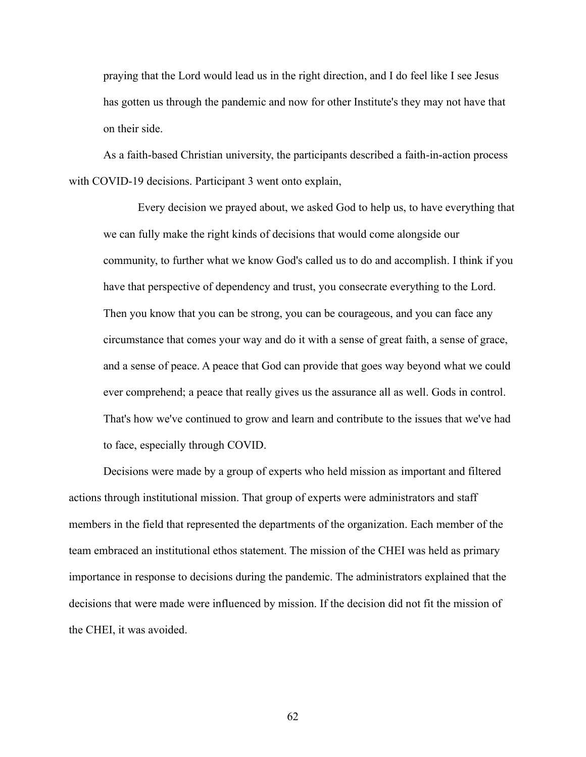praying that the Lord would lead us in the right direction, and I do feel like I see Jesus has gotten us through the pandemic and now for other Institute's they may not have that on their side.

As a faith-based Christian university, the participants described a faith-in-action process with COVID-19 decisions. Participant 3 went onto explain,

Every decision we prayed about, we asked God to help us, to have everything that we can fully make the right kinds of decisions that would come alongside our community, to further what we know God's called us to do and accomplish. I think if you have that perspective of dependency and trust, you consecrate everything to the Lord. Then you know that you can be strong, you can be courageous, and you can face any circumstance that comes your way and do it with a sense of great faith, a sense of grace, and a sense of peace. A peace that God can provide that goes way beyond what we could ever comprehend; a peace that really gives us the assurance all as well. Gods in control. That's how we've continued to grow and learn and contribute to the issues that we've had to face, especially through COVID.

Decisions were made by a group of experts who held mission as important and filtered actions through institutional mission. That group of experts were administrators and staff members in the field that represented the departments of the organization. Each member of the team embraced an institutional ethos statement. The mission of the CHEI was held as primary importance in response to decisions during the pandemic. The administrators explained that the decisions that were made were influenced by mission. If the decision did not fit the mission of the CHEI, it was avoided.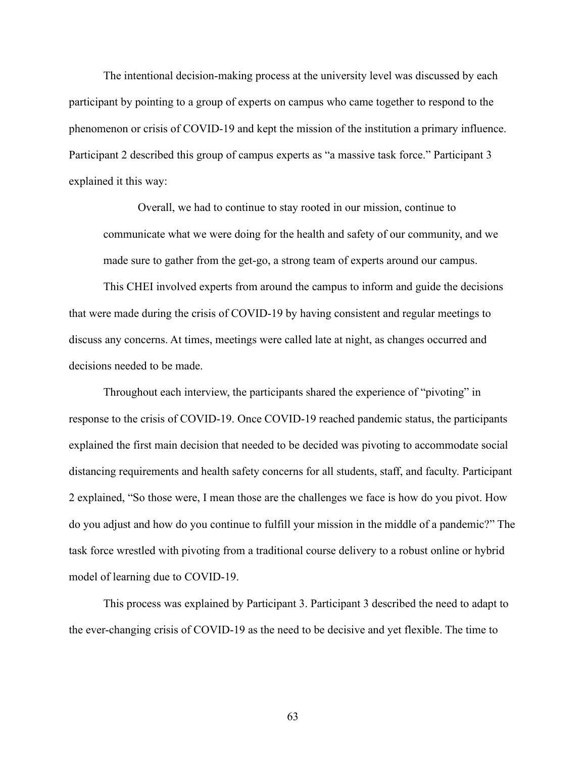The intentional decision-making process at the university level was discussed by each participant by pointing to a group of experts on campus who came together to respond to the phenomenon or crisis of COVID-19 and kept the mission of the institution a primary influence. Participant 2 described this group of campus experts as "a massive task force." Participant 3 explained it this way:

Overall, we had to continue to stay rooted in our mission, continue to communicate what we were doing for the health and safety of our community, and we made sure to gather from the get-go, a strong team of experts around our campus.

This CHEI involved experts from around the campus to inform and guide the decisions that were made during the crisis of COVID-19 by having consistent and regular meetings to discuss any concerns. At times, meetings were called late at night, as changes occurred and decisions needed to be made.

Throughout each interview, the participants shared the experience of "pivoting" in response to the crisis of COVID-19. Once COVID-19 reached pandemic status, the participants explained the first main decision that needed to be decided was pivoting to accommodate social distancing requirements and health safety concerns for all students, staff, and faculty. Participant 2 explained, "So those were, I mean those are the challenges we face is how do you pivot. How do you adjust and how do you continue to fulfill your mission in the middle of a pandemic?" The task force wrestled with pivoting from a traditional course delivery to a robust online or hybrid model of learning due to COVID-19.

This process was explained by Participant 3. Participant 3 described the need to adapt to the ever-changing crisis of COVID-19 as the need to be decisive and yet flexible. The time to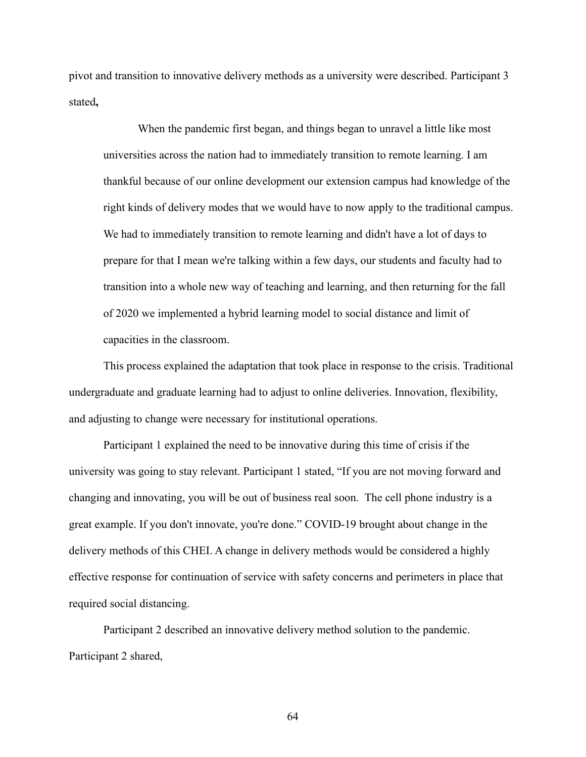pivot and transition to innovative delivery methods as a university were described. Participant 3 stated**,**

When the pandemic first began, and things began to unravel a little like most universities across the nation had to immediately transition to remote learning. I am thankful because of our online development our extension campus had knowledge of the right kinds of delivery modes that we would have to now apply to the traditional campus. We had to immediately transition to remote learning and didn't have a lot of days to prepare for that I mean we're talking within a few days, our students and faculty had to transition into a whole new way of teaching and learning, and then returning for the fall of 2020 we implemented a hybrid learning model to social distance and limit of capacities in the classroom.

This process explained the adaptation that took place in response to the crisis. Traditional undergraduate and graduate learning had to adjust to online deliveries. Innovation, flexibility, and adjusting to change were necessary for institutional operations.

Participant 1 explained the need to be innovative during this time of crisis if the university was going to stay relevant. Participant 1 stated, "If you are not moving forward and changing and innovating, you will be out of business real soon. The cell phone industry is a great example. If you don't innovate, you're done." COVID-19 brought about change in the delivery methods of this CHEI. A change in delivery methods would be considered a highly effective response for continuation of service with safety concerns and perimeters in place that required social distancing.

Participant 2 described an innovative delivery method solution to the pandemic. Participant 2 shared,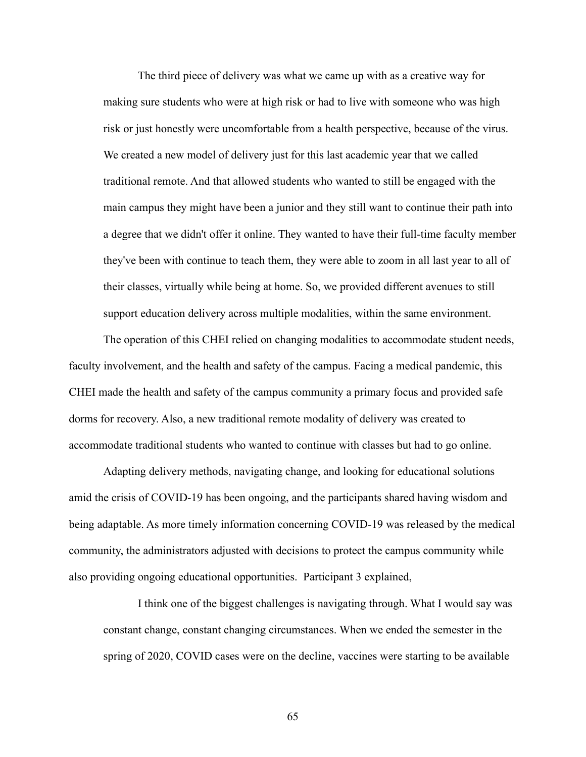The third piece of delivery was what we came up with as a creative way for making sure students who were at high risk or had to live with someone who was high risk or just honestly were uncomfortable from a health perspective, because of the virus. We created a new model of delivery just for this last academic year that we called traditional remote. And that allowed students who wanted to still be engaged with the main campus they might have been a junior and they still want to continue their path into a degree that we didn't offer it online. They wanted to have their full-time faculty member they've been with continue to teach them, they were able to zoom in all last year to all of their classes, virtually while being at home. So, we provided different avenues to still support education delivery across multiple modalities, within the same environment.

The operation of this CHEI relied on changing modalities to accommodate student needs, faculty involvement, and the health and safety of the campus. Facing a medical pandemic, this CHEI made the health and safety of the campus community a primary focus and provided safe dorms for recovery. Also, a new traditional remote modality of delivery was created to accommodate traditional students who wanted to continue with classes but had to go online.

Adapting delivery methods, navigating change, and looking for educational solutions amid the crisis of COVID-19 has been ongoing, and the participants shared having wisdom and being adaptable. As more timely information concerning COVID-19 was released by the medical community, the administrators adjusted with decisions to protect the campus community while also providing ongoing educational opportunities. Participant 3 explained,

I think one of the biggest challenges is navigating through. What I would say was constant change, constant changing circumstances. When we ended the semester in the spring of 2020, COVID cases were on the decline, vaccines were starting to be available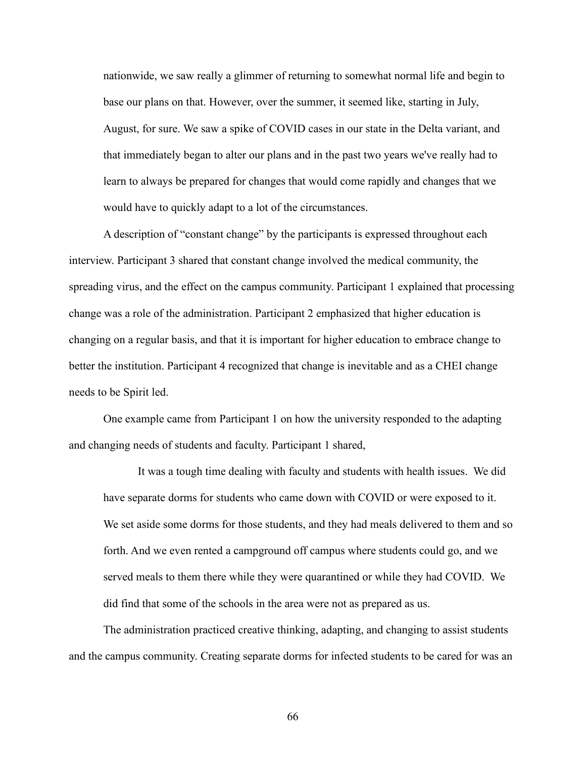nationwide, we saw really a glimmer of returning to somewhat normal life and begin to base our plans on that. However, over the summer, it seemed like, starting in July, August, for sure. We saw a spike of COVID cases in our state in the Delta variant, and that immediately began to alter our plans and in the past two years we've really had to learn to always be prepared for changes that would come rapidly and changes that we would have to quickly adapt to a lot of the circumstances.

A description of "constant change" by the participants is expressed throughout each interview. Participant 3 shared that constant change involved the medical community, the spreading virus, and the effect on the campus community. Participant 1 explained that processing change was a role of the administration. Participant 2 emphasized that higher education is changing on a regular basis, and that it is important for higher education to embrace change to better the institution. Participant 4 recognized that change is inevitable and as a CHEI change needs to be Spirit led.

One example came from Participant 1 on how the university responded to the adapting and changing needs of students and faculty. Participant 1 shared,

It was a tough time dealing with faculty and students with health issues. We did have separate dorms for students who came down with COVID or were exposed to it. We set aside some dorms for those students, and they had meals delivered to them and so forth. And we even rented a campground off campus where students could go, and we served meals to them there while they were quarantined or while they had COVID. We did find that some of the schools in the area were not as prepared as us.

The administration practiced creative thinking, adapting, and changing to assist students and the campus community. Creating separate dorms for infected students to be cared for was an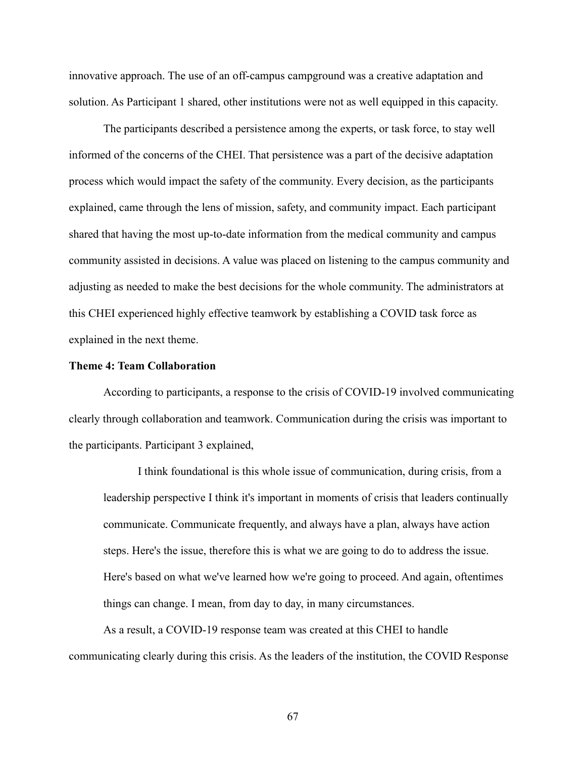innovative approach. The use of an off-campus campground was a creative adaptation and solution. As Participant 1 shared, other institutions were not as well equipped in this capacity.

The participants described a persistence among the experts, or task force, to stay well informed of the concerns of the CHEI. That persistence was a part of the decisive adaptation process which would impact the safety of the community. Every decision, as the participants explained, came through the lens of mission, safety, and community impact. Each participant shared that having the most up-to-date information from the medical community and campus community assisted in decisions. A value was placed on listening to the campus community and adjusting as needed to make the best decisions for the whole community. The administrators at this CHEI experienced highly effective teamwork by establishing a COVID task force as explained in the next theme.

## **Theme 4: Team Collaboration**

According to participants, a response to the crisis of COVID-19 involved communicating clearly through collaboration and teamwork. Communication during the crisis was important to the participants. Participant 3 explained,

I think foundational is this whole issue of communication, during crisis, from a leadership perspective I think it's important in moments of crisis that leaders continually communicate. Communicate frequently, and always have a plan, always have action steps. Here's the issue, therefore this is what we are going to do to address the issue. Here's based on what we've learned how we're going to proceed. And again, oftentimes things can change. I mean, from day to day, in many circumstances.

As a result, a COVID-19 response team was created at this CHEI to handle communicating clearly during this crisis. As the leaders of the institution, the COVID Response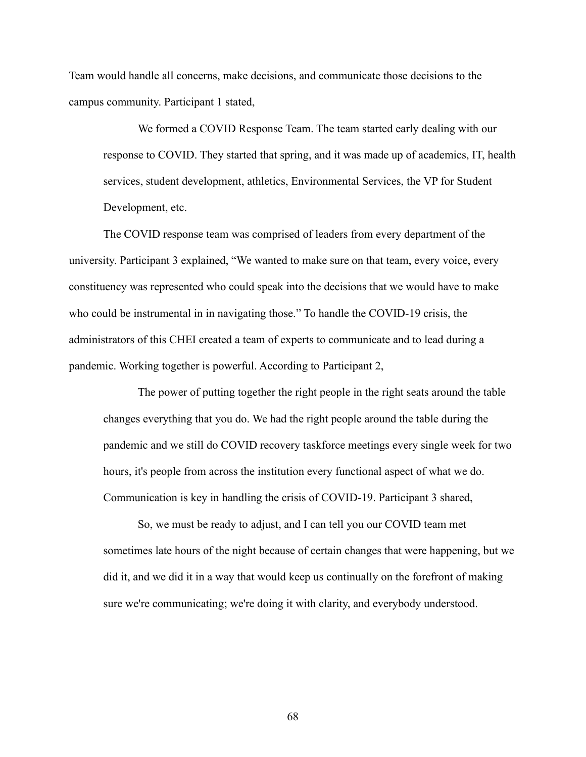Team would handle all concerns, make decisions, and communicate those decisions to the campus community. Participant 1 stated,

We formed a COVID Response Team. The team started early dealing with our response to COVID. They started that spring, and it was made up of academics, IT, health services, student development, athletics, Environmental Services, the VP for Student Development, etc.

The COVID response team was comprised of leaders from every department of the university. Participant 3 explained, "We wanted to make sure on that team, every voice, every constituency was represented who could speak into the decisions that we would have to make who could be instrumental in in navigating those." To handle the COVID-19 crisis, the administrators of this CHEI created a team of experts to communicate and to lead during a pandemic. Working together is powerful. According to Participant 2,

The power of putting together the right people in the right seats around the table changes everything that you do. We had the right people around the table during the pandemic and we still do COVID recovery taskforce meetings every single week for two hours, it's people from across the institution every functional aspect of what we do. Communication is key in handling the crisis of COVID-19. Participant 3 shared,

So, we must be ready to adjust, and I can tell you our COVID team met sometimes late hours of the night because of certain changes that were happening, but we did it, and we did it in a way that would keep us continually on the forefront of making sure we're communicating; we're doing it with clarity, and everybody understood.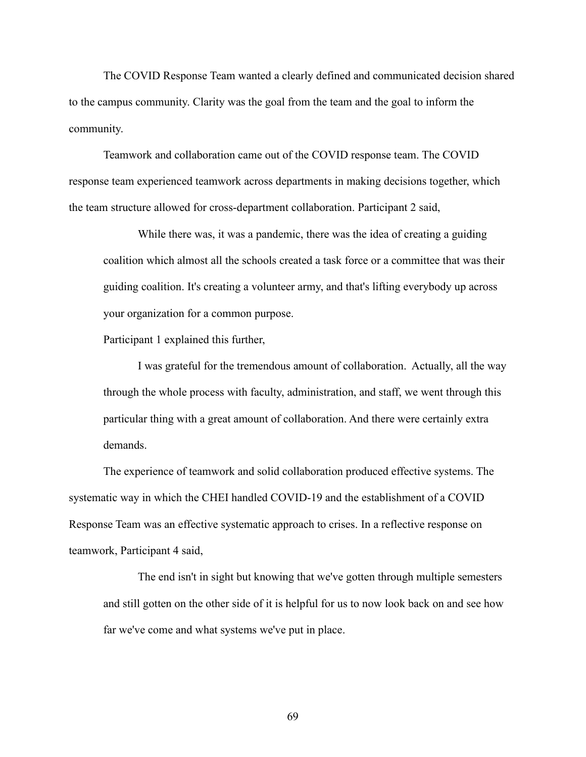The COVID Response Team wanted a clearly defined and communicated decision shared to the campus community. Clarity was the goal from the team and the goal to inform the community.

Teamwork and collaboration came out of the COVID response team. The COVID response team experienced teamwork across departments in making decisions together, which the team structure allowed for cross-department collaboration. Participant 2 said,

While there was, it was a pandemic, there was the idea of creating a guiding coalition which almost all the schools created a task force or a committee that was their guiding coalition. It's creating a volunteer army, and that's lifting everybody up across your organization for a common purpose.

Participant 1 explained this further,

I was grateful for the tremendous amount of collaboration. Actually, all the way through the whole process with faculty, administration, and staff, we went through this particular thing with a great amount of collaboration. And there were certainly extra demands.

The experience of teamwork and solid collaboration produced effective systems. The systematic way in which the CHEI handled COVID-19 and the establishment of a COVID Response Team was an effective systematic approach to crises. In a reflective response on teamwork, Participant 4 said,

The end isn't in sight but knowing that we've gotten through multiple semesters and still gotten on the other side of it is helpful for us to now look back on and see how far we've come and what systems we've put in place.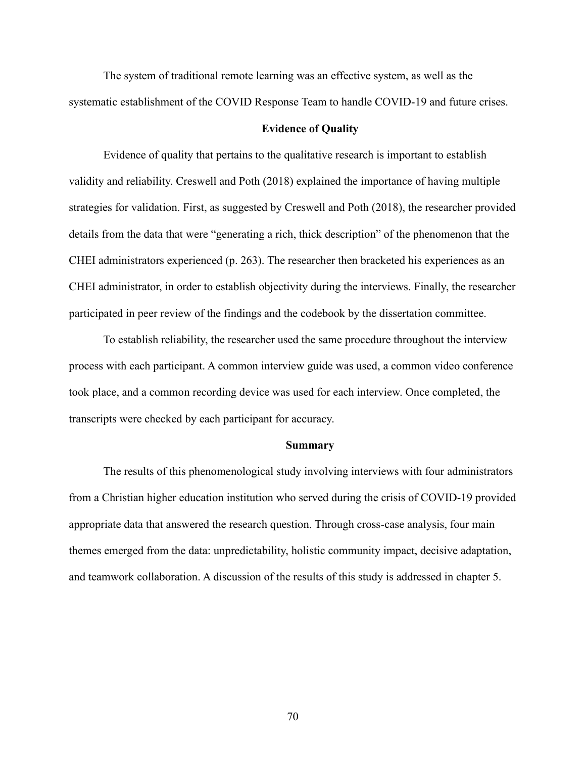The system of traditional remote learning was an effective system, as well as the systematic establishment of the COVID Response Team to handle COVID-19 and future crises.

## **Evidence of Quality**

Evidence of quality that pertains to the qualitative research is important to establish validity and reliability. Creswell and Poth (2018) explained the importance of having multiple strategies for validation. First, as suggested by Creswell and Poth (2018), the researcher provided details from the data that were "generating a rich, thick description" of the phenomenon that the CHEI administrators experienced (p. 263). The researcher then bracketed his experiences as an CHEI administrator, in order to establish objectivity during the interviews. Finally, the researcher participated in peer review of the findings and the codebook by the dissertation committee.

To establish reliability, the researcher used the same procedure throughout the interview process with each participant. A common interview guide was used, a common video conference took place, and a common recording device was used for each interview. Once completed, the transcripts were checked by each participant for accuracy.

#### **Summary**

The results of this phenomenological study involving interviews with four administrators from a Christian higher education institution who served during the crisis of COVID-19 provided appropriate data that answered the research question. Through cross-case analysis, four main themes emerged from the data: unpredictability, holistic community impact, decisive adaptation, and teamwork collaboration. A discussion of the results of this study is addressed in chapter 5.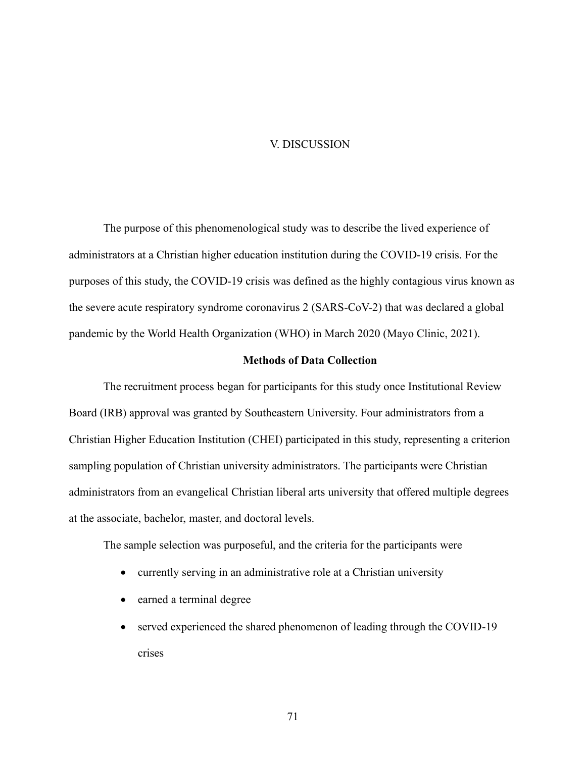## V. DISCUSSION

The purpose of this phenomenological study was to describe the lived experience of administrators at a Christian higher education institution during the COVID-19 crisis. For the purposes of this study, the COVID-19 crisis was defined as the highly contagious virus known as the severe acute respiratory syndrome coronavirus 2 (SARS-CoV-2) that was declared a global pandemic by the World Health Organization (WHO) in March 2020 (Mayo Clinic, 2021).

### **Methods of Data Collection**

The recruitment process began for participants for this study once Institutional Review Board (IRB) approval was granted by Southeastern University. Four administrators from a Christian Higher Education Institution (CHEI) participated in this study, representing a criterion sampling population of Christian university administrators. The participants were Christian administrators from an evangelical Christian liberal arts university that offered multiple degrees at the associate, bachelor, master, and doctoral levels.

The sample selection was purposeful, and the criteria for the participants were

- currently serving in an administrative role at a Christian university
- earned a terminal degree
- served experienced the shared phenomenon of leading through the COVID-19 crises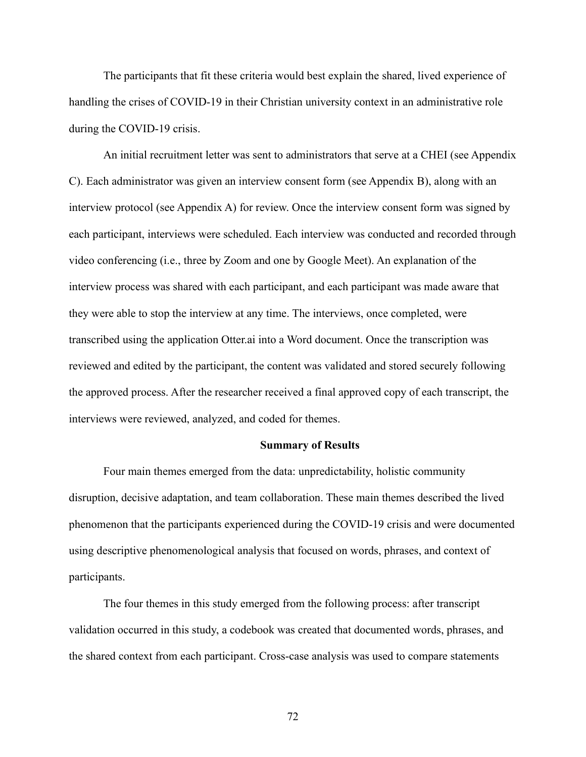The participants that fit these criteria would best explain the shared, lived experience of handling the crises of COVID-19 in their Christian university context in an administrative role during the COVID-19 crisis.

An initial recruitment letter was sent to administrators that serve at a CHEI (see Appendix C). Each administrator was given an interview consent form (see Appendix B), along with an interview protocol (see Appendix A) for review. Once the interview consent form was signed by each participant, interviews were scheduled. Each interview was conducted and recorded through video conferencing (i.e., three by Zoom and one by Google Meet). An explanation of the interview process was shared with each participant, and each participant was made aware that they were able to stop the interview at any time. The interviews, once completed, were transcribed using the application Otter.ai into a Word document. Once the transcription was reviewed and edited by the participant, the content was validated and stored securely following the approved process. After the researcher received a final approved copy of each transcript, the interviews were reviewed, analyzed, and coded for themes.

#### **Summary of Results**

Four main themes emerged from the data: unpredictability, holistic community disruption, decisive adaptation, and team collaboration. These main themes described the lived phenomenon that the participants experienced during the COVID-19 crisis and were documented using descriptive phenomenological analysis that focused on words, phrases, and context of participants.

The four themes in this study emerged from the following process: after transcript validation occurred in this study, a codebook was created that documented words, phrases, and the shared context from each participant. Cross-case analysis was used to compare statements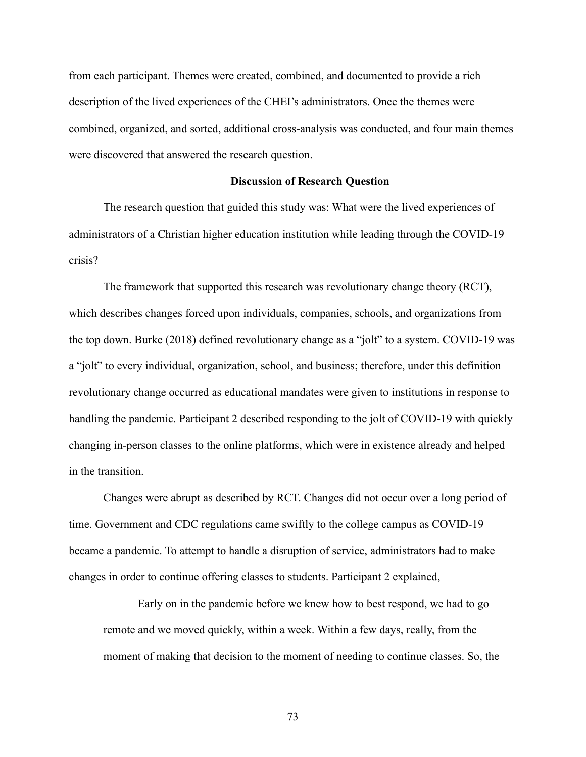from each participant. Themes were created, combined, and documented to provide a rich description of the lived experiences of the CHEI's administrators. Once the themes were combined, organized, and sorted, additional cross-analysis was conducted, and four main themes were discovered that answered the research question.

#### **Discussion of Research Question**

The research question that guided this study was: What were the lived experiences of administrators of a Christian higher education institution while leading through the COVID-19 crisis?

The framework that supported this research was revolutionary change theory (RCT), which describes changes forced upon individuals, companies, schools, and organizations from the top down. Burke (2018) defined revolutionary change as a "jolt" to a system. COVID-19 was a "jolt" to every individual, organization, school, and business; therefore, under this definition revolutionary change occurred as educational mandates were given to institutions in response to handling the pandemic. Participant 2 described responding to the jolt of COVID-19 with quickly changing in-person classes to the online platforms, which were in existence already and helped in the transition.

Changes were abrupt as described by RCT. Changes did not occur over a long period of time. Government and CDC regulations came swiftly to the college campus as COVID-19 became a pandemic. To attempt to handle a disruption of service, administrators had to make changes in order to continue offering classes to students. Participant 2 explained,

Early on in the pandemic before we knew how to best respond, we had to go remote and we moved quickly, within a week. Within a few days, really, from the moment of making that decision to the moment of needing to continue classes. So, the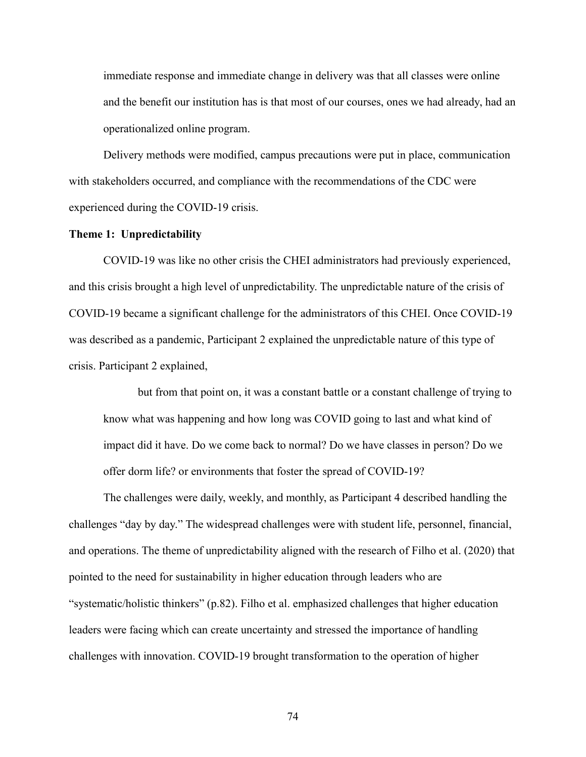immediate response and immediate change in delivery was that all classes were online and the benefit our institution has is that most of our courses, ones we had already, had an operationalized online program.

Delivery methods were modified, campus precautions were put in place, communication with stakeholders occurred, and compliance with the recommendations of the CDC were experienced during the COVID-19 crisis.

## **Theme 1: Unpredictability**

COVID-19 was like no other crisis the CHEI administrators had previously experienced, and this crisis brought a high level of unpredictability. The unpredictable nature of the crisis of COVID-19 became a significant challenge for the administrators of this CHEI. Once COVID-19 was described as a pandemic, Participant 2 explained the unpredictable nature of this type of crisis. Participant 2 explained,

but from that point on, it was a constant battle or a constant challenge of trying to know what was happening and how long was COVID going to last and what kind of impact did it have. Do we come back to normal? Do we have classes in person? Do we offer dorm life? or environments that foster the spread of COVID-19?

The challenges were daily, weekly, and monthly, as Participant 4 described handling the challenges "day by day." The widespread challenges were with student life, personnel, financial, and operations. The theme of unpredictability aligned with the research of Filho et al. (2020) that pointed to the need for sustainability in higher education through leaders who are "systematic/holistic thinkers" (p.82). Filho et al. emphasized challenges that higher education leaders were facing which can create uncertainty and stressed the importance of handling challenges with innovation. COVID-19 brought transformation to the operation of higher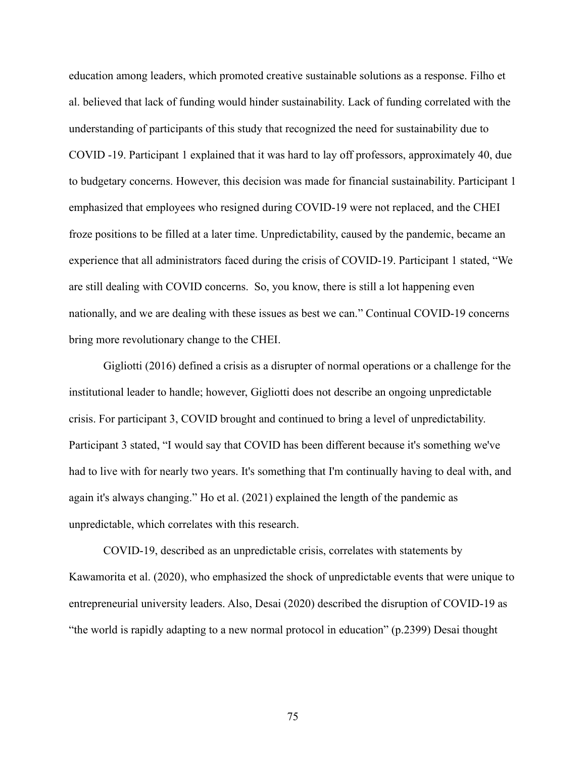education among leaders, which promoted creative sustainable solutions as a response. Filho et al. believed that lack of funding would hinder sustainability. Lack of funding correlated with the understanding of participants of this study that recognized the need for sustainability due to COVID -19. Participant 1 explained that it was hard to lay off professors, approximately 40, due to budgetary concerns. However, this decision was made for financial sustainability. Participant 1 emphasized that employees who resigned during COVID-19 were not replaced, and the CHEI froze positions to be filled at a later time. Unpredictability, caused by the pandemic, became an experience that all administrators faced during the crisis of COVID-19. Participant 1 stated, "We are still dealing with COVID concerns. So, you know, there is still a lot happening even nationally, and we are dealing with these issues as best we can." Continual COVID-19 concerns bring more revolutionary change to the CHEI.

Gigliotti (2016) defined a crisis as a disrupter of normal operations or a challenge for the institutional leader to handle; however, Gigliotti does not describe an ongoing unpredictable crisis. For participant 3, COVID brought and continued to bring a level of unpredictability. Participant 3 stated, "I would say that COVID has been different because it's something we've had to live with for nearly two years. It's something that I'm continually having to deal with, and again it's always changing." Ho et al. (2021) explained the length of the pandemic as unpredictable, which correlates with this research.

COVID-19, described as an unpredictable crisis, correlates with statements by Kawamorita et al. (2020), who emphasized the shock of unpredictable events that were unique to entrepreneurial university leaders. Also, Desai (2020) described the disruption of COVID-19 as "the world is rapidly adapting to a new normal protocol in education" (p.2399) Desai thought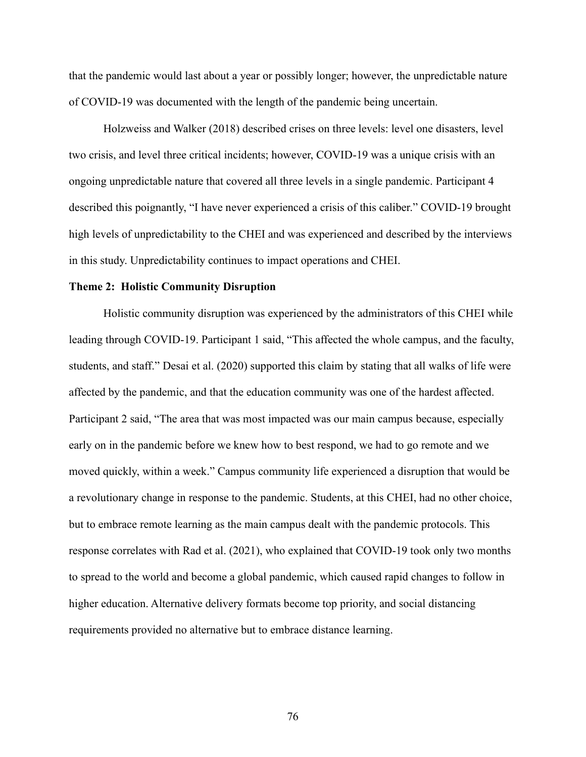that the pandemic would last about a year or possibly longer; however, the unpredictable nature of COVID-19 was documented with the length of the pandemic being uncertain.

Holzweiss and Walker (2018) described crises on three levels: level one disasters, level two crisis, and level three critical incidents; however, COVID-19 was a unique crisis with an ongoing unpredictable nature that covered all three levels in a single pandemic. Participant 4 described this poignantly, "I have never experienced a crisis of this caliber." COVID-19 brought high levels of unpredictability to the CHEI and was experienced and described by the interviews in this study. Unpredictability continues to impact operations and CHEI.

#### **Theme 2: Holistic Community Disruption**

Holistic community disruption was experienced by the administrators of this CHEI while leading through COVID-19. Participant 1 said, "This affected the whole campus, and the faculty, students, and staff." Desai et al. (2020) supported this claim by stating that all walks of life were affected by the pandemic, and that the education community was one of the hardest affected. Participant 2 said, "The area that was most impacted was our main campus because, especially early on in the pandemic before we knew how to best respond, we had to go remote and we moved quickly, within a week." Campus community life experienced a disruption that would be a revolutionary change in response to the pandemic. Students, at this CHEI, had no other choice, but to embrace remote learning as the main campus dealt with the pandemic protocols. This response correlates with Rad et al. (2021), who explained that COVID-19 took only two months to spread to the world and become a global pandemic, which caused rapid changes to follow in higher education. Alternative delivery formats become top priority, and social distancing requirements provided no alternative but to embrace distance learning.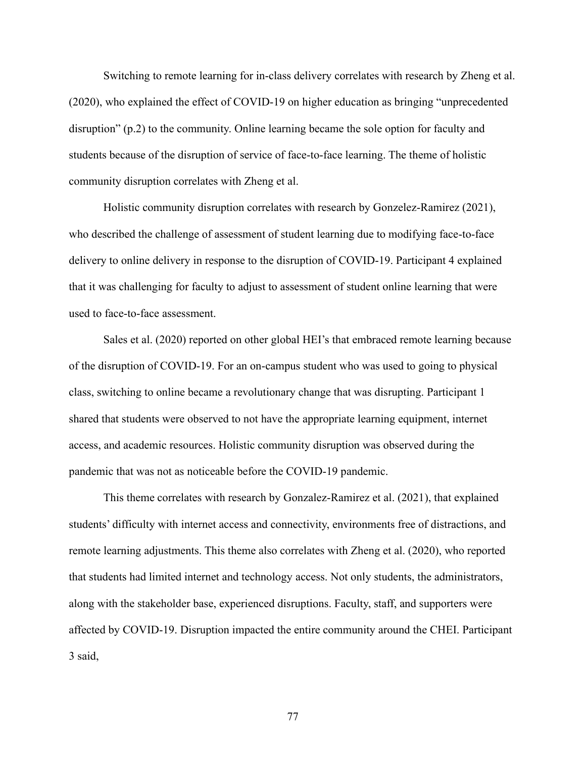Switching to remote learning for in-class delivery correlates with research by Zheng et al. (2020), who explained the effect of COVID-19 on higher education as bringing "unprecedented disruption" (p.2) to the community. Online learning became the sole option for faculty and students because of the disruption of service of face-to-face learning. The theme of holistic community disruption correlates with Zheng et al.

Holistic community disruption correlates with research by Gonzelez-Ramirez (2021), who described the challenge of assessment of student learning due to modifying face-to-face delivery to online delivery in response to the disruption of COVID-19. Participant 4 explained that it was challenging for faculty to adjust to assessment of student online learning that were used to face-to-face assessment.

Sales et al. (2020) reported on other global HEI's that embraced remote learning because of the disruption of COVID-19. For an on-campus student who was used to going to physical class, switching to online became a revolutionary change that was disrupting. Participant 1 shared that students were observed to not have the appropriate learning equipment, internet access, and academic resources. Holistic community disruption was observed during the pandemic that was not as noticeable before the COVID-19 pandemic.

This theme correlates with research by Gonzalez-Ramirez et al. (2021), that explained students' difficulty with internet access and connectivity, environments free of distractions, and remote learning adjustments. This theme also correlates with Zheng et al. (2020), who reported that students had limited internet and technology access. Not only students, the administrators, along with the stakeholder base, experienced disruptions. Faculty, staff, and supporters were affected by COVID-19. Disruption impacted the entire community around the CHEI. Participant 3 said,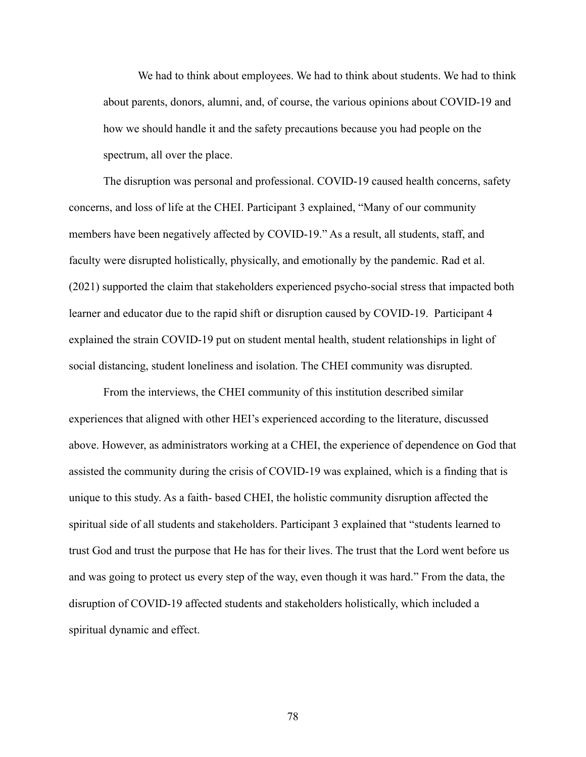We had to think about employees. We had to think about students. We had to think about parents, donors, alumni, and, of course, the various opinions about COVID-19 and how we should handle it and the safety precautions because you had people on the spectrum, all over the place.

The disruption was personal and professional. COVID-19 caused health concerns, safety concerns, and loss of life at the CHEI. Participant 3 explained, "Many of our community members have been negatively affected by COVID-19." As a result, all students, staff, and faculty were disrupted holistically, physically, and emotionally by the pandemic. Rad et al. (2021) supported the claim that stakeholders experienced psycho-social stress that impacted both learner and educator due to the rapid shift or disruption caused by COVID-19. Participant 4 explained the strain COVID-19 put on student mental health, student relationships in light of social distancing, student loneliness and isolation. The CHEI community was disrupted.

From the interviews, the CHEI community of this institution described similar experiences that aligned with other HEI's experienced according to the literature, discussed above. However, as administrators working at a CHEI, the experience of dependence on God that assisted the community during the crisis of COVID-19 was explained, which is a finding that is unique to this study. As a faith- based CHEI, the holistic community disruption affected the spiritual side of all students and stakeholders. Participant 3 explained that "students learned to trust God and trust the purpose that He has for their lives. The trust that the Lord went before us and was going to protect us every step of the way, even though it was hard." From the data, the disruption of COVID-19 affected students and stakeholders holistically, which included a spiritual dynamic and effect.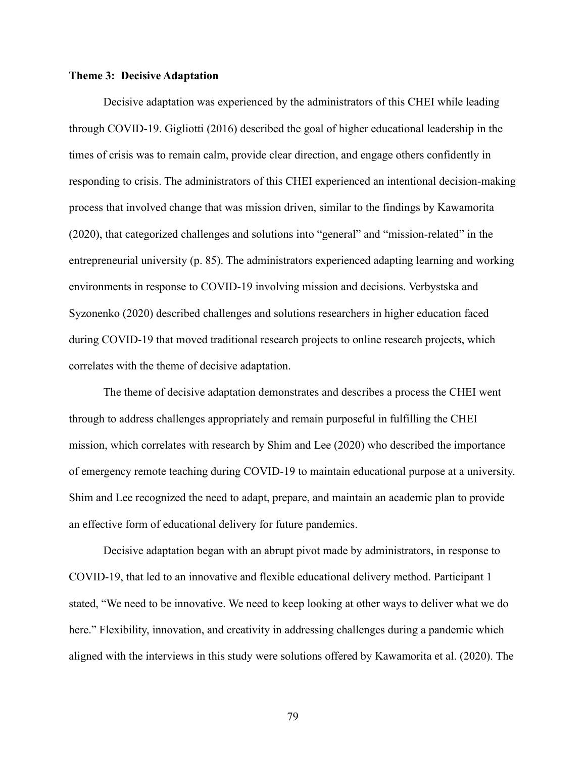## **Theme 3: Decisive Adaptation**

Decisive adaptation was experienced by the administrators of this CHEI while leading through COVID-19. Gigliotti (2016) described the goal of higher educational leadership in the times of crisis was to remain calm, provide clear direction, and engage others confidently in responding to crisis. The administrators of this CHEI experienced an intentional decision-making process that involved change that was mission driven, similar to the findings by Kawamorita (2020), that categorized challenges and solutions into "general" and "mission-related" in the entrepreneurial university (p. 85). The administrators experienced adapting learning and working environments in response to COVID-19 involving mission and decisions. Verbystska and Syzonenko (2020) described challenges and solutions researchers in higher education faced during COVID-19 that moved traditional research projects to online research projects, which correlates with the theme of decisive adaptation.

The theme of decisive adaptation demonstrates and describes a process the CHEI went through to address challenges appropriately and remain purposeful in fulfilling the CHEI mission, which correlates with research by Shim and Lee (2020) who described the importance of emergency remote teaching during COVID-19 to maintain educational purpose at a university. Shim and Lee recognized the need to adapt, prepare, and maintain an academic plan to provide an effective form of educational delivery for future pandemics.

Decisive adaptation began with an abrupt pivot made by administrators, in response to COVID-19, that led to an innovative and flexible educational delivery method. Participant 1 stated, "We need to be innovative. We need to keep looking at other ways to deliver what we do here." Flexibility, innovation, and creativity in addressing challenges during a pandemic which aligned with the interviews in this study were solutions offered by Kawamorita et al. (2020). The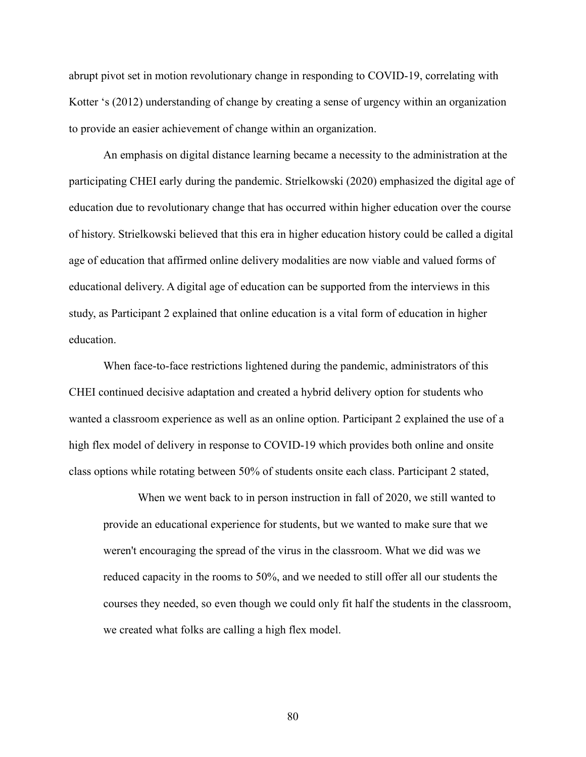abrupt pivot set in motion revolutionary change in responding to COVID-19, correlating with Kotter 's (2012) understanding of change by creating a sense of urgency within an organization to provide an easier achievement of change within an organization.

An emphasis on digital distance learning became a necessity to the administration at the participating CHEI early during the pandemic. Strielkowski (2020) emphasized the digital age of education due to revolutionary change that has occurred within higher education over the course of history. Strielkowski believed that this era in higher education history could be called a digital age of education that affirmed online delivery modalities are now viable and valued forms of educational delivery. A digital age of education can be supported from the interviews in this study, as Participant 2 explained that online education is a vital form of education in higher education.

When face-to-face restrictions lightened during the pandemic, administrators of this CHEI continued decisive adaptation and created a hybrid delivery option for students who wanted a classroom experience as well as an online option. Participant 2 explained the use of a high flex model of delivery in response to COVID-19 which provides both online and onsite class options while rotating between 50% of students onsite each class. Participant 2 stated,

When we went back to in person instruction in fall of 2020, we still wanted to provide an educational experience for students, but we wanted to make sure that we weren't encouraging the spread of the virus in the classroom. What we did was we reduced capacity in the rooms to 50%, and we needed to still offer all our students the courses they needed, so even though we could only fit half the students in the classroom, we created what folks are calling a high flex model.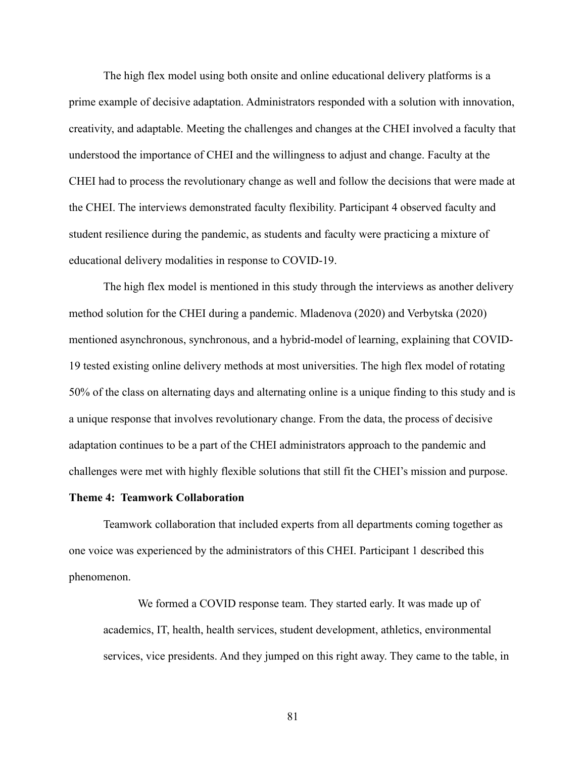The high flex model using both onsite and online educational delivery platforms is a prime example of decisive adaptation. Administrators responded with a solution with innovation, creativity, and adaptable. Meeting the challenges and changes at the CHEI involved a faculty that understood the importance of CHEI and the willingness to adjust and change. Faculty at the CHEI had to process the revolutionary change as well and follow the decisions that were made at the CHEI. The interviews demonstrated faculty flexibility. Participant 4 observed faculty and student resilience during the pandemic, as students and faculty were practicing a mixture of educational delivery modalities in response to COVID-19.

The high flex model is mentioned in this study through the interviews as another delivery method solution for the CHEI during a pandemic. Mladenova (2020) and Verbytska (2020) mentioned asynchronous, synchronous, and a hybrid-model of learning, explaining that COVID-19 tested existing online delivery methods at most universities. The high flex model of rotating 50% of the class on alternating days and alternating online is a unique finding to this study and is a unique response that involves revolutionary change. From the data, the process of decisive adaptation continues to be a part of the CHEI administrators approach to the pandemic and challenges were met with highly flexible solutions that still fit the CHEI's mission and purpose.

#### **Theme 4: Teamwork Collaboration**

Teamwork collaboration that included experts from all departments coming together as one voice was experienced by the administrators of this CHEI. Participant 1 described this phenomenon.

We formed a COVID response team. They started early. It was made up of academics, IT, health, health services, student development, athletics, environmental services, vice presidents. And they jumped on this right away. They came to the table, in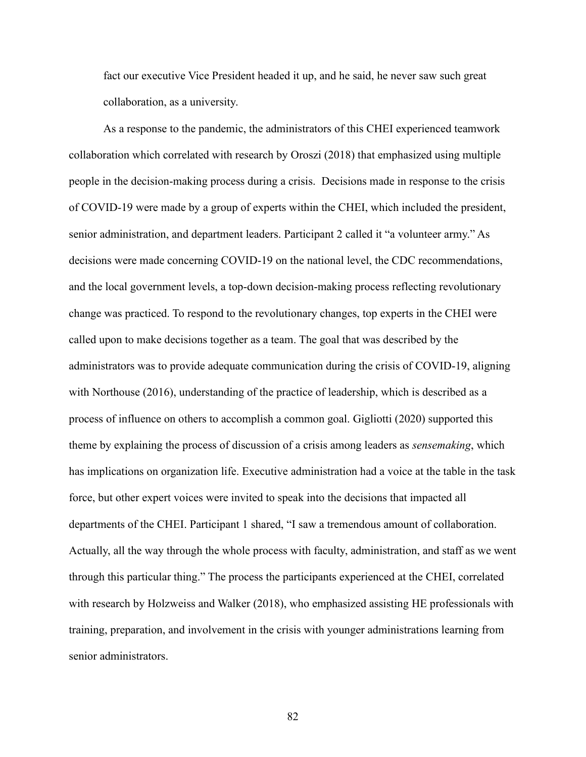fact our executive Vice President headed it up, and he said, he never saw such great collaboration, as a university.

As a response to the pandemic, the administrators of this CHEI experienced teamwork collaboration which correlated with research by Oroszi (2018) that emphasized using multiple people in the decision-making process during a crisis. Decisions made in response to the crisis of COVID-19 were made by a group of experts within the CHEI, which included the president, senior administration, and department leaders. Participant 2 called it "a volunteer army." As decisions were made concerning COVID-19 on the national level, the CDC recommendations, and the local government levels, a top-down decision-making process reflecting revolutionary change was practiced. To respond to the revolutionary changes, top experts in the CHEI were called upon to make decisions together as a team. The goal that was described by the administrators was to provide adequate communication during the crisis of COVID-19, aligning with Northouse (2016), understanding of the practice of leadership, which is described as a process of influence on others to accomplish a common goal. Gigliotti (2020) supported this theme by explaining the process of discussion of a crisis among leaders as *sensemaking*, which has implications on organization life. Executive administration had a voice at the table in the task force, but other expert voices were invited to speak into the decisions that impacted all departments of the CHEI. Participant 1 shared, "I saw a tremendous amount of collaboration. Actually, all the way through the whole process with faculty, administration, and staff as we went through this particular thing." The process the participants experienced at the CHEI, correlated with research by Holzweiss and Walker (2018), who emphasized assisting HE professionals with training, preparation, and involvement in the crisis with younger administrations learning from senior administrators.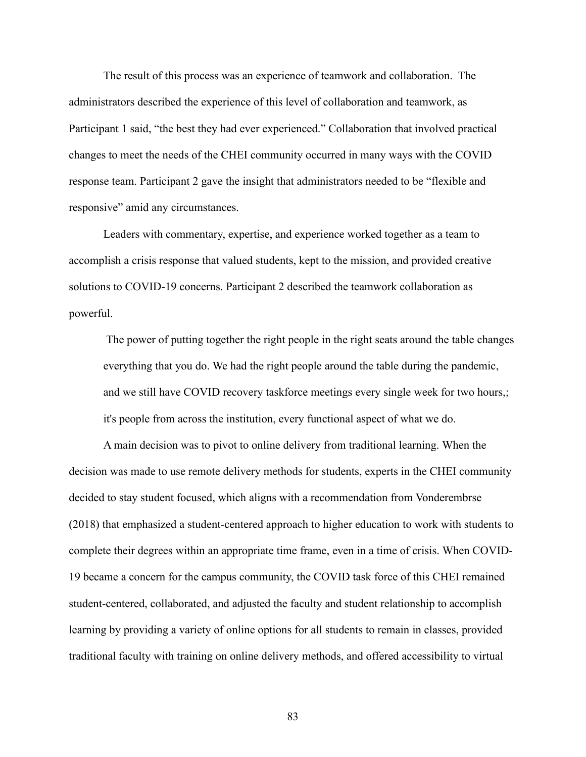The result of this process was an experience of teamwork and collaboration. The administrators described the experience of this level of collaboration and teamwork, as Participant 1 said, "the best they had ever experienced." Collaboration that involved practical changes to meet the needs of the CHEI community occurred in many ways with the COVID response team. Participant 2 gave the insight that administrators needed to be "flexible and responsive" amid any circumstances.

Leaders with commentary, expertise, and experience worked together as a team to accomplish a crisis response that valued students, kept to the mission, and provided creative solutions to COVID-19 concerns. Participant 2 described the teamwork collaboration as powerful.

The power of putting together the right people in the right seats around the table changes everything that you do. We had the right people around the table during the pandemic, and we still have COVID recovery taskforce meetings every single week for two hours,; it's people from across the institution, every functional aspect of what we do.

A main decision was to pivot to online delivery from traditional learning. When the decision was made to use remote delivery methods for students, experts in the CHEI community decided to stay student focused, which aligns with a recommendation from Vonderembrse (2018) that emphasized a student-centered approach to higher education to work with students to complete their degrees within an appropriate time frame, even in a time of crisis. When COVID-19 became a concern for the campus community, the COVID task force of this CHEI remained student-centered, collaborated, and adjusted the faculty and student relationship to accomplish learning by providing a variety of online options for all students to remain in classes, provided traditional faculty with training on online delivery methods, and offered accessibility to virtual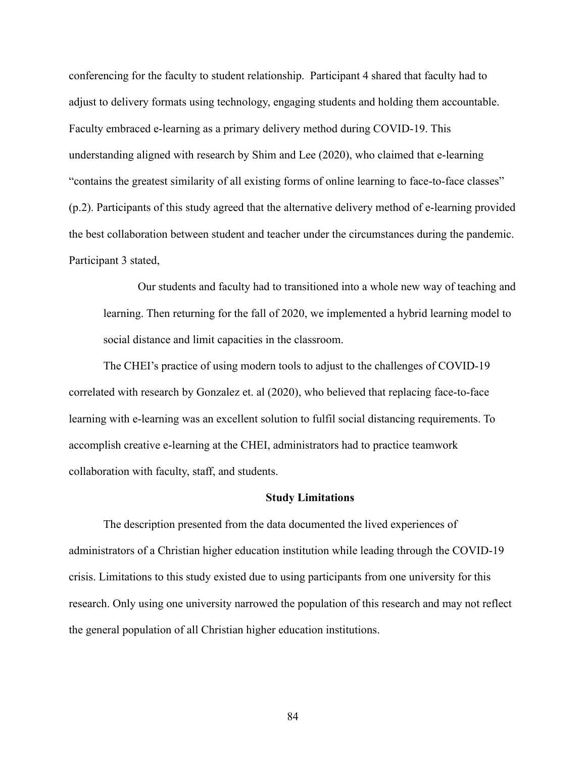conferencing for the faculty to student relationship. Participant 4 shared that faculty had to adjust to delivery formats using technology, engaging students and holding them accountable. Faculty embraced e-learning as a primary delivery method during COVID-19. This understanding aligned with research by Shim and Lee (2020), who claimed that e-learning "contains the greatest similarity of all existing forms of online learning to face-to-face classes" (p.2). Participants of this study agreed that the alternative delivery method of e-learning provided the best collaboration between student and teacher under the circumstances during the pandemic. Participant 3 stated,

Our students and faculty had to transitioned into a whole new way of teaching and learning. Then returning for the fall of 2020, we implemented a hybrid learning model to social distance and limit capacities in the classroom.

The CHEI's practice of using modern tools to adjust to the challenges of COVID-19 correlated with research by Gonzalez et. al (2020), who believed that replacing face-to-face learning with e-learning was an excellent solution to fulfil social distancing requirements. To accomplish creative e-learning at the CHEI, administrators had to practice teamwork collaboration with faculty, staff, and students.

### **Study Limitations**

The description presented from the data documented the lived experiences of administrators of a Christian higher education institution while leading through the COVID-19 crisis. Limitations to this study existed due to using participants from one university for this research. Only using one university narrowed the population of this research and may not reflect the general population of all Christian higher education institutions.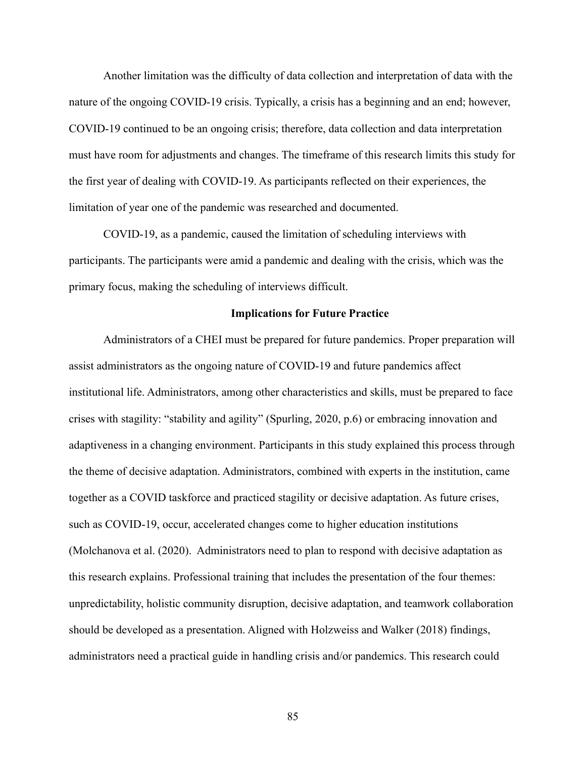Another limitation was the difficulty of data collection and interpretation of data with the nature of the ongoing COVID-19 crisis. Typically, a crisis has a beginning and an end; however, COVID-19 continued to be an ongoing crisis; therefore, data collection and data interpretation must have room for adjustments and changes. The timeframe of this research limits this study for the first year of dealing with COVID-19. As participants reflected on their experiences, the limitation of year one of the pandemic was researched and documented.

COVID-19, as a pandemic, caused the limitation of scheduling interviews with participants. The participants were amid a pandemic and dealing with the crisis, which was the primary focus, making the scheduling of interviews difficult.

## **Implications for Future Practice**

Administrators of a CHEI must be prepared for future pandemics. Proper preparation will assist administrators as the ongoing nature of COVID-19 and future pandemics affect institutional life. Administrators, among other characteristics and skills, must be prepared to face crises with stagility: "stability and agility" (Spurling, 2020, p.6) or embracing innovation and adaptiveness in a changing environment. Participants in this study explained this process through the theme of decisive adaptation. Administrators, combined with experts in the institution, came together as a COVID taskforce and practiced stagility or decisive adaptation. As future crises, such as COVID-19, occur, accelerated changes come to higher education institutions (Molchanova et al. (2020). Administrators need to plan to respond with decisive adaptation as this research explains. Professional training that includes the presentation of the four themes: unpredictability, holistic community disruption, decisive adaptation, and teamwork collaboration should be developed as a presentation. Aligned with Holzweiss and Walker (2018) findings, administrators need a practical guide in handling crisis and/or pandemics. This research could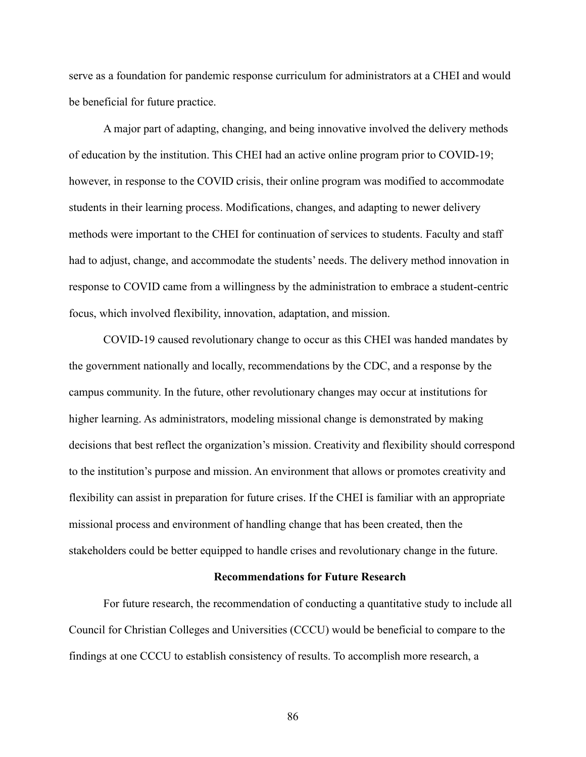serve as a foundation for pandemic response curriculum for administrators at a CHEI and would be beneficial for future practice.

A major part of adapting, changing, and being innovative involved the delivery methods of education by the institution. This CHEI had an active online program prior to COVID-19; however, in response to the COVID crisis, their online program was modified to accommodate students in their learning process. Modifications, changes, and adapting to newer delivery methods were important to the CHEI for continuation of services to students. Faculty and staff had to adjust, change, and accommodate the students' needs. The delivery method innovation in response to COVID came from a willingness by the administration to embrace a student-centric focus, which involved flexibility, innovation, adaptation, and mission.

COVID-19 caused revolutionary change to occur as this CHEI was handed mandates by the government nationally and locally, recommendations by the CDC, and a response by the campus community. In the future, other revolutionary changes may occur at institutions for higher learning. As administrators, modeling missional change is demonstrated by making decisions that best reflect the organization's mission. Creativity and flexibility should correspond to the institution's purpose and mission. An environment that allows or promotes creativity and flexibility can assist in preparation for future crises. If the CHEI is familiar with an appropriate missional process and environment of handling change that has been created, then the stakeholders could be better equipped to handle crises and revolutionary change in the future.

### **Recommendations for Future Research**

For future research, the recommendation of conducting a quantitative study to include all Council for Christian Colleges and Universities (CCCU) would be beneficial to compare to the findings at one CCCU to establish consistency of results. To accomplish more research, a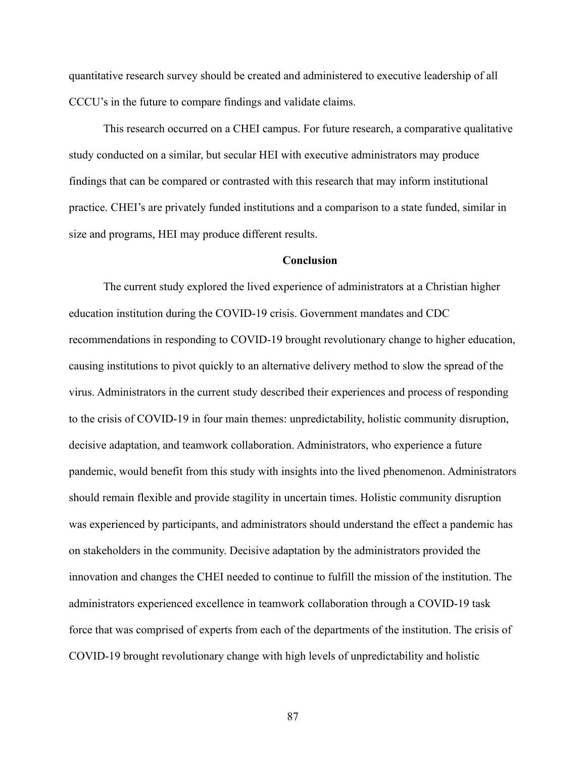quantitative research survey should be created and administered to executive leadership of all CCCU's in the future to compare findings and validate claims.

This research occurred on a CHEI campus. For future research, a comparative qualitative study conducted on a similar, but secular HEI with executive administrators may produce findings that can be compared or contrasted with this research that may inform institutional practice. CHEI's are privately funded institutions and a comparison to a state funded, similar in size and programs, HEI may produce different results.

### **Conclusion**

The current study explored the lived experience of administrators at a Christian higher education institution during the COVID-19 crisis. Government mandates and CDC recommendations in responding to COVID-19 brought revolutionary change to higher education, causing institutions to pivot quickly to an alternative delivery method to slow the spread of the virus. Administrators in the current study described their experiences and process of responding to the crisis of COVID-19 in four main themes: unpredictability, holistic community disruption, decisive adaptation, and teamwork collaboration. Administrators, who experience a future pandemic, would benefit from this study with insights into the lived phenomenon. Administrators should remain flexible and provide stagility in uncertain times. Holistic community disruption was experienced by participants, and administrators should understand the effect a pandemic has on stakeholders in the community. Decisive adaptation by the administrators provided the innovation and changes the CHEI needed to continue to fulfill the mission of the institution. The administrators experienced excellence in teamwork collaboration through a COVID-19 task force that was comprised of experts from each of the departments of the institution. The crisis of COVID-19 brought revolutionary change with high levels of unpredictability and holistic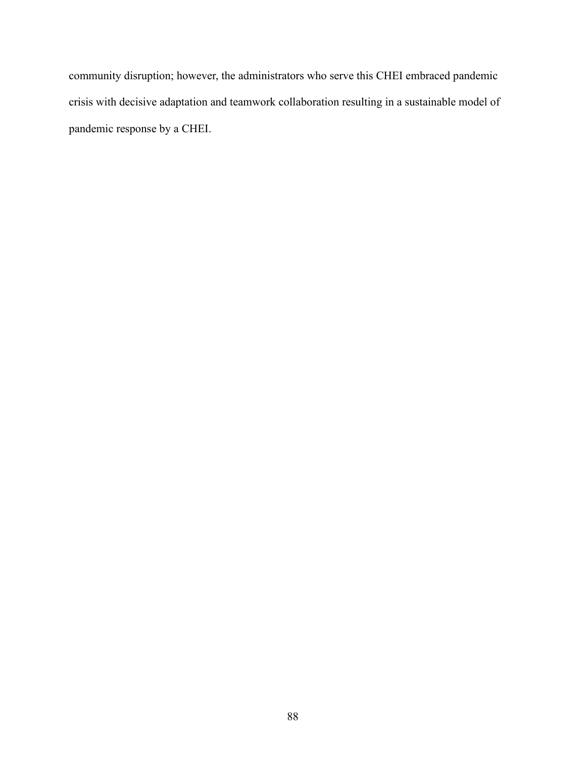community disruption; however, the administrators who serve this CHEI embraced pandemic crisis with decisive adaptation and teamwork collaboration resulting in a sustainable model of pandemic response by a CHEI.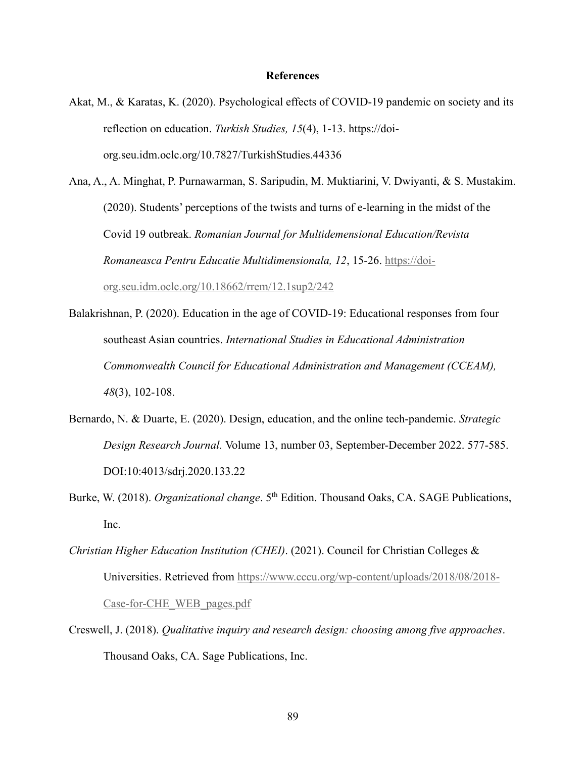## **References**

Akat, M., & Karatas, K. (2020). Psychological effects of COVID-19 pandemic on society and its reflection on education. *Turkish Studies, 15*(4), 1-13. https://doiorg.seu.idm.oclc.org/10.7827/TurkishStudies.44336

Ana, A., A. Minghat, P. Purnawarman, S. Saripudin, M. Muktiarini, V. Dwiyanti, & S. Mustakim. (2020). Students' perceptions of the twists and turns of e-learning in the midst of the Covid 19 outbreak. *Romanian Journal for Multidemensional Education/Revista Romaneasca Pentru Educatie Multidimensionala, 12*, 15-26. [https://doi](https://doi-org.seu.idm.oclc.org/10.18662/rrem/12.1sup2/242)[org.seu.idm.oclc.org/10.18662/rrem/12.1sup2/242](https://doi-org.seu.idm.oclc.org/10.18662/rrem/12.1sup2/242)

- Balakrishnan, P. (2020). Education in the age of COVID-19: Educational responses from four southeast Asian countries. *International Studies in Educational Administration Commonwealth Council for Educational Administration and Management (CCEAM), 48*(3), 102-108.
- Bernardo, N. & Duarte, E. (2020). Design, education, and the online tech-pandemic. *Strategic Design Research Journal.* Volume 13, number 03, September-December 2022. 577-585. DOI:10:4013/sdrj.2020.133.22
- Burke, W. (2018). *Organizational change*. 5<sup>th</sup> Edition. Thousand Oaks, CA. SAGE Publications, Inc.
- *Christian Higher Education Institution (CHEI)*. (2021). Council for Christian Colleges & Universities. Retrieved from [https://www.cccu.org/wp-content/uploads/2018/08/2018-](https://www.cccu.org/wp-content/uploads/2018/08/2018-Case-for-CHE_WEB_pages.pdf) [Case-for-CHE\\_WEB\\_pages.pdf](https://www.cccu.org/wp-content/uploads/2018/08/2018-Case-for-CHE_WEB_pages.pdf)
- Creswell, J. (2018). *Qualitative inquiry and research design: choosing among five approaches*. Thousand Oaks, CA. Sage Publications, Inc.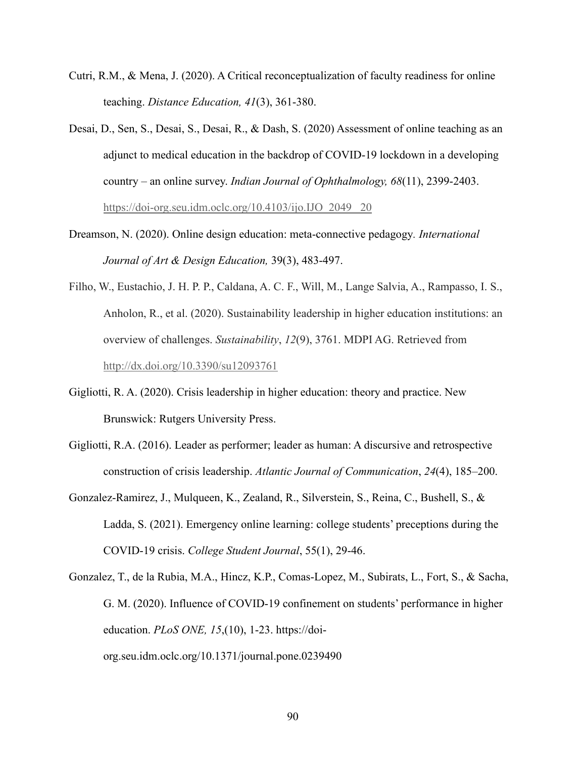- Cutri, R.M., & Mena, J. (2020). A Critical reconceptualization of faculty readiness for online teaching. *Distance Education, 41*(3), 361-380.
- Desai, D., Sen, S., Desai, S., Desai, R., & Dash, S. (2020) Assessment of online teaching as an adjunct to medical education in the backdrop of COVID-19 lockdown in a developing country – an online survey. *Indian Journal of Ophthalmology, 68*(11), 2399-2403. [https://doi-org.seu.idm.oclc.org/10.4103/ijo.IJO\\_2049\\_ 20](https://doi-org.seu.idm.oclc.org/10.4103/ijo.IJO_2049_%2020)
- Dreamson, N. (2020). Online design education: meta-connective pedagogy*. International Journal of Art & Design Education,* 39(3), 483-497.
- Filho, W., Eustachio, J. H. P. P., Caldana, A. C. F., Will, M., Lange Salvia, A., Rampasso, I. S., Anholon, R., et al. (2020). Sustainability leadership in higher education institutions: an overview of challenges. *Sustainability*, *12*(9), 3761. MDPI AG. Retrieved from <http://dx.doi.org/10.3390/su12093761>
- Gigliotti, R. A. (2020). Crisis leadership in higher education: theory and practice. New Brunswick: Rutgers University Press.
- Gigliotti, R.A. (2016). Leader as performer; leader as human: A discursive and retrospective construction of crisis leadership. *Atlantic Journal of Communication*, *24*(4), 185–200.
- Gonzalez-Ramirez, J., Mulqueen, K., Zealand, R., Silverstein, S., Reina, C., Bushell, S., & Ladda, S. (2021). Emergency online learning: college students' preceptions during the COVID-19 crisis. *College Student Journal*, 55(1), 29-46.
- Gonzalez, T., de la Rubia, M.A., Hincz, K.P., Comas-Lopez, M., Subirats, L., Fort, S., & Sacha, G. M. (2020). Influence of COVID-19 confinement on students' performance in higher education. *PLoS ONE, 15*,(10), 1-23. [https://doi](https://doi-org.seu.idm.oclc.org/10.1371/journal.pone.0239490)[org.seu.idm.oclc.org/10.1371/journal.pone.0239490](https://doi-org.seu.idm.oclc.org/10.1371/journal.pone.0239490)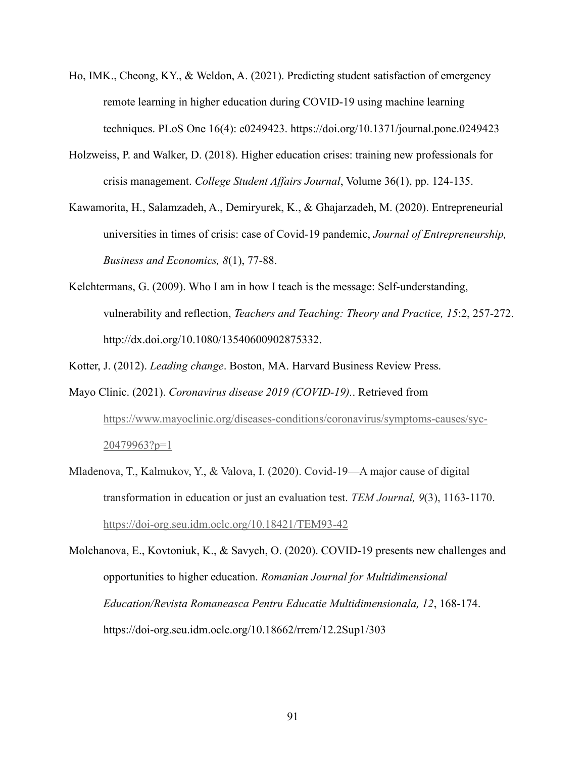- Ho, IMK., Cheong, KY., & Weldon, A. (2021). Predicting student satisfaction of emergency remote learning in higher education during COVID-19 using machine learning techniques. PLoS One 16(4): e0249423. https://doi.org/10.1371/journal.pone.0249423
- Holzweiss, P. and Walker, D. (2018). Higher education crises: training new professionals for crisis management. *College Student Affairs Journal*, Volume 36(1), pp. 124-135.
- Kawamorita, H., Salamzadeh, A., Demiryurek, K., & Ghajarzadeh, M. (2020). Entrepreneurial universities in times of crisis: case of Covid-19 pandemic, *Journal of Entrepreneurship, Business and Economics, 8*(1), 77-88.
- Kelchtermans, G. (2009). Who I am in how I teach is the message: Self-understanding, vulnerability and reflection, *Teachers and Teaching: Theory and Practice, 15*:2, 257-272. http://dx.doi.org/10.1080/13540600902875332.

Kotter, J. (2012). *Leading change*. Boston, MA. Harvard Business Review Press.

- Mayo Clinic. (2021). *Coronavirus disease 2019 (COVID-19).*. Retrieved from [https://www.mayoclinic.org/diseases-conditions/coronavirus/symptoms-causes/syc-](https://www.mayoclinic.org/diseases-conditions/coronavirus/symptoms-causes/syc-20479963?p=1)[20479963?p=1](https://www.mayoclinic.org/diseases-conditions/coronavirus/symptoms-causes/syc-20479963?p=1)
- Mladenova, T., Kalmukov, Y., & Valova, I. (2020). Covid-19—A major cause of digital transformation in education or just an evaluation test. *TEM Journal, 9*(3), 1163-1170. <https://doi-org.seu.idm.oclc.org/10.18421/TEM93-42>

Molchanova, E., Kovtoniuk, K., & Savych, O. (2020). COVID-19 presents new challenges and opportunities to higher education. *Romanian Journal for Multidimensional Education/Revista Romaneasca Pentru Educatie Multidimensionala, 12*, 168-174. https://doi-org.seu.idm.oclc.org/10.18662/rrem/12.2Sup1/303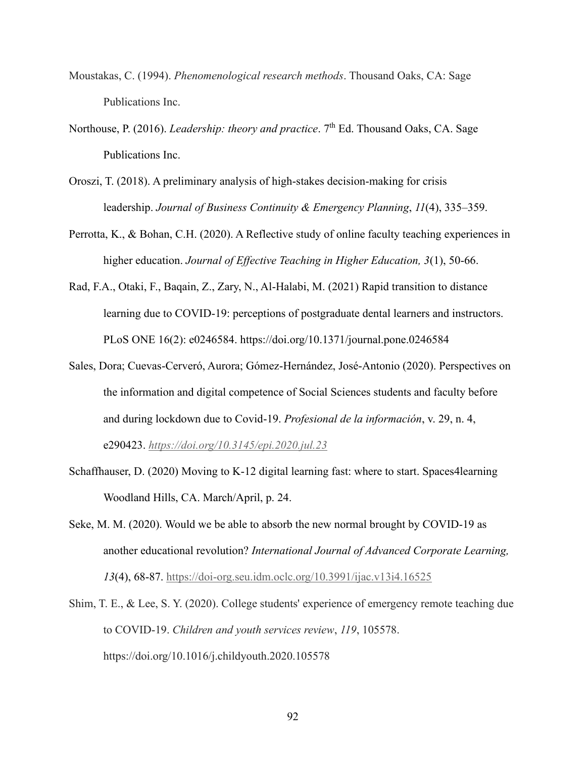- Moustakas, C. (1994). *Phenomenological research methods*. Thousand Oaks, CA: Sage Publications Inc.
- Northouse, P. (2016). *Leadership: theory and practice*. 7<sup>th</sup> Ed. Thousand Oaks, CA. Sage Publications Inc.
- Oroszi, T. (2018). A preliminary analysis of high-stakes decision-making for crisis leadership. *Journal of Business Continuity & Emergency Planning*, *11*(4), 335–359.
- Perrotta, K., & Bohan, C.H. (2020). A Reflective study of online faculty teaching experiences in higher education. *Journal of Effective Teaching in Higher Education, 3*(1), 50-66.
- Rad, F.A., Otaki, F., Baqain, Z., Zary, N., Al-Halabi, M. (2021) Rapid transition to distance learning due to COVID-19: perceptions of postgraduate dental learners and instructors. PLoS ONE 16(2): e0246584. https://doi.org/10.1371/journal.pone.0246584
- Sales, Dora; Cuevas-Cerveró, Aurora; Gómez-Hernández, José-Antonio (2020). Perspectives on the information and digital competence of Social Sciences students and faculty before and during lockdown due to Covid-19. *Profesional de la información*, v. 29, n. 4, e290423. *<https://doi.org/10.3145/epi.2020.jul.23>*
- Schaffhauser, D. (2020) Moving to K-12 digital learning fast: where to start. Spaces4learning Woodland Hills, CA. March/April, p. 24.
- Seke, M. M. (2020). Would we be able to absorb the new normal brought by COVID-19 as another educational revolution? *International Journal of Advanced Corporate Learning, 13*(4), 68-87.<https://doi-org.seu.idm.oclc.org/10.3991/ijac.v13i4.16525>
- Shim, T. E., & Lee, S. Y. (2020). College students' experience of emergency remote teaching due to COVID-19. *Children and youth services review*, *119*, 105578. https://doi.org/10.1016/j.childyouth.2020.105578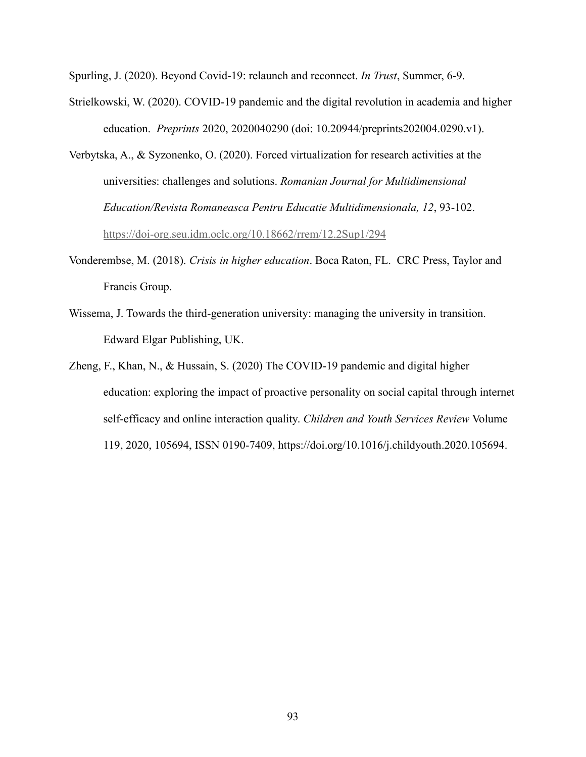Spurling, J. (2020). Beyond Covid-19: relaunch and reconnect. *In Trust*, Summer, 6-9.

- Strielkowski, W. (2020). COVID-19 pandemic and the digital revolution in academia and higher education. *Preprints* 2020, 2020040290 (doi: 10.20944/preprints202004.0290.v1).
- Verbytska, A., & Syzonenko, O. (2020). Forced virtualization for research activities at the universities: challenges and solutions. *Romanian Journal for Multidimensional Education/Revista Romaneasca Pentru Educatie Multidimensionala, 12*, 93-102. <https://doi-org.seu.idm.oclc.org/10.18662/rrem/12.2Sup1/294>
- Vonderembse, M. (2018). *Crisis in higher education*. Boca Raton, FL. CRC Press, Taylor and Francis Group.
- Wissema, J. Towards the third-generation university: managing the university in transition. Edward Elgar Publishing, UK.
- Zheng, F., Khan, N., & Hussain, S. (2020) The COVID-19 pandemic and digital higher education: exploring the impact of proactive personality on social capital through internet self-efficacy and online interaction quality. *Children and Youth Services Review* Volume 119, 2020, 105694, ISSN 0190-7409, https://doi.org/10.1016/j.childyouth.2020.105694.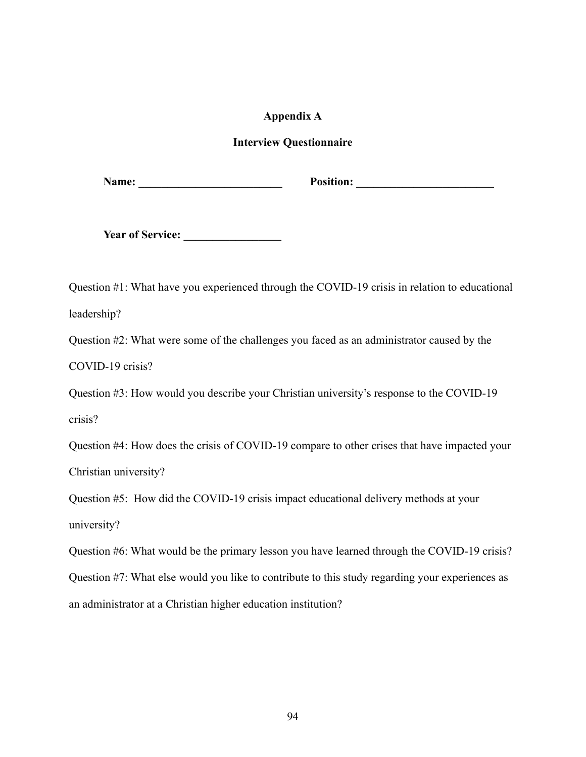## **Appendix A**

# **Interview Questionnaire**

**Name: \_\_\_\_\_\_\_\_\_\_\_\_\_\_\_\_\_\_\_\_\_\_\_\_\_ Position: \_\_\_\_\_\_\_\_\_\_\_\_\_\_\_\_\_\_\_\_\_\_\_\_**

**Year of Service: \_\_\_\_\_\_\_\_\_\_\_\_\_\_\_\_\_**

Question #1: What have you experienced through the COVID-19 crisis in relation to educational leadership?

Question #2: What were some of the challenges you faced as an administrator caused by the

COVID-19 crisis?

Question #3: How would you describe your Christian university's response to the COVID-19 crisis?

Question #4: How does the crisis of COVID-19 compare to other crises that have impacted your Christian university?

Question #5: How did the COVID-19 crisis impact educational delivery methods at your university?

Question #6: What would be the primary lesson you have learned through the COVID-19 crisis? Question #7: What else would you like to contribute to this study regarding your experiences as an administrator at a Christian higher education institution?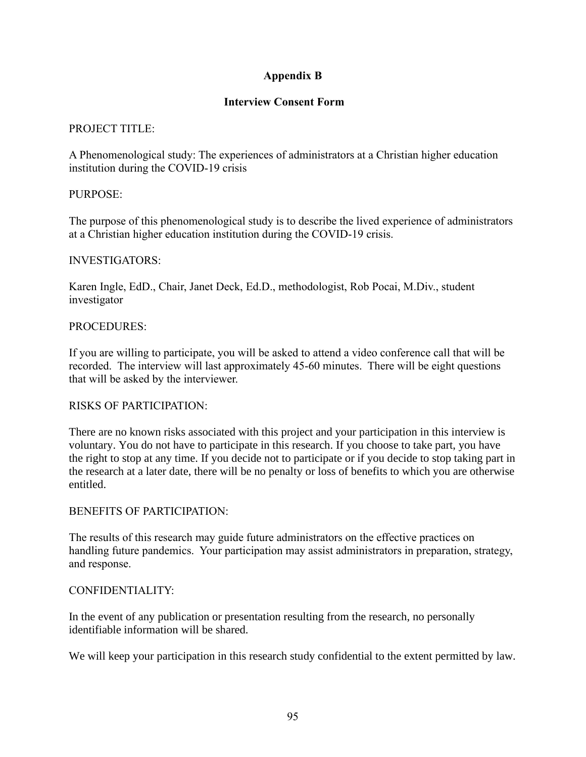# **Appendix B**

# **Interview Consent Form**

# PROJECT TITLE:

A Phenomenological study: The experiences of administrators at a Christian higher education institution during the COVID-19 crisis

# PURPOSE:

The purpose of this phenomenological study is to describe the lived experience of administrators at a Christian higher education institution during the COVID-19 crisis.

# INVESTIGATORS:

Karen Ingle, EdD., Chair, Janet Deck, Ed.D., methodologist, Rob Pocai, M.Div., student investigator

# PROCEDURES:

If you are willing to participate, you will be asked to attend a video conference call that will be recorded. The interview will last approximately 45-60 minutes. There will be eight questions that will be asked by the interviewer.

# RISKS OF PARTICIPATION:

There are no known risks associated with this project and your participation in this interview is voluntary. You do not have to participate in this research. If you choose to take part, you have the right to stop at any time. If you decide not to participate or if you decide to stop taking part in the research at a later date, there will be no penalty or loss of benefits to which you are otherwise entitled.

# BENEFITS OF PARTICIPATION:

The results of this research may guide future administrators on the effective practices on handling future pandemics. Your participation may assist administrators in preparation, strategy, and response.

# CONFIDENTIALITY:

In the event of any publication or presentation resulting from the research, no personally identifiable information will be shared.

We will keep your participation in this research study confidential to the extent permitted by law.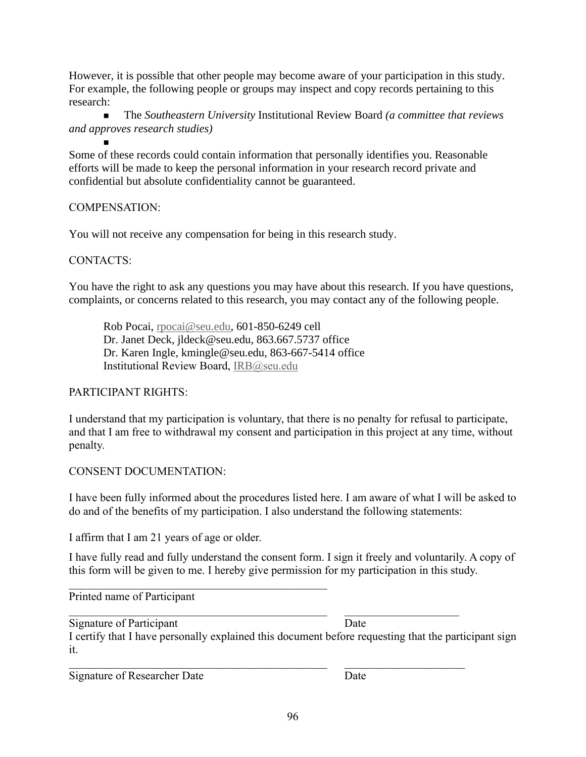However, it is possible that other people may become aware of your participation in this study. For example, the following people or groups may inspect and copy records pertaining to this research:

<sup>◼</sup> The *Southeastern University* Institutional Review Board *(a committee that reviews and approves research studies)*

◼ Some of these records could contain information that personally identifies you. Reasonable efforts will be made to keep the personal information in your research record private and confidential but absolute confidentiality cannot be guaranteed.

# COMPENSATION:

You will not receive any compensation for being in this research study.

# CONTACTS:

You have the right to ask any questions you may have about this research. If you have questions, complaints, or concerns related to this research, you may contact any of the following people.

Rob Pocai, [rpocai@seu.edu,](mailto:rpocai@seu.edu) 601-850-6249 cell Dr. Janet Deck, jldeck@seu.edu, 863.667.5737 office Dr. Karen Ingle, kmingle@seu.edu, 863-667-5414 office Institutional Review Board, [IRB@seu.edu](mailto:IRB@seu.edu)

# PARTICIPANT RIGHTS:

I understand that my participation is voluntary, that there is no penalty for refusal to participate, and that I am free to withdrawal my consent and participation in this project at any time, without penalty.

# CONSENT DOCUMENTATION:

I have been fully informed about the procedures listed here. I am aware of what I will be asked to do and of the benefits of my participation. I also understand the following statements:

I affirm that I am 21 years of age or older.

I have fully read and fully understand the consent form. I sign it freely and voluntarily. A copy of this form will be given to me. I hereby give permission for my participation in this study.

Printed name of Participant

Signature of Participant Date I certify that I have personally explained this document before requesting that the participant sign it.

Signature of Researcher Date Date